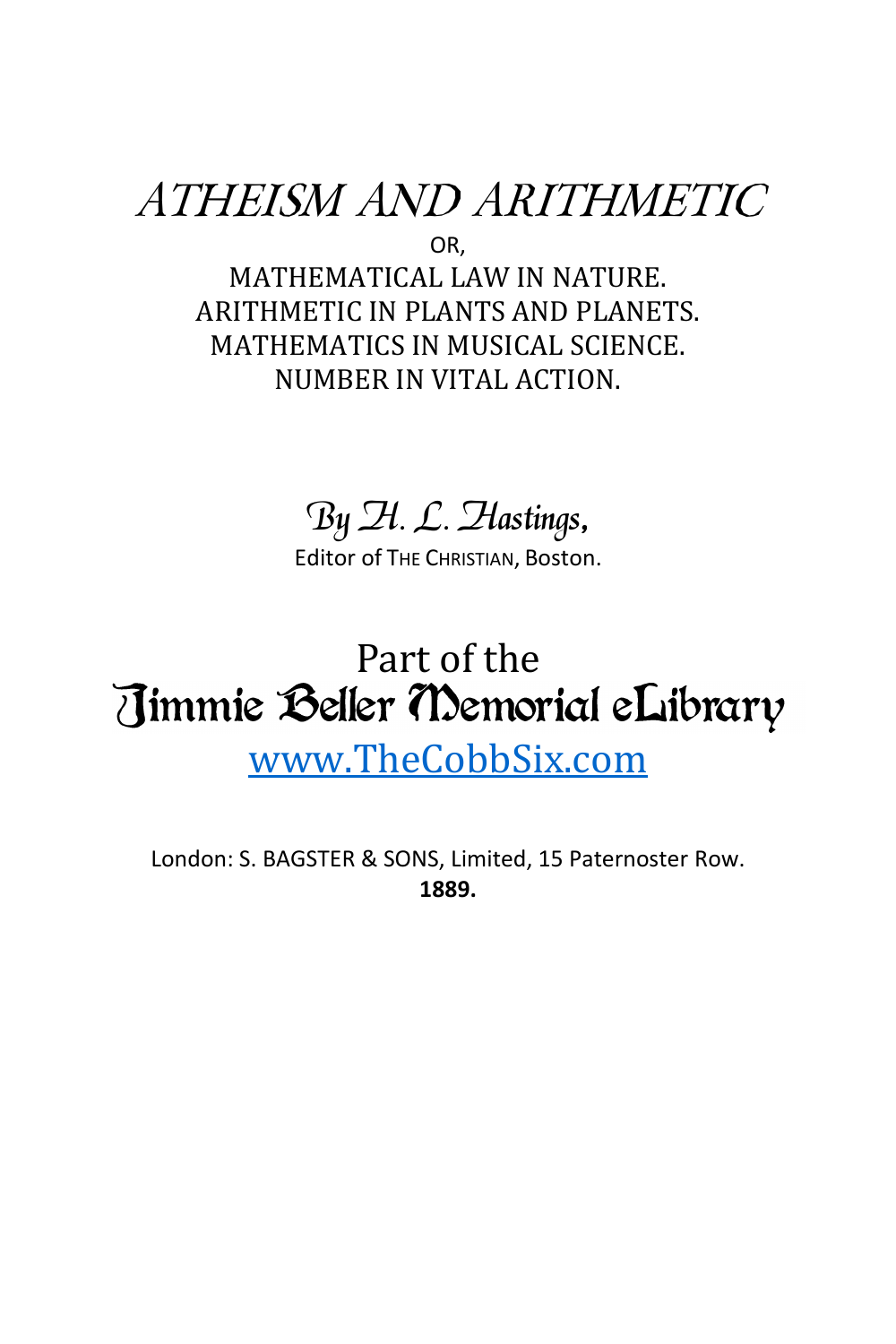### ATHEISM AND ARITHMETIC OR,

MATHEMATICAL LAW IN NATURE. ARITHMETIC IN PLANTS AND PLANETS. MATHEMATICS IN MUSICAL SCIENCE. NUMBER IN VITAL ACTION.

### By H. L. Hastings,

Editor of THE CHRISTIAN, Boston.

# Part of the<br>Jimmie Beller Memorial eLibrary [www.TheCobbSix.com](http://www.thecobbsix.com/)

London: S. BAGSTER & SONS, Limited, 15 Paternoster Row. **1889.**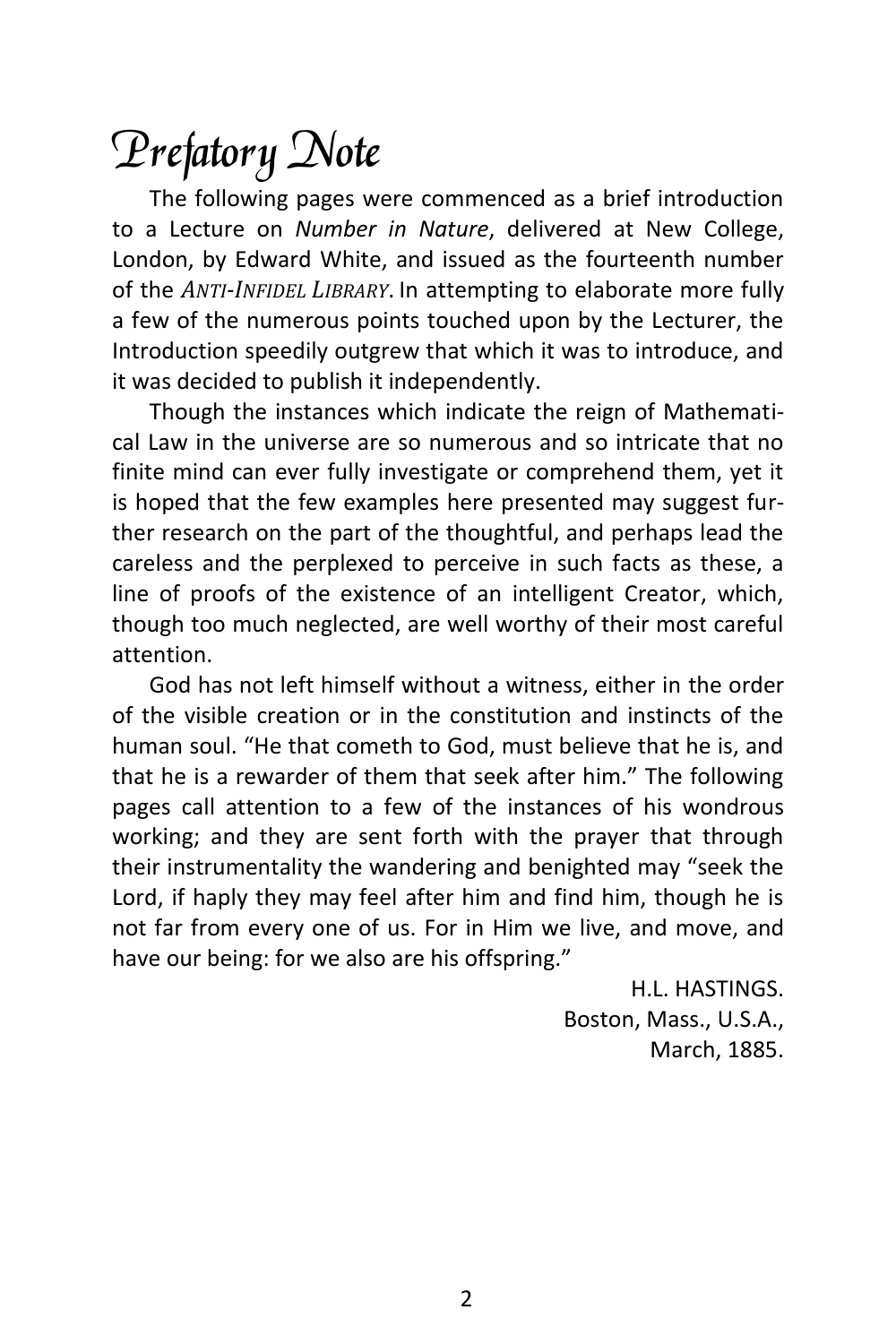## Prefatory Note

The following pages were commenced as a brief introduction to a Lecture on *Number in Nature*, delivered at New College, London, by Edward White, and issued as the fourteenth number of the *ANTI-INFIDEL LIBRARY*. In attempting to elaborate more fully a few of the numerous points touched upon by the Lecturer, the Introduction speedily outgrew that which it was to introduce, and it was decided to publish it independently.

Though the instances which indicate the reign of Mathematical Law in the universe are so numerous and so intricate that no finite mind can ever fully investigate or comprehend them, yet it is hoped that the few examples here presented may suggest further research on the part of the thoughtful, and perhaps lead the careless and the perplexed to perceive in such facts as these, a line of proofs of the existence of an intelligent Creator, which, though too much neglected, are well worthy of their most careful attention.

God has not left himself without a witness, either in the order of the visible creation or in the constitution and instincts of the human soul. "He that cometh to God, must believe that he is, and that he is a rewarder of them that seek after him." The following pages call attention to a few of the instances of his wondrous working; and they are sent forth with the prayer that through their instrumentality the wandering and benighted may "seek the Lord, if haply they may feel after him and find him, though he is not far from every one of us. For in Him we live, and move, and have our being: for we also are his offspring."

> H.L. HASTINGS. Boston, Mass., U.S.A., March, 1885.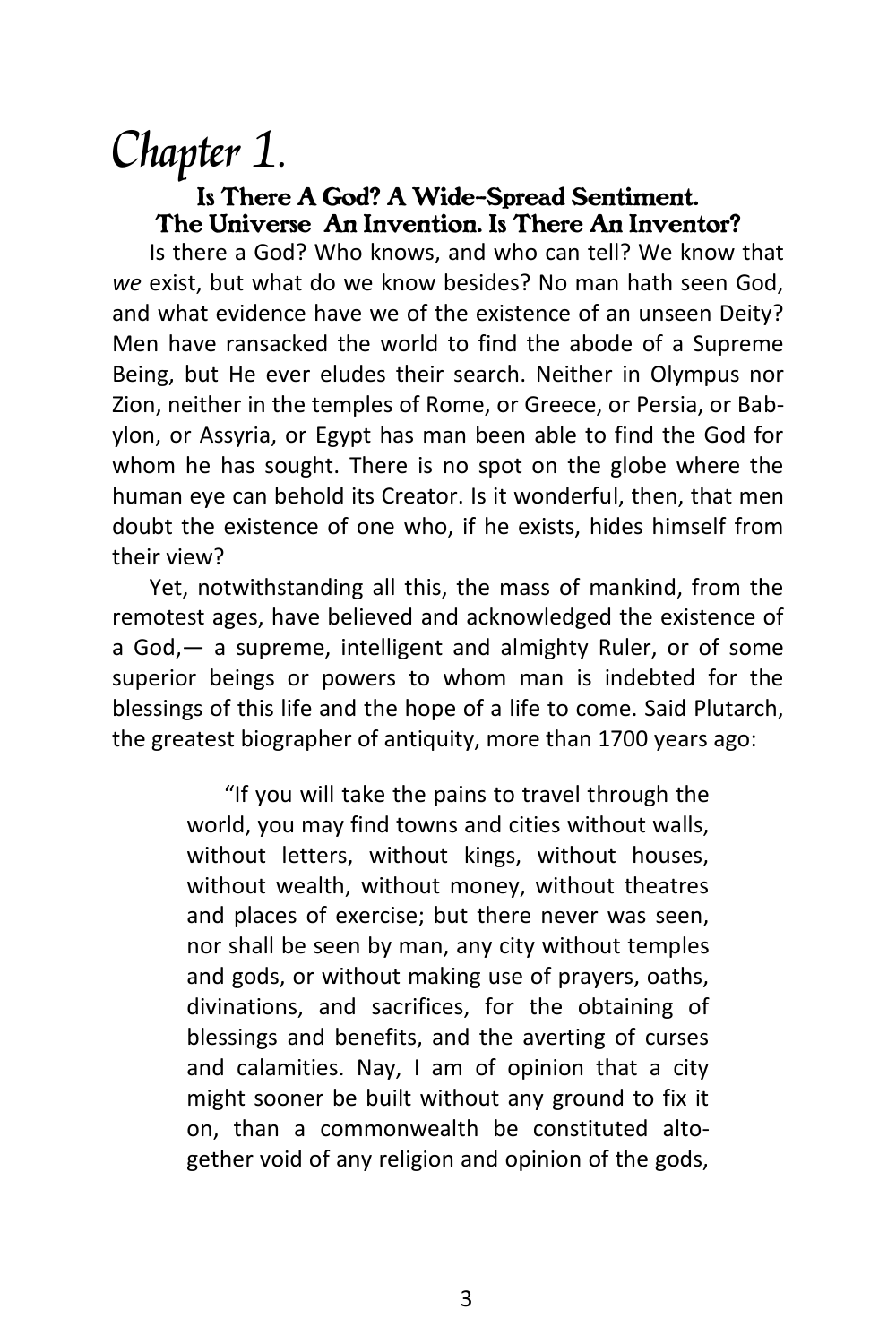### Chapter 1.

#### *Is There A God? A Wide-Spread Sentiment. The Universe An Invention. Is There An Inventor?*

Is there a God? Who knows, and who can tell? We know that *we* exist, but what do we know besides? No man hath seen God, and what evidence have we of the existence of an unseen Deity? Men have ransacked the world to find the abode of a Supreme Being, but He ever eludes their search. Neither in Olympus nor Zion, neither in the temples of Rome, or Greece, or Persia, or Babylon, or Assyria, or Egypt has man been able to find the God for whom he has sought. There is no spot on the globe where the human eye can behold its Creator. Is it wonderful, then, that men doubt the existence of one who, if he exists, hides himself from their view?

Yet, notwithstanding all this, the mass of mankind, from the remotest ages, have believed and acknowledged the existence of a God,— a supreme, intelligent and almighty Ruler, or of some superior beings or powers to whom man is indebted for the blessings of this life and the hope of a life to come. Said Plutarch, the greatest biographer of antiquity, more than 1700 years ago:

> "If you will take the pains to travel through the world, you may find towns and cities without walls, without letters, without kings, without houses, without wealth, without money, without theatres and places of exercise; but there never was seen, nor shall be seen by man, any city without temples and gods, or without making use of prayers, oaths, divinations, and sacrifices, for the obtaining of blessings and benefits, and the averting of curses and calamities. Nay, I am of opinion that a city might sooner be built without any ground to fix it on, than a commonwealth be constituted altogether void of any religion and opinion of the gods,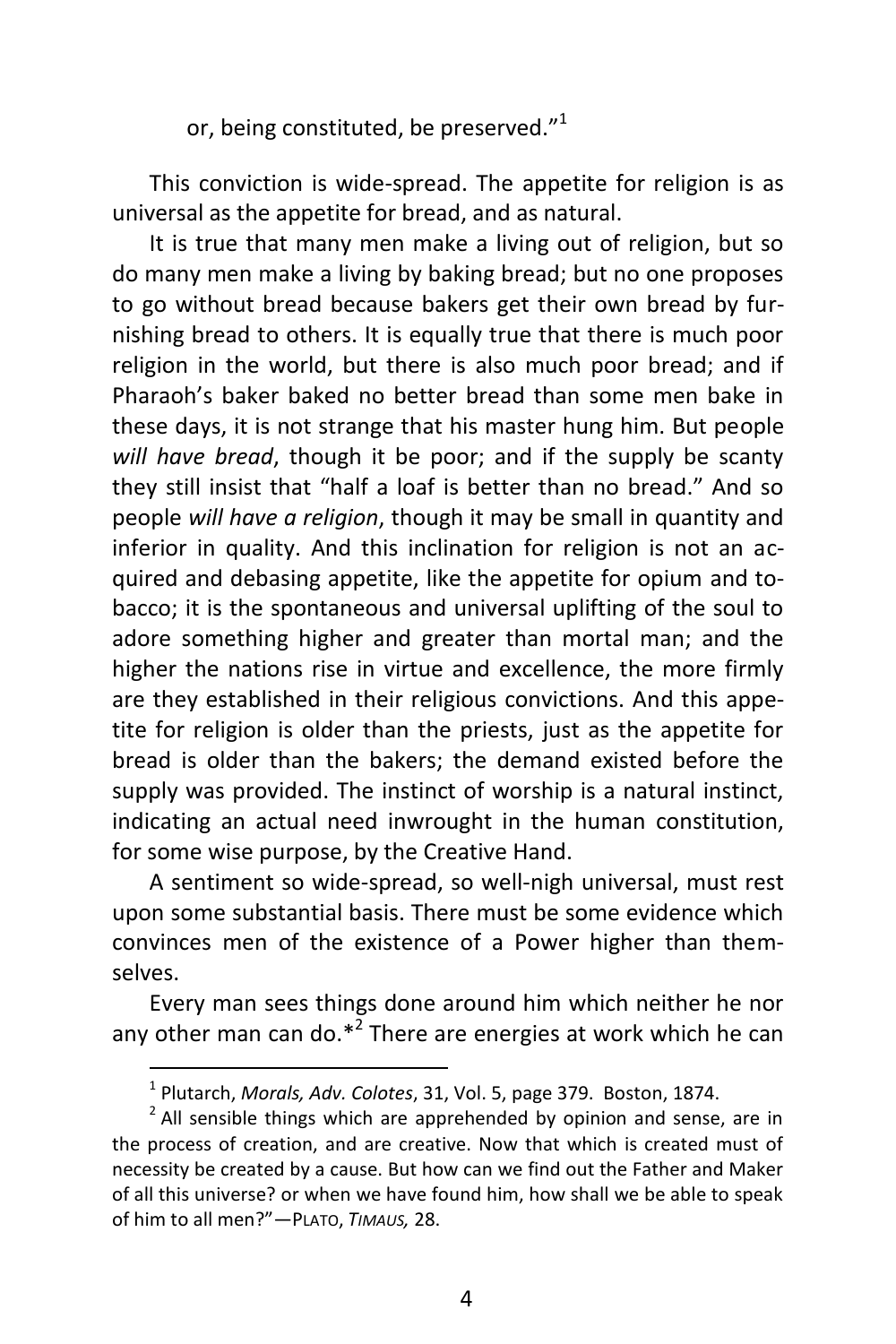or, being constituted, be preserved."<sup>1</sup>

This conviction is wide-spread. The appetite for religion is as universal as the appetite for bread, and as natural.

It is true that many men make a living out of religion, but so do many men make a living by baking bread; but no one proposes to go without bread because bakers get their own bread by furnishing bread to others. It is equally true that there is much poor religion in the world, but there is also much poor bread; and if Pharaoh's baker baked no better bread than some men bake in these days, it is not strange that his master hung him. But people *will have bread*, though it be poor; and if the supply be scanty they still insist that "half a loaf is better than no bread." And so people *will have a religion*, though it may be small in quantity and inferior in quality. And this inclination for religion is not an acquired and debasing appetite, like the appetite for opium and tobacco; it is the spontaneous and universal uplifting of the soul to adore something higher and greater than mortal man; and the higher the nations rise in virtue and excellence, the more firmly are they established in their religious convictions. And this appetite for religion is older than the priests, just as the appetite for bread is older than the bakers; the demand existed before the supply was provided. The instinct of worship is a natural instinct, indicating an actual need inwrought in the human constitution, for some wise purpose, by the Creative Hand.

A sentiment so wide-spread, so well-nigh universal, must rest upon some substantial basis. There must be some evidence which convinces men of the existence of a Power higher than themselves.

Every man sees things done around him which neither he nor any other man can do.\*<sup>2</sup> There are energies at work which he can

 1 Plutarch, *Morals, Adv. Colotes*, 31, Vol. 5, page 379. Boston, 1874.

 $2$  All sensible things which are apprehended by opinion and sense, are in the process of creation, and are creative. Now that which is created must of necessity be created by a cause. But how can we find out the Father and Maker of all this universe? or when we have found him, how shall we be able to speak of him to all men?"—PLATO, *TIMAUS,* 28.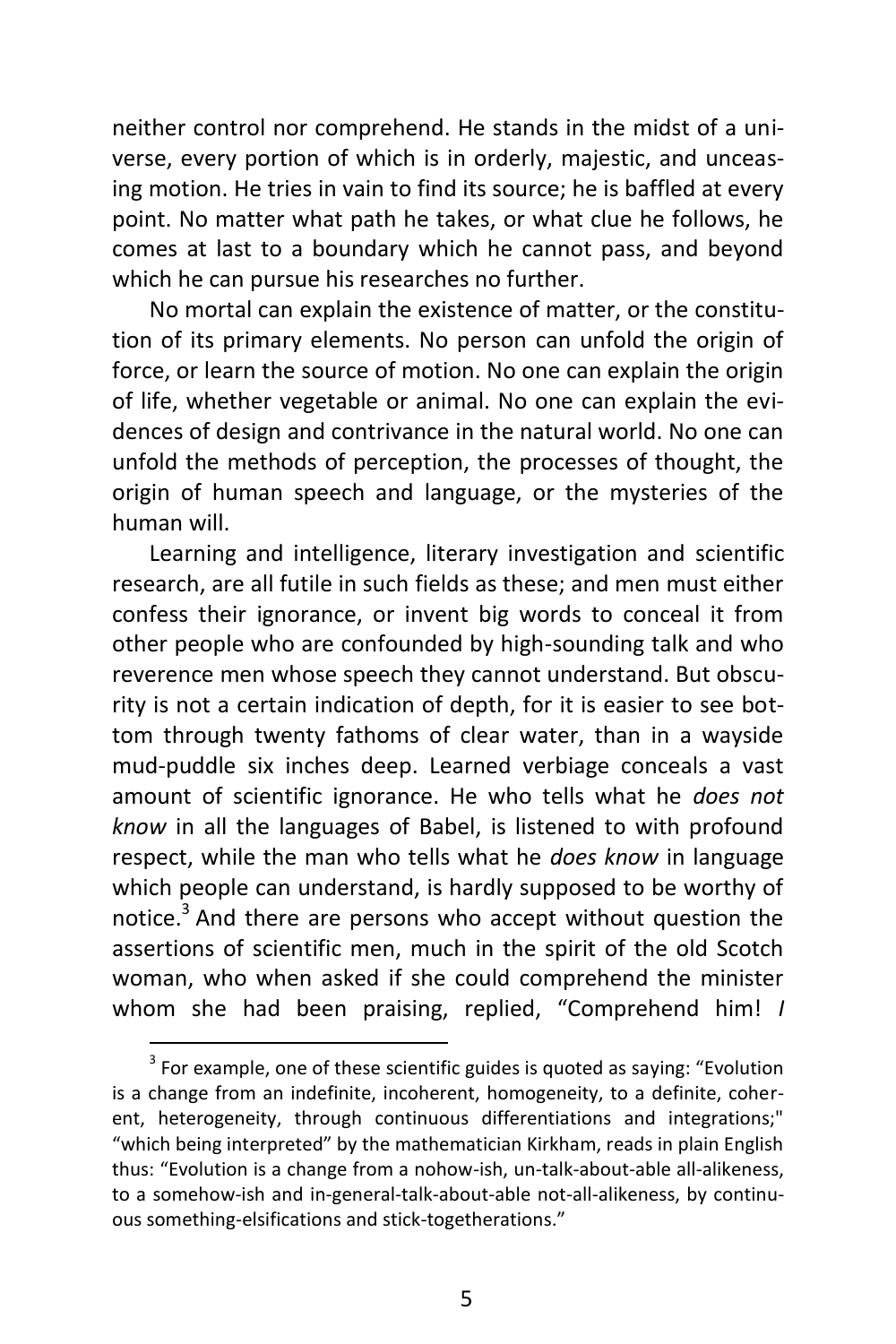neither control nor comprehend. He stands in the midst of a universe, every portion of which is in orderly, majestic, and unceasing motion. He tries in vain to find its source; he is baffled at every point. No matter what path he takes, or what clue he follows, he comes at last to a boundary which he cannot pass, and beyond which he can pursue his researches no further.

No mortal can explain the existence of matter, or the constitution of its primary elements. No person can unfold the origin of force, or learn the source of motion. No one can explain the origin of life, whether vegetable or animal. No one can explain the evidences of design and contrivance in the natural world. No one can unfold the methods of perception, the processes of thought, the origin of human speech and language, or the mysteries of the human will.

Learning and intelligence, literary investigation and scientific research, are all futile in such fields as these; and men must either confess their ignorance, or invent big words to conceal it from other people who are confounded by high-sounding talk and who reverence men whose speech they cannot understand. But obscurity is not a certain indication of depth, for it is easier to see bottom through twenty fathoms of clear water, than in a wayside mud-puddle six inches deep. Learned verbiage conceals a vast amount of scientific ignorance. He who tells what he *does not know* in all the languages of Babel, is listened to with profound respect, while the man who tells what he *does know* in language which people can understand, is hardly supposed to be worthy of notice.<sup>3</sup> And there are persons who accept without question the assertions of scientific men, much in the spirit of the old Scotch woman, who when asked if she could comprehend the minister whom she had been praising, replied, "Comprehend him! *I* 

 $3$  For example, one of these scientific guides is quoted as saying: "Evolution is a change from an indefinite, incoherent, homogeneity, to a definite, coherent, heterogeneity, through continuous differentiations and integrations;" "which being interpreted" by the mathematician Kirkham, reads in plain English thus: "Evolution is a change from a nohow-ish, un-talk-about-able all-alikeness, to a somehow-ish and in-general-talk-about-able not-all-alikeness, by continuous something-elsifications and stick-togetherations."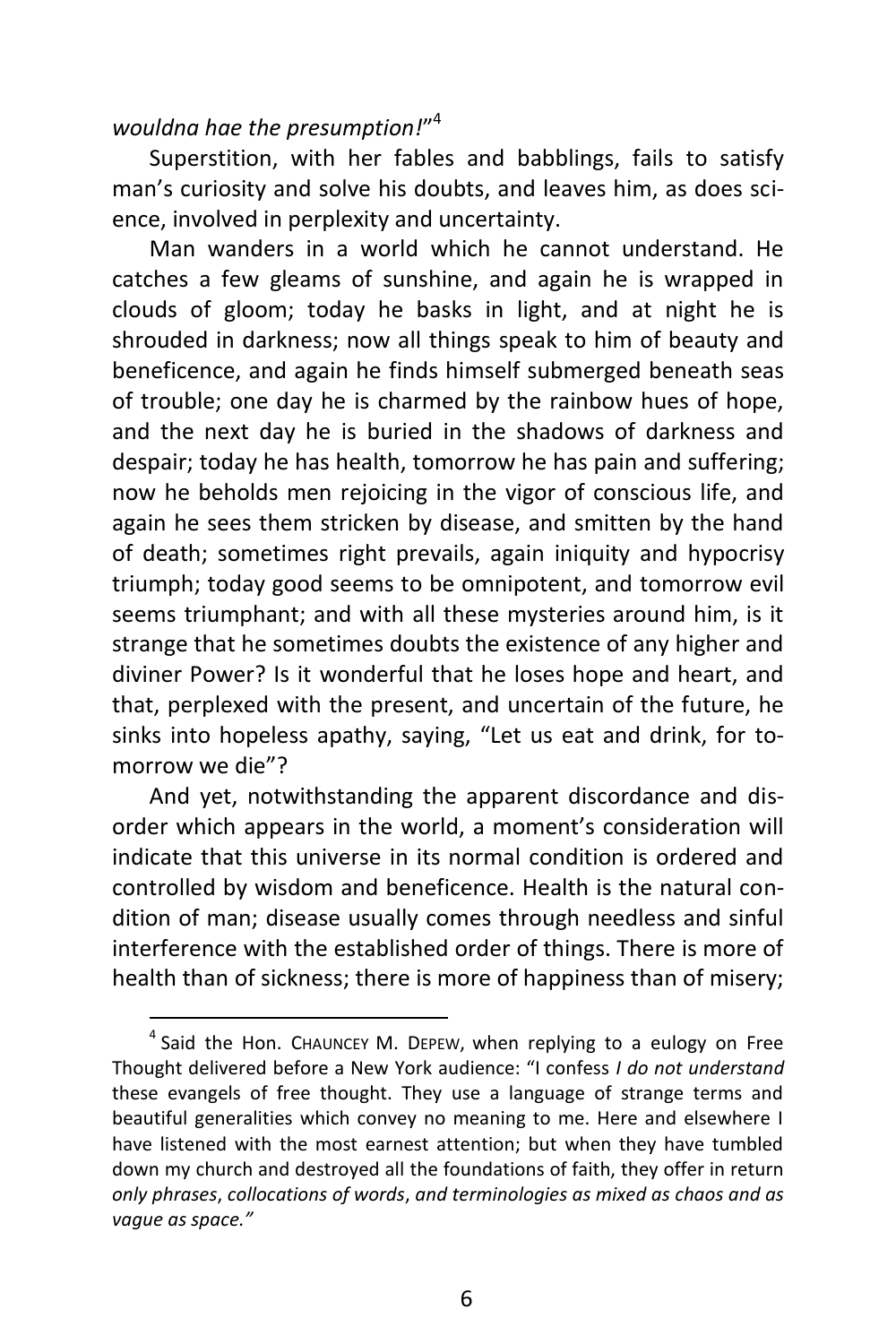#### *wouldna hae the presumption!*" 4

 $\overline{a}$ 

Superstition, with her fables and babblings, fails to satisfy man's curiosity and solve his doubts, and leaves him, as does science, involved in perplexity and uncertainty.

Man wanders in a world which he cannot understand. He catches a few gleams of sunshine, and again he is wrapped in clouds of gloom; today he basks in light, and at night he is shrouded in darkness; now all things speak to him of beauty and beneficence, and again he finds himself submerged beneath seas of trouble; one day he is charmed by the rainbow hues of hope, and the next day he is buried in the shadows of darkness and despair; today he has health, tomorrow he has pain and suffering; now he beholds men rejoicing in the vigor of conscious life, and again he sees them stricken by disease, and smitten by the hand of death; sometimes right prevails, again iniquity and hypocrisy triumph; today good seems to be omnipotent, and tomorrow evil seems triumphant; and with all these mysteries around him, is it strange that he sometimes doubts the existence of any higher and diviner Power? Is it wonderful that he loses hope and heart, and that, perplexed with the present, and uncertain of the future, he sinks into hopeless apathy, saying, "Let us eat and drink, for tomorrow we die"?

And yet, notwithstanding the apparent discordance and disorder which appears in the world, a moment's consideration will indicate that this universe in its normal condition is ordered and controlled by wisdom and beneficence. Health is the natural condition of man; disease usually comes through needless and sinful interference with the established order of things. There is more of health than of sickness; there is more of happiness than of misery;

<sup>&</sup>lt;sup>4</sup> Said the Hon. CHAUNCEY M. DEPEW, when replying to a eulogy on Free Thought delivered before a New York audience: "I confess *I do not understand*  these evangels of free thought. They use a language of strange terms and beautiful generalities which convey no meaning to me. Here and elsewhere I have listened with the most earnest attention; but when they have tumbled down my church and destroyed all the foundations of faith, they offer in return *only phrases*, *collocations of words*, *and terminologies as mixed as chaos and as vague as space."*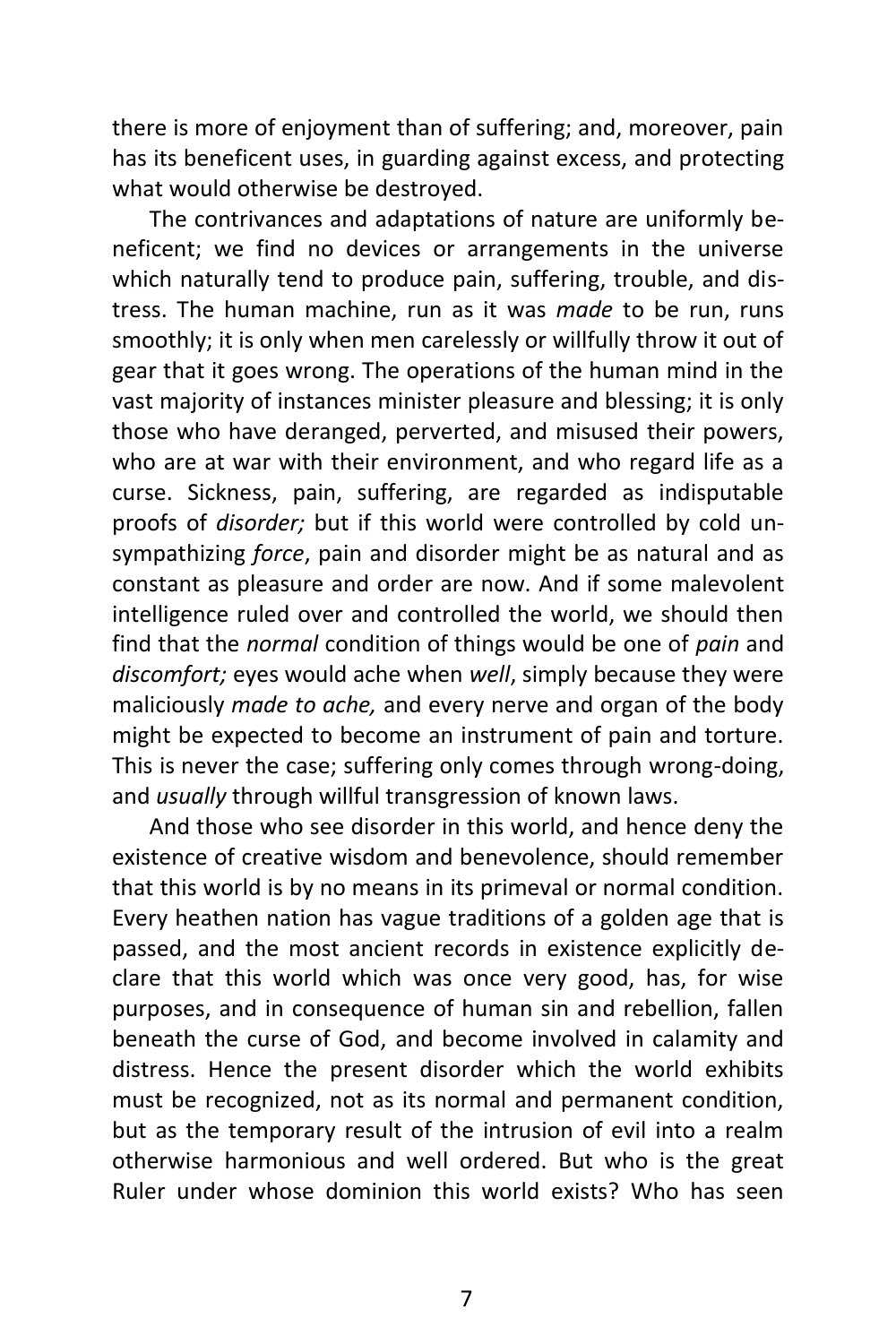there is more of enjoyment than of suffering; and, moreover, pain has its beneficent uses, in guarding against excess, and protecting what would otherwise be destroyed.

The contrivances and adaptations of nature are uniformly beneficent; we find no devices or arrangements in the universe which naturally tend to produce pain, suffering, trouble, and distress. The human machine, run as it was *made* to be run, runs smoothly; it is only when men carelessly or willfully throw it out of gear that it goes wrong. The operations of the human mind in the vast majority of instances minister pleasure and blessing; it is only those who have deranged, perverted, and misused their powers, who are at war with their environment, and who regard life as a curse. Sickness, pain, suffering, are regarded as indisputable proofs of *disorder;* but if this world were controlled by cold unsympathizing *force*, pain and disorder might be as natural and as constant as pleasure and order are now. And if some malevolent intelligence ruled over and controlled the world, we should then find that the *normal* condition of things would be one of *pain* and *discomfort;* eyes would ache when *well*, simply because they were maliciously *made to ache,* and every nerve and organ of the body might be expected to become an instrument of pain and torture. This is never the case; suffering only comes through wrong-doing, and *usually* through willful transgression of known laws.

And those who see disorder in this world, and hence deny the existence of creative wisdom and benevolence, should remember that this world is by no means in its primeval or normal condition. Every heathen nation has vague traditions of a golden age that is passed, and the most ancient records in existence explicitly declare that this world which was once very good, has, for wise purposes, and in consequence of human sin and rebellion, fallen beneath the curse of God, and become involved in calamity and distress. Hence the present disorder which the world exhibits must be recognized, not as its normal and permanent condition, but as the temporary result of the intrusion of evil into a realm otherwise harmonious and well ordered. But who is the great Ruler under whose dominion this world exists? Who has seen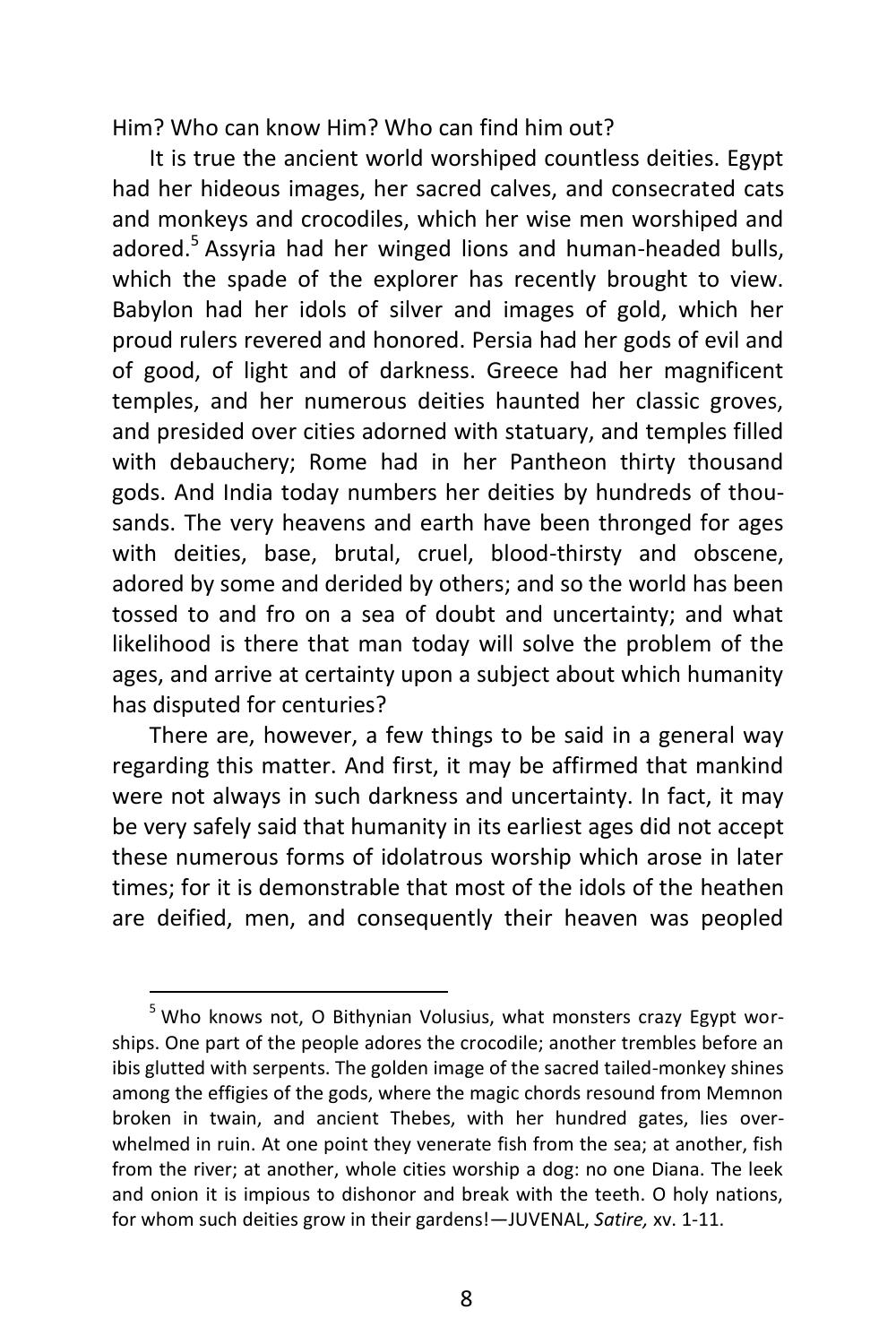Him? Who can know Him? Who can find him out?

It is true the ancient world worshiped countless deities. Egypt had her hideous images, her sacred calves, and consecrated cats and monkeys and crocodiles, which her wise men worshiped and adored.<sup>5</sup> Assyria had her winged lions and human-headed bulls, which the spade of the explorer has recently brought to view. Babylon had her idols of silver and images of gold, which her proud rulers revered and honored. Persia had her gods of evil and of good, of light and of darkness. Greece had her magnificent temples, and her numerous deities haunted her classic groves, and presided over cities adorned with statuary, and temples filled with debauchery; Rome had in her Pantheon thirty thousand gods. And India today numbers her deities by hundreds of thousands. The very heavens and earth have been thronged for ages with deities, base, brutal, cruel, blood-thirsty and obscene, adored by some and derided by others; and so the world has been tossed to and fro on a sea of doubt and uncertainty; and what likelihood is there that man today will solve the problem of the ages, and arrive at certainty upon a subject about which humanity has disputed for centuries?

There are, however, a few things to be said in a general way regarding this matter. And first, it may be affirmed that mankind were not always in such darkness and uncertainty. In fact, it may be very safely said that humanity in its earliest ages did not accept these numerous forms of idolatrous worship which arose in later times; for it is demonstrable that most of the idols of the heathen are deified, men, and consequently their heaven was peopled

 $^5$  Who knows not, O Bithynian Volusius, what monsters crazy Egypt worships. One part of the people adores the crocodile; another trembles before an ibis glutted with serpents. The golden image of the sacred tailed-monkey shines among the effigies of the gods, where the magic chords resound from Memnon broken in twain, and ancient Thebes, with her hundred gates, lies overwhelmed in ruin. At one point they venerate fish from the sea; at another, fish from the river; at another, whole cities worship a dog: no one Diana. The leek and onion it is impious to dishonor and break with the teeth. O holy nations, for whom such deities grow in their gardens!—JUVENAL, *Satire,* xv. 1-11.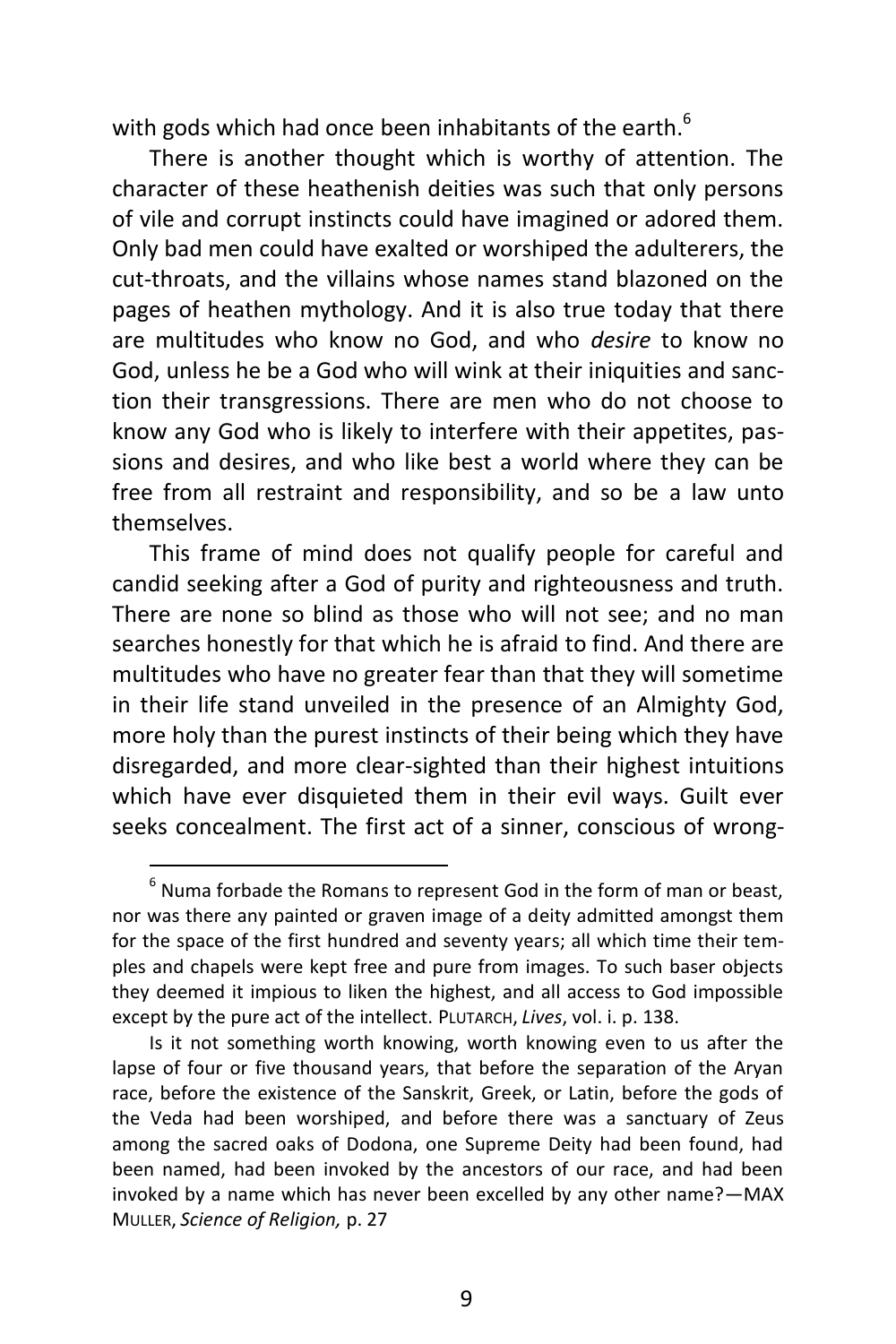with gods which had once been inhabitants of the earth.<sup>6</sup>

There is another thought which is worthy of attention. The character of these heathenish deities was such that only persons of vile and corrupt instincts could have imagined or adored them. Only bad men could have exalted or worshiped the adulterers, the cut-throats, and the villains whose names stand blazoned on the pages of heathen mythology. And it is also true today that there are multitudes who know no God, and who *desire* to know no God, unless he be a God who will wink at their iniquities and sanction their transgressions. There are men who do not choose to know any God who is likely to interfere with their appetites, passions and desires, and who like best a world where they can be free from all restraint and responsibility, and so be a law unto themselves.

This frame of mind does not qualify people for careful and candid seeking after a God of purity and righteousness and truth. There are none so blind as those who will not see; and no man searches honestly for that which he is afraid to find. And there are multitudes who have no greater fear than that they will sometime in their life stand unveiled in the presence of an Almighty God, more holy than the purest instincts of their being which they have disregarded, and more clear-sighted than their highest intuitions which have ever disquieted them in their evil ways. Guilt ever seeks concealment. The first act of a sinner, conscious of wrong-

 $<sup>6</sup>$  Numa forbade the Romans to represent God in the form of man or beast,</sup> nor was there any painted or graven image of a deity admitted amongst them for the space of the first hundred and seventy years; all which time their temples and chapels were kept free and pure from images. To such baser objects they deemed it impious to liken the highest, and all access to God impossible except by the pure act of the intellect. PLUTARCH, *Lives*, vol. i. p. 138.

Is it not something worth knowing, worth knowing even to us after the lapse of four or five thousand years, that before the separation of the Aryan race, before the existence of the Sanskrit, Greek, or Latin, before the gods of the Veda had been worshiped, and before there was a sanctuary of Zeus among the sacred oaks of Dodona, one Supreme Deity had been found, had been named, had been invoked by the ancestors of our race, and had been invoked by a name which has never been excelled by any other name?—MAX MULLER, *Science of Religion,* p. 27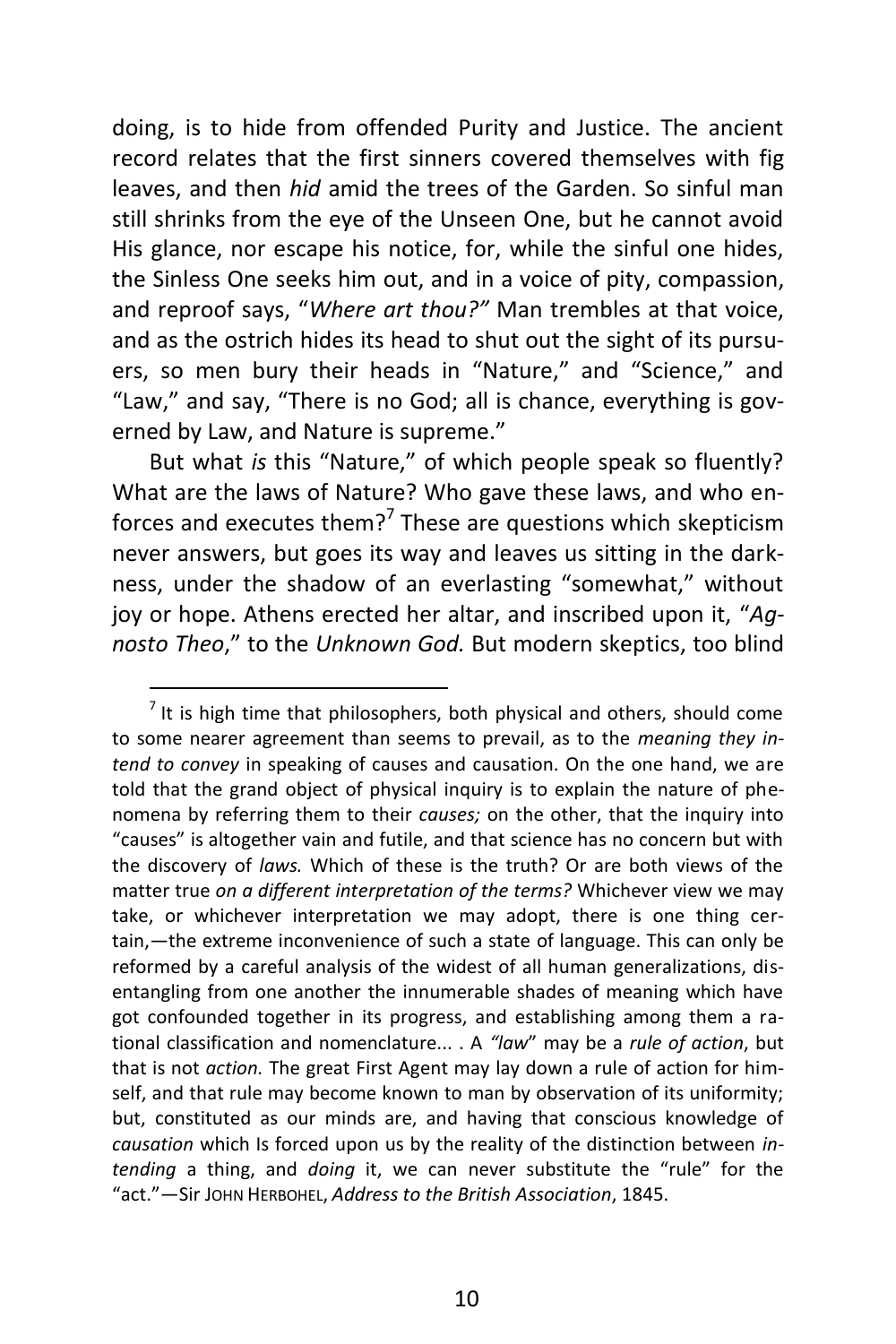doing, is to hide from offended Purity and Justice. The ancient record relates that the first sinners covered themselves with fig leaves, and then *hid* amid the trees of the Garden. So sinful man still shrinks from the eye of the Unseen One, but he cannot avoid His glance, nor escape his notice, for, while the sinful one hides, the Sinless One seeks him out, and in a voice of pity, compassion, and reproof says, "*Where art thou?"* Man trembles at that voice, and as the ostrich hides its head to shut out the sight of its pursuers, so men bury their heads in "Nature," and "Science," and "Law," and say, "There is no God; all is chance, everything is governed by Law, and Nature is supreme."

But what *is* this "Nature," of which people speak so fluently? What are the laws of Nature? Who gave these laws, and who enforces and executes them?<sup>7</sup> These are questions which skepticism never answers, but goes its way and leaves us sitting in the darkness, under the shadow of an everlasting "somewhat," without joy or hope. Athens erected her altar, and inscribed upon it, "*Agnosto Theo*," to the *Unknown God.* But modern skeptics, too blind

 $\frac{1}{2}$  it is high time that philosophers, both physical and others, should come to some nearer agreement than seems to prevail, as to the *meaning they intend to convey* in speaking of causes and causation. On the one hand, we are told that the grand object of physical inquiry is to explain the nature of phenomena by referring them to their *causes;* on the other, that the inquiry into "causes" is altogether vain and futile, and that science has no concern but with the discovery of *laws.* Which of these is the truth? Or are both views of the matter true *on a different interpretation of the terms?* Whichever view we may take, or whichever interpretation we may adopt, there is one thing certain,—the extreme inconvenience of such a state of language. This can only be reformed by a careful analysis of the widest of all human generalizations, disentangling from one another the innumerable shades of meaning which have got confounded together in its progress, and establishing among them a rational classification and nomenclature... . A *"law*" may be a *rule of action*, but that is not *action.* The great First Agent may lay down a rule of action for himself, and that rule may become known to man by observation of its uniformity; but, constituted as our minds are, and having that conscious knowledge of *causation* which Is forced upon us by the reality of the distinction between *intending* a thing, and *doing* it, we can never substitute the "rule" for the "act."—Sir JOHN HERBOHEL, *Address to the British Association*, 1845.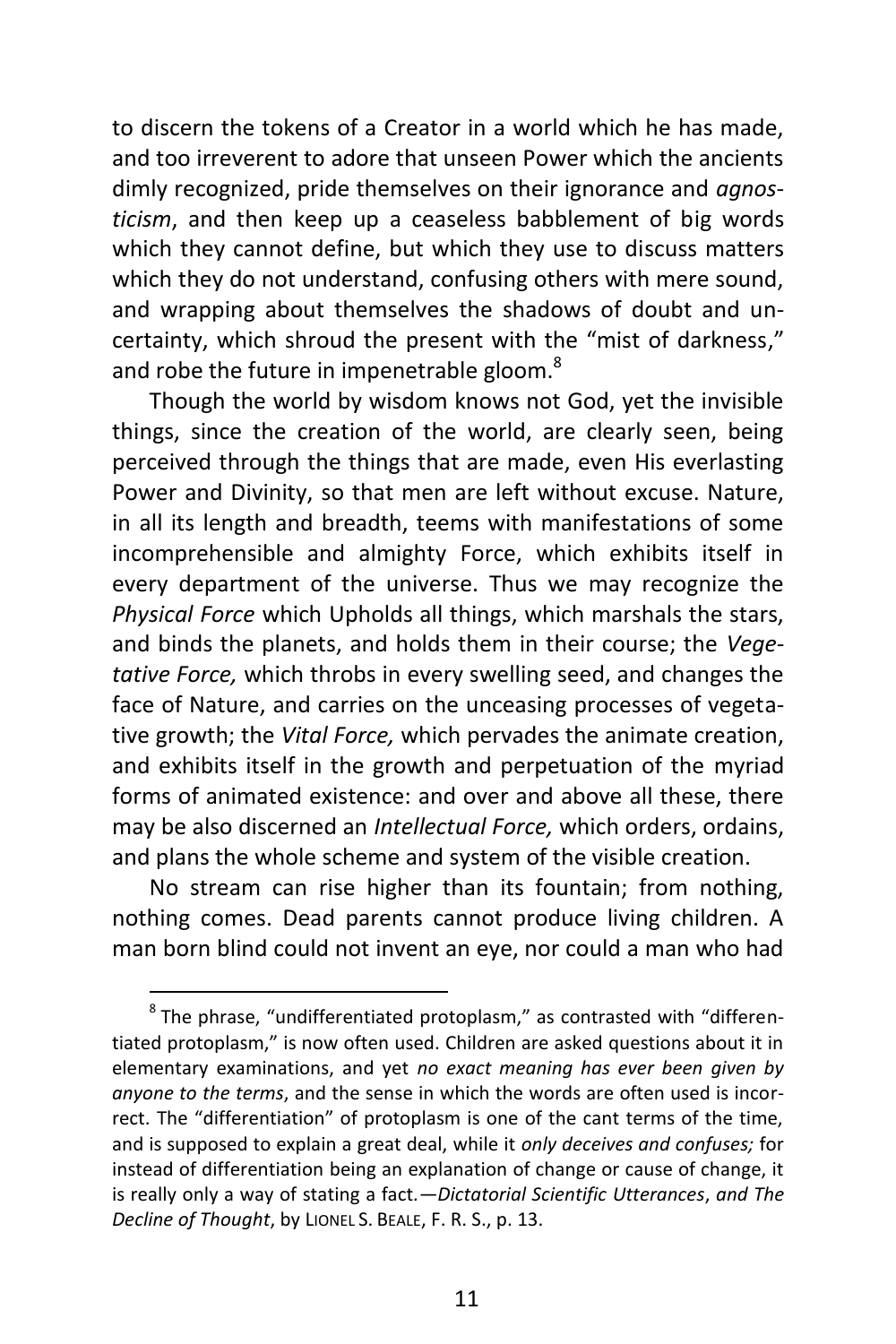to discern the tokens of a Creator in a world which he has made, and too irreverent to adore that unseen Power which the ancients dimly recognized, pride themselves on their ignorance and *agnosticism*, and then keep up a ceaseless babblement of big words which they cannot define, but which they use to discuss matters which they do not understand, confusing others with mere sound, and wrapping about themselves the shadows of doubt and uncertainty, which shroud the present with the "mist of darkness," and robe the future in impenetrable gloom.<sup>8</sup>

Though the world by wisdom knows not God, yet the invisible things, since the creation of the world, are clearly seen, being perceived through the things that are made, even His everlasting Power and Divinity, so that men are left without excuse. Nature, in all its length and breadth, teems with manifestations of some incomprehensible and almighty Force, which exhibits itself in every department of the universe. Thus we may recognize the *Physical Force* which Upholds all things, which marshals the stars, and binds the planets, and holds them in their course; the *Vegetative Force,* which throbs in every swelling seed, and changes the face of Nature, and carries on the unceasing processes of vegetative growth; the *Vital Force,* which pervades the animate creation, and exhibits itself in the growth and perpetuation of the myriad forms of animated existence: and over and above all these, there may be also discerned an *Intellectual Force,* which orders, ordains, and plans the whole scheme and system of the visible creation.

No stream can rise higher than its fountain; from nothing, nothing comes. Dead parents cannot produce living children. A man born blind could not invent an eye, nor could a man who had

 $^8$ The phrase, "undifferentiated protoplasm," as contrasted with "differentiated protoplasm," is now often used. Children are asked questions about it in elementary examinations, and yet *no exact meaning has ever been given by anyone to the terms*, and the sense in which the words are often used is incorrect. The "differentiation" of protoplasm is one of the cant terms of the time, and is supposed to explain a great deal, while it *only deceives and confuses;* for instead of differentiation being an explanation of change or cause of change, it is really only a way of stating a fact*.—Dictatorial Scientific Utterances*, *and The Decline of Thought*, by LIONEL S. BEALE, F. R. S., p. 13.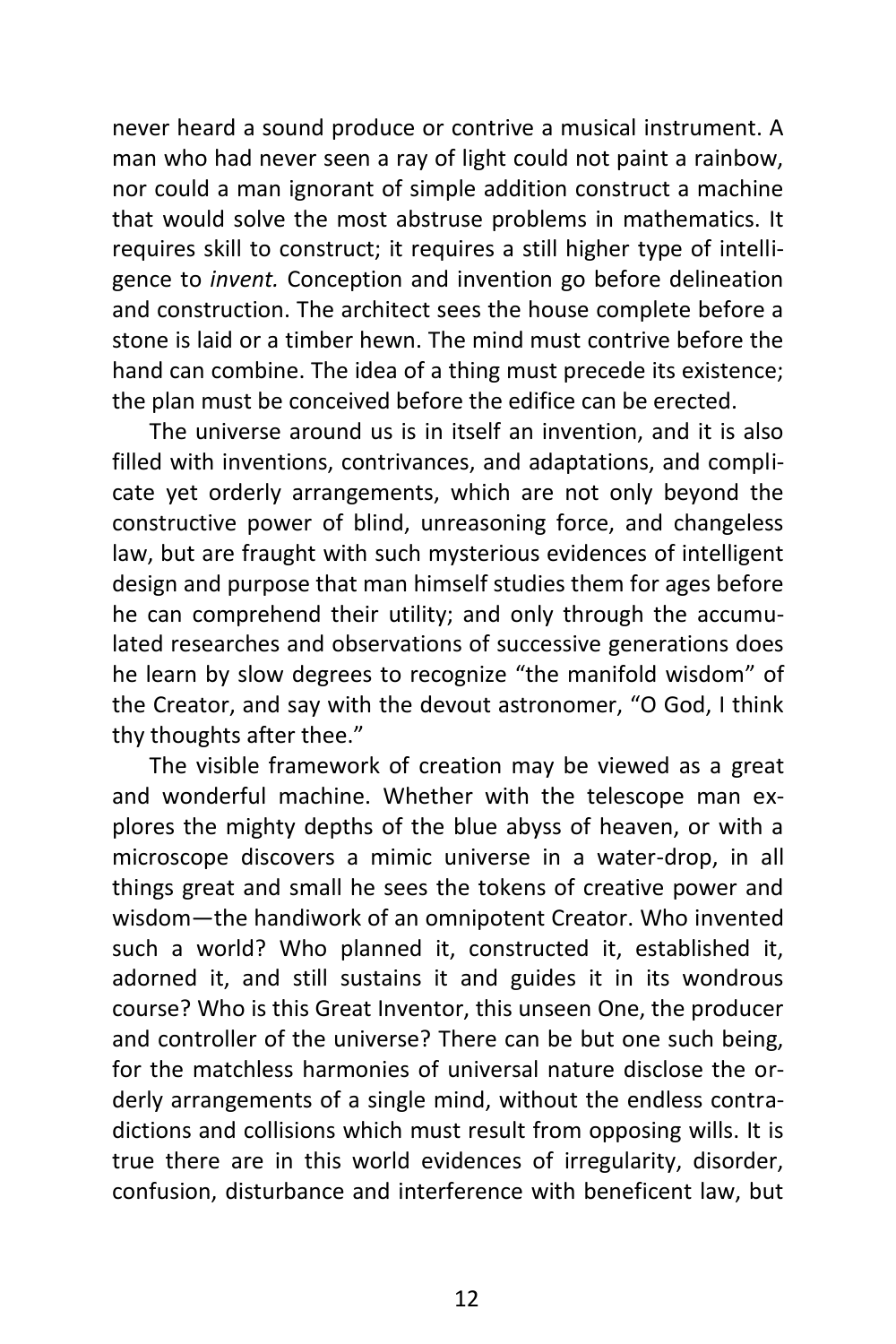never heard a sound produce or contrive a musical instrument. A man who had never seen a ray of light could not paint a rainbow, nor could a man ignorant of simple addition construct a machine that would solve the most abstruse problems in mathematics. It requires skill to construct; it requires a still higher type of intelligence to *invent.* Conception and invention go before delineation and construction. The architect sees the house complete before a stone is laid or a timber hewn. The mind must contrive before the hand can combine. The idea of a thing must precede its existence; the plan must be conceived before the edifice can be erected.

The universe around us is in itself an invention, and it is also filled with inventions, contrivances, and adaptations, and complicate yet orderly arrangements, which are not only beyond the constructive power of blind, unreasoning force, and changeless law, but are fraught with such mysterious evidences of intelligent design and purpose that man himself studies them for ages before he can comprehend their utility; and only through the accumulated researches and observations of successive generations does he learn by slow degrees to recognize "the manifold wisdom" of the Creator, and say with the devout astronomer, "O God, I think thy thoughts after thee."

The visible framework of creation may be viewed as a great and wonderful machine. Whether with the telescope man explores the mighty depths of the blue abyss of heaven, or with a microscope discovers a mimic universe in a water-drop, in all things great and small he sees the tokens of creative power and wisdom—the handiwork of an omnipotent Creator. Who invented such a world? Who planned it, constructed it, established it, adorned it, and still sustains it and guides it in its wondrous course? Who is this Great Inventor, this unseen One, the producer and controller of the universe? There can be but one such being, for the matchless harmonies of universal nature disclose the orderly arrangements of a single mind, without the endless contradictions and collisions which must result from opposing wills. It is true there are in this world evidences of irregularity, disorder, confusion, disturbance and interference with beneficent law, but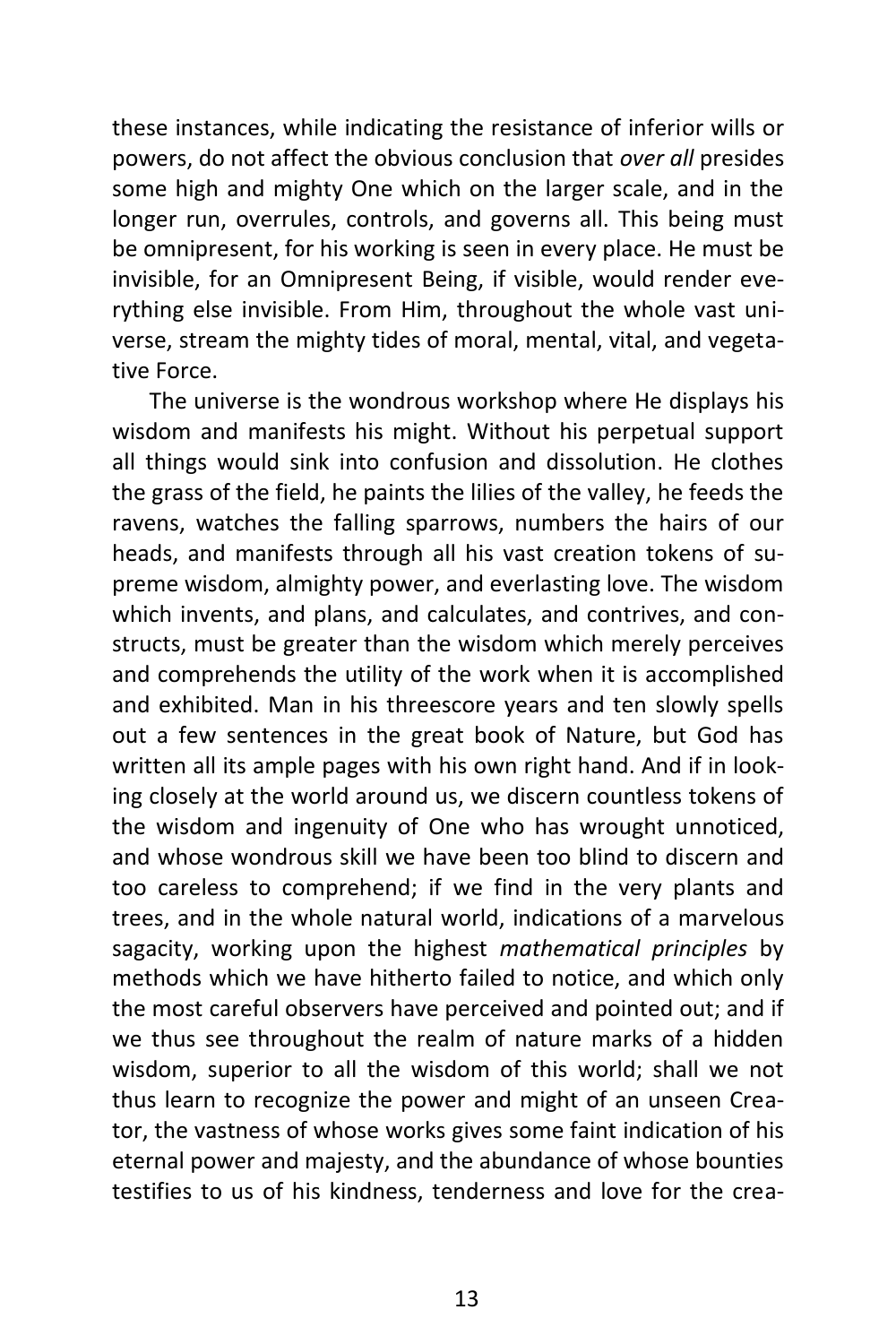these instances, while indicating the resistance of inferior wills or powers, do not affect the obvious conclusion that *over all* presides some high and mighty One which on the larger scale, and in the longer run, overrules, controls, and governs all. This being must be omnipresent, for his working is seen in every place. He must be invisible, for an Omnipresent Being, if visible, would render everything else invisible. From Him, throughout the whole vast universe, stream the mighty tides of moral, mental, vital, and vegetative Force.

The universe is the wondrous workshop where He displays his wisdom and manifests his might. Without his perpetual support all things would sink into confusion and dissolution. He clothes the grass of the field, he paints the lilies of the valley, he feeds the ravens, watches the falling sparrows, numbers the hairs of our heads, and manifests through all his vast creation tokens of supreme wisdom, almighty power, and everlasting love. The wisdom which invents, and plans, and calculates, and contrives, and constructs, must be greater than the wisdom which merely perceives and comprehends the utility of the work when it is accomplished and exhibited. Man in his threescore years and ten slowly spells out a few sentences in the great book of Nature, but God has written all its ample pages with his own right hand. And if in looking closely at the world around us, we discern countless tokens of the wisdom and ingenuity of One who has wrought unnoticed, and whose wondrous skill we have been too blind to discern and too careless to comprehend; if we find in the very plants and trees, and in the whole natural world, indications of a marvelous sagacity, working upon the highest *mathematical principles* by methods which we have hitherto failed to notice, and which only the most careful observers have perceived and pointed out; and if we thus see throughout the realm of nature marks of a hidden wisdom, superior to all the wisdom of this world; shall we not thus learn to recognize the power and might of an unseen Creator, the vastness of whose works gives some faint indication of his eternal power and majesty, and the abundance of whose bounties testifies to us of his kindness, tenderness and love for the crea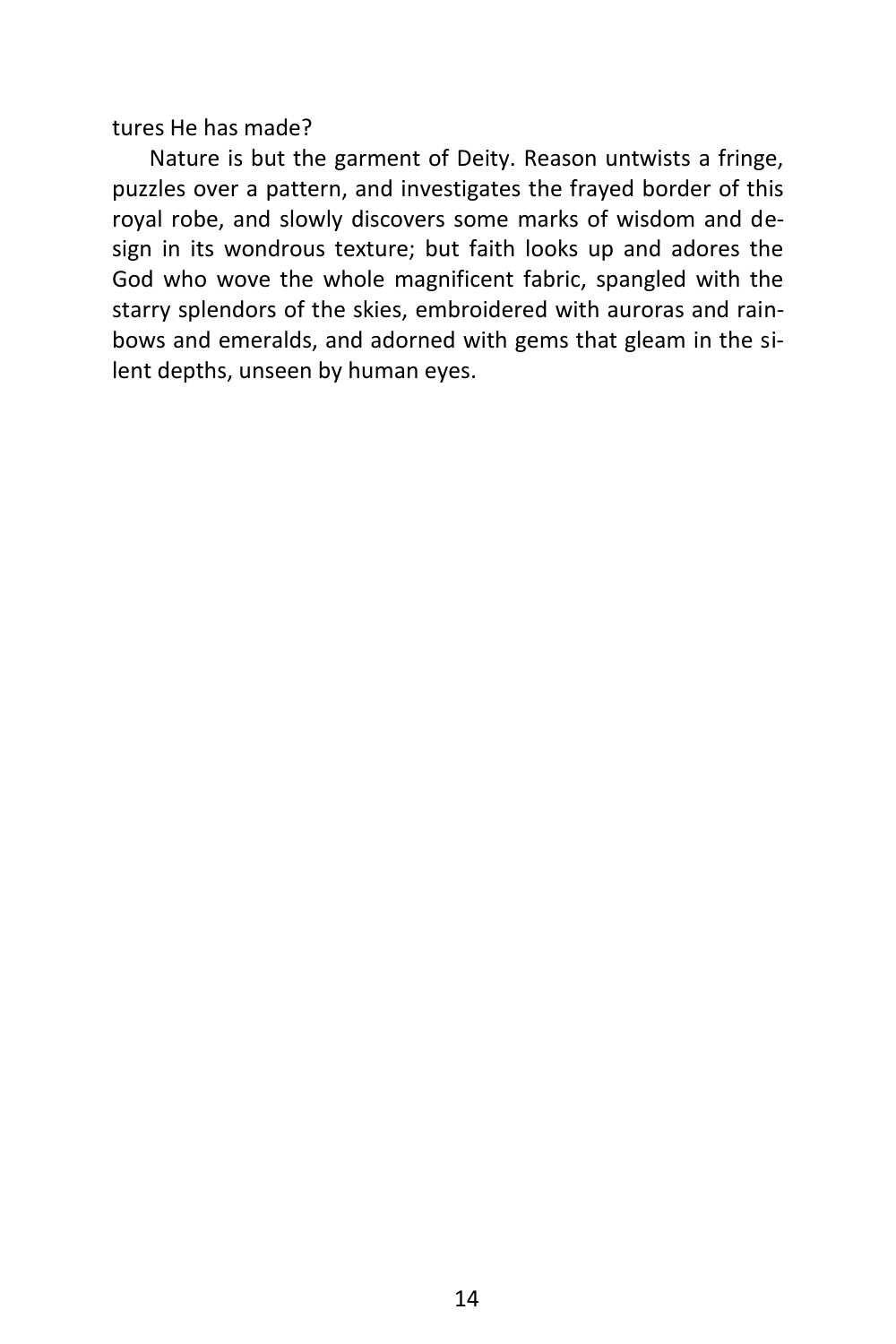tures He has made?

Nature is but the garment of Deity. Reason untwists a fringe, puzzles over a pattern, and investigates the frayed border of this royal robe, and slowly discovers some marks of wisdom and design in its wondrous texture; but faith looks up and adores the God who wove the whole magnificent fabric, spangled with the starry splendors of the skies, embroidered with auroras and rainbows and emeralds, and adorned with gems that gleam in the silent depths, unseen by human eyes.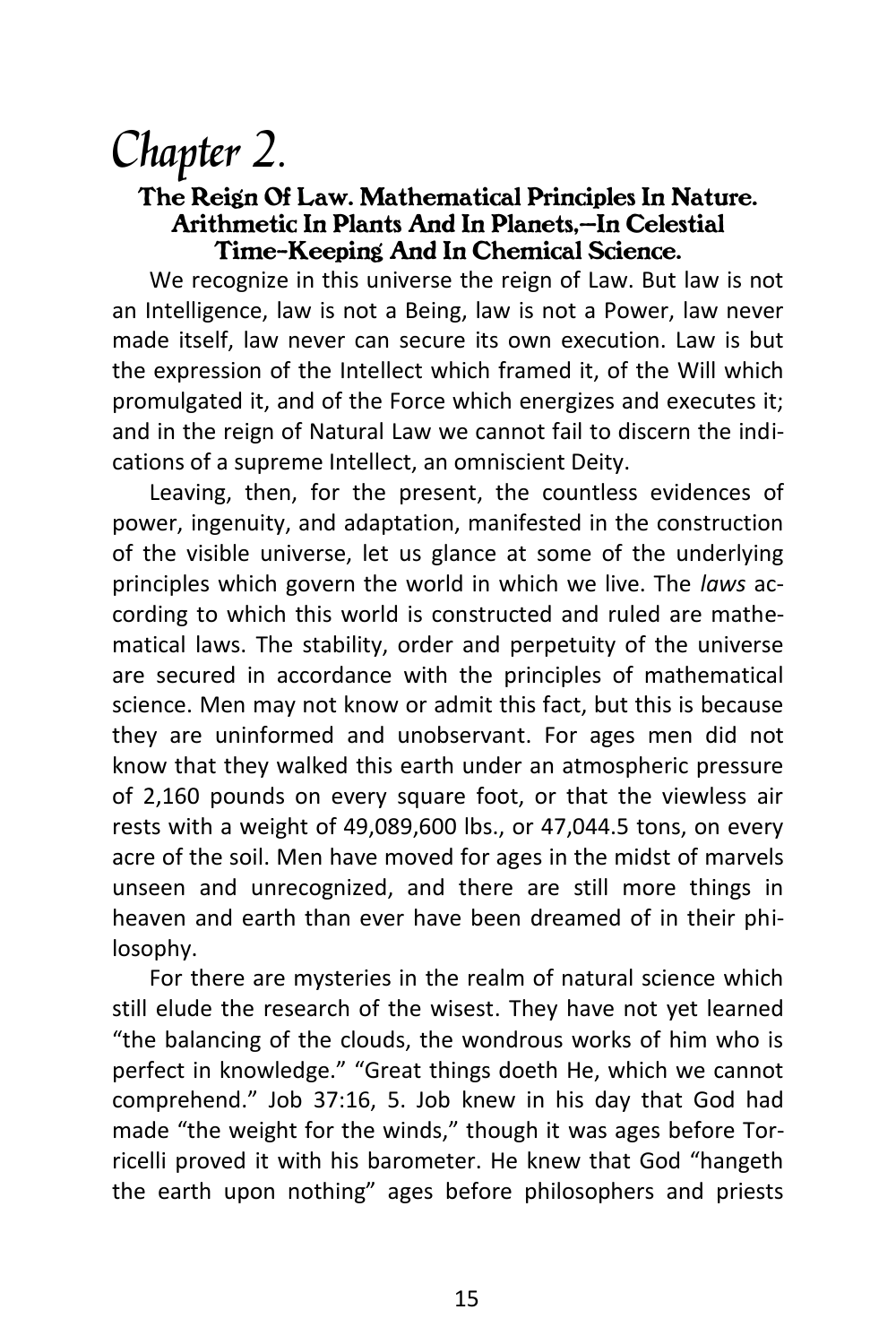### Chapter 2.

#### *The Reign Of Law. Mathematical Principles In Nature. Arithmetic In Plants And In Planets,—In Celestial Time-Keeping And In Chemical Science.*

We recognize in this universe the reign of Law. But law is not an Intelligence, law is not a Being, law is not a Power, law never made itself, law never can secure its own execution. Law is but the expression of the Intellect which framed it, of the Will which promulgated it, and of the Force which energizes and executes it; and in the reign of Natural Law we cannot fail to discern the indications of a supreme Intellect, an omniscient Deity.

Leaving, then, for the present, the countless evidences of power, ingenuity, and adaptation, manifested in the construction of the visible universe, let us glance at some of the underlying principles which govern the world in which we live. The *laws* according to which this world is constructed and ruled are mathematical laws. The stability, order and perpetuity of the universe are secured in accordance with the principles of mathematical science. Men may not know or admit this fact, but this is because they are uninformed and unobservant. For ages men did not know that they walked this earth under an atmospheric pressure of 2,160 pounds on every square foot, or that the viewless air rests with a weight of 49,089,600 lbs., or 47,044.5 tons, on every acre of the soil. Men have moved for ages in the midst of marvels unseen and unrecognized, and there are still more things in heaven and earth than ever have been dreamed of in their philosophy.

For there are mysteries in the realm of natural science which still elude the research of the wisest. They have not yet learned "the balancing of the clouds, the wondrous works of him who is perfect in knowledge." "Great things doeth He, which we cannot comprehend." Job 37:16, 5. Job knew in his day that God had made "the weight for the winds," though it was ages before Torricelli proved it with his barometer. He knew that God "hangeth the earth upon nothing" ages before philosophers and priests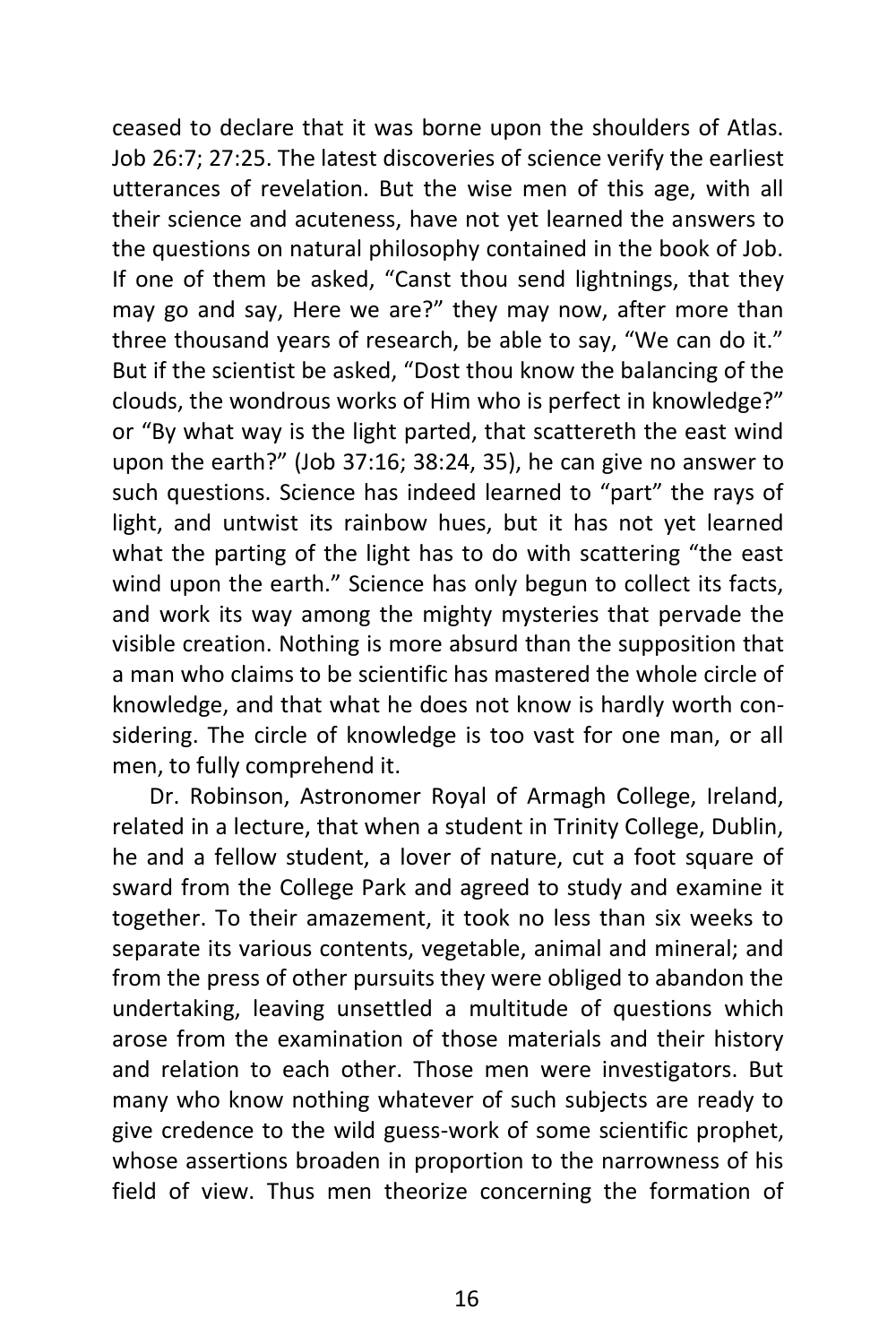ceased to declare that it was borne upon the shoulders of Atlas. Job 26:7; 27:25. The latest discoveries of science verify the earliest utterances of revelation. But the wise men of this age, with all their science and acuteness, have not yet learned the answers to the questions on natural philosophy contained in the book of Job. If one of them be asked, "Canst thou send lightnings, that they may go and say, Here we are?" they may now, after more than three thousand years of research, be able to say, "We can do it." But if the scientist be asked, "Dost thou know the balancing of the clouds, the wondrous works of Him who is perfect in knowledge?" or "By what way is the light parted, that scattereth the east wind upon the earth?" (Job 37:16; 38:24, 35), he can give no answer to such questions. Science has indeed learned to "part" the rays of light, and untwist its rainbow hues, but it has not yet learned what the parting of the light has to do with scattering "the east wind upon the earth." Science has only begun to collect its facts, and work its way among the mighty mysteries that pervade the visible creation. Nothing is more absurd than the supposition that a man who claims to be scientific has mastered the whole circle of knowledge, and that what he does not know is hardly worth considering. The circle of knowledge is too vast for one man, or all men, to fully comprehend it.

Dr. Robinson, Astronomer Royal of Armagh College, Ireland, related in a lecture, that when a student in Trinity College, Dublin, he and a fellow student, a lover of nature, cut a foot square of sward from the College Park and agreed to study and examine it together. To their amazement, it took no less than six weeks to separate its various contents, vegetable, animal and mineral; and from the press of other pursuits they were obliged to abandon the undertaking, leaving unsettled a multitude of questions which arose from the examination of those materials and their history and relation to each other. Those men were investigators. But many who know nothing whatever of such subjects are ready to give credence to the wild guess-work of some scientific prophet, whose assertions broaden in proportion to the narrowness of his field of view. Thus men theorize concerning the formation of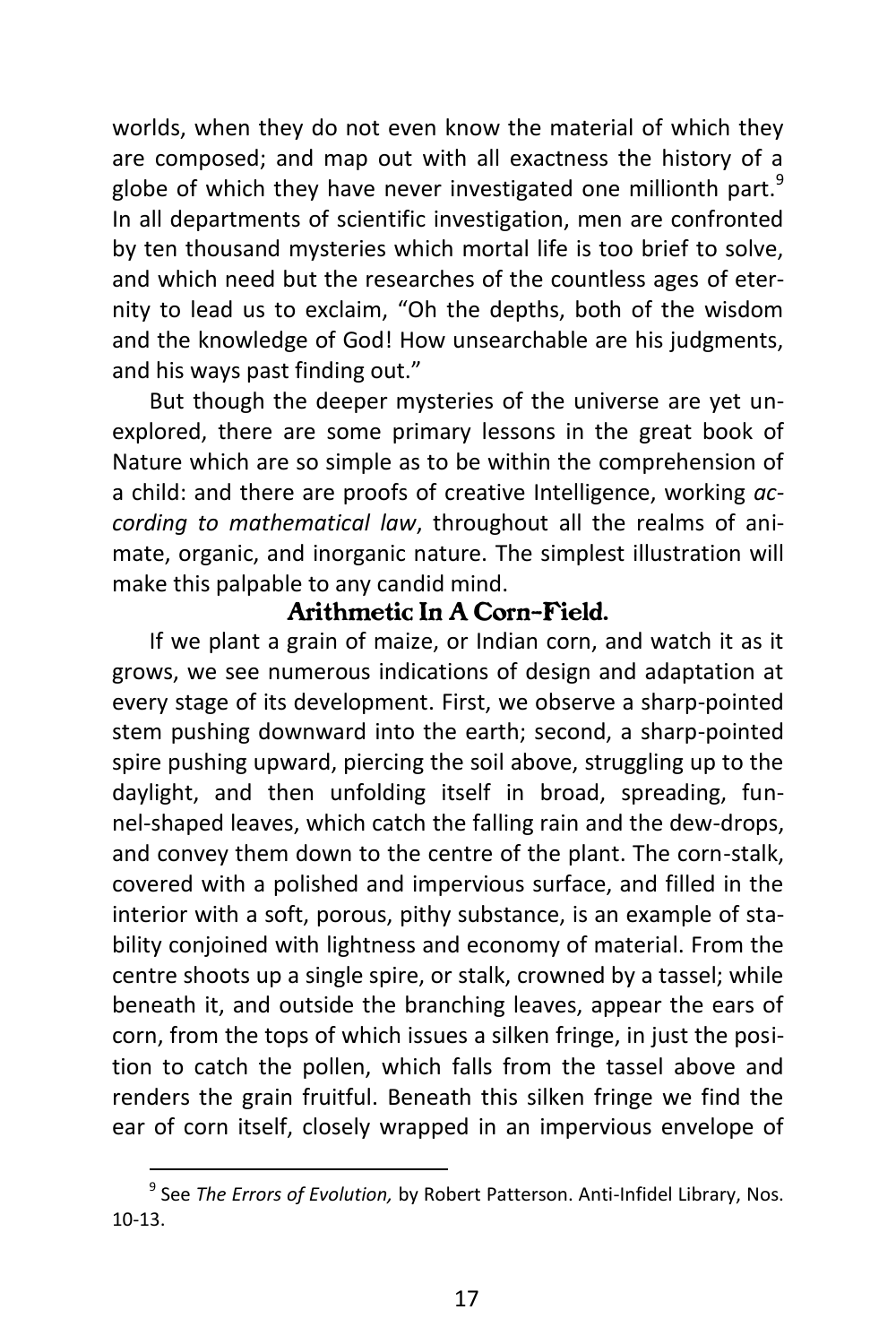worlds, when they do not even know the material of which they are composed; and map out with all exactness the history of a globe of which they have never investigated one millionth part. $9$ In all departments of scientific investigation, men are confronted by ten thousand mysteries which mortal life is too brief to solve, and which need but the researches of the countless ages of eternity to lead us to exclaim, "Oh the depths, both of the wisdom and the knowledge of God! How unsearchable are his judgments, and his ways past finding out."

But though the deeper mysteries of the universe are yet unexplored, there are some primary lessons in the great book of Nature which are so simple as to be within the comprehension of a child: and there are proofs of creative Intelligence, working *according to mathematical law*, throughout all the realms of animate, organic, and inorganic nature. The simplest illustration will make this palpable to any candid mind.

#### *Arithmetic In A Corn-Field.*

If we plant a grain of maize, or Indian corn, and watch it as it grows, we see numerous indications of design and adaptation at every stage of its development. First, we observe a sharp-pointed stem pushing downward into the earth; second, a sharp-pointed spire pushing upward, piercing the soil above, struggling up to the daylight, and then unfolding itself in broad, spreading, funnel-shaped leaves, which catch the falling rain and the dew-drops, and convey them down to the centre of the plant. The corn-stalk, covered with a polished and impervious surface, and filled in the interior with a soft, porous, pithy substance, is an example of stability conjoined with lightness and economy of material. From the centre shoots up a single spire, or stalk, crowned by a tassel; while beneath it, and outside the branching leaves, appear the ears of corn, from the tops of which issues a silken fringe, in just the position to catch the pollen, which falls from the tassel above and renders the grain fruitful. Beneath this silken fringe we find the ear of corn itself, closely wrapped in an impervious envelope of

<sup>9</sup> See *The Errors of Evolution,* by Robert Patterson. Anti-Infidel Library, Nos. 10-13.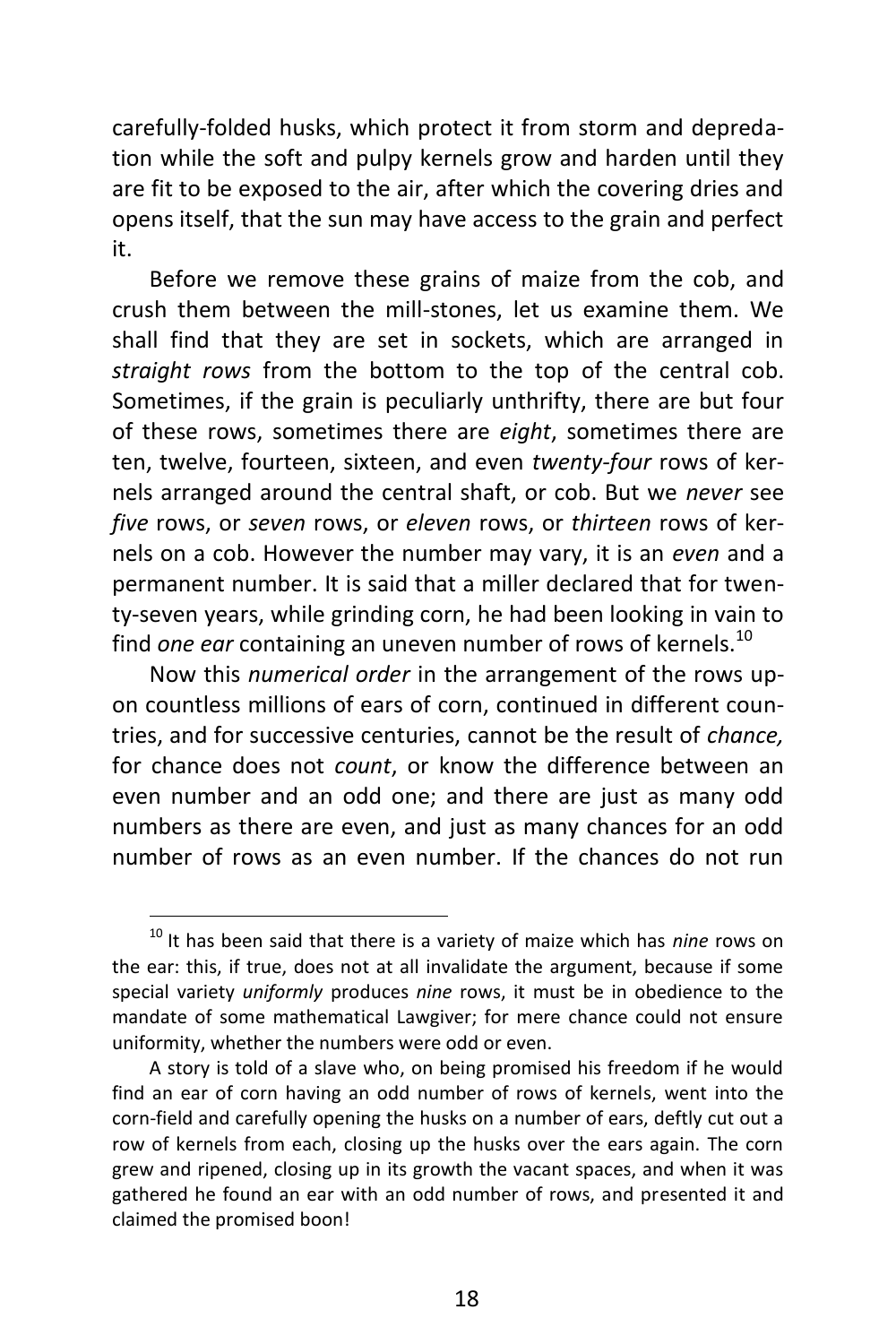carefully-folded husks, which protect it from storm and depredation while the soft and pulpy kernels grow and harden until they are fit to be exposed to the air, after which the covering dries and opens itself, that the sun may have access to the grain and perfect it.

Before we remove these grains of maize from the cob, and crush them between the mill-stones, let us examine them. We shall find that they are set in sockets, which are arranged in *straight rows* from the bottom to the top of the central cob. Sometimes, if the grain is peculiarly unthrifty, there are but four of these rows, sometimes there are *eight*, sometimes there are ten, twelve, fourteen, sixteen, and even *twenty-four* rows of kernels arranged around the central shaft, or cob. But we *never* see *five* rows, or *seven* rows, or *eleven* rows, or *thirteen* rows of kernels on a cob. However the number may vary, it is an *even* and a permanent number. It is said that a miller declared that for twenty-seven years, while grinding corn, he had been looking in vain to find *one ear* containing an uneven number of rows of kernels.<sup>10</sup>

Now this *numerical order* in the arrangement of the rows upon countless millions of ears of corn, continued in different countries, and for successive centuries, cannot be the result of *chance,* for chance does not *count*, or know the difference between an even number and an odd one; and there are just as many odd numbers as there are even, and just as many chances for an odd number of rows as an even number. If the chances do not run

<sup>10</sup> It has been said that there is a variety of maize which has *nine* rows on the ear: this, if true, does not at all invalidate the argument, because if some special variety *uniformly* produces *nine* rows, it must be in obedience to the mandate of some mathematical Lawgiver; for mere chance could not ensure uniformity, whether the numbers were odd or even.

A story is told of a slave who, on being promised his freedom if he would find an ear of corn having an odd number of rows of kernels, went into the corn-field and carefully opening the husks on a number of ears, deftly cut out a row of kernels from each, closing up the husks over the ears again. The corn grew and ripened, closing up in its growth the vacant spaces, and when it was gathered he found an ear with an odd number of rows, and presented it and claimed the promised boon!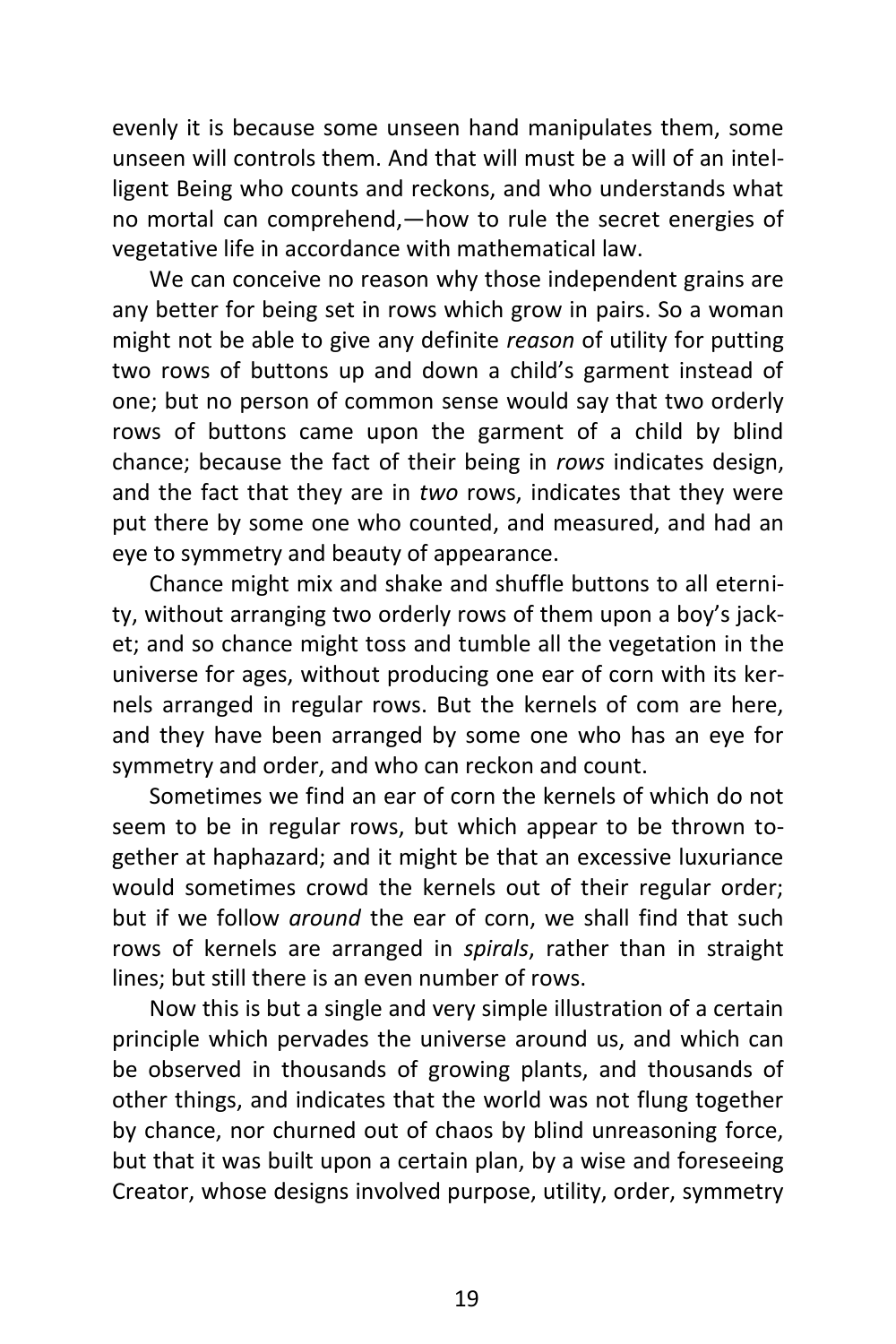evenly it is because some unseen hand manipulates them, some unseen will controls them. And that will must be a will of an intelligent Being who counts and reckons, and who understands what no mortal can comprehend,—how to rule the secret energies of vegetative life in accordance with mathematical law.

We can conceive no reason why those independent grains are any better for being set in rows which grow in pairs. So a woman might not be able to give any definite *reason* of utility for putting two rows of buttons up and down a child's garment instead of one; but no person of common sense would say that two orderly rows of buttons came upon the garment of a child by blind chance; because the fact of their being in *rows* indicates design, and the fact that they are in *two* rows, indicates that they were put there by some one who counted, and measured, and had an eye to symmetry and beauty of appearance.

Chance might mix and shake and shuffle buttons to all eternity, without arranging two orderly rows of them upon a boy's jacket; and so chance might toss and tumble all the vegetation in the universe for ages, without producing one ear of corn with its kernels arranged in regular rows. But the kernels of com are here, and they have been arranged by some one who has an eye for symmetry and order, and who can reckon and count.

Sometimes we find an ear of corn the kernels of which do not seem to be in regular rows, but which appear to be thrown together at haphazard; and it might be that an excessive luxuriance would sometimes crowd the kernels out of their regular order; but if we follow *around* the ear of corn, we shall find that such rows of kernels are arranged in *spirals*, rather than in straight lines; but still there is an even number of rows.

Now this is but a single and very simple illustration of a certain principle which pervades the universe around us, and which can be observed in thousands of growing plants, and thousands of other things, and indicates that the world was not flung together by chance, nor churned out of chaos by blind unreasoning force, but that it was built upon a certain plan, by a wise and foreseeing Creator, whose designs involved purpose, utility, order, symmetry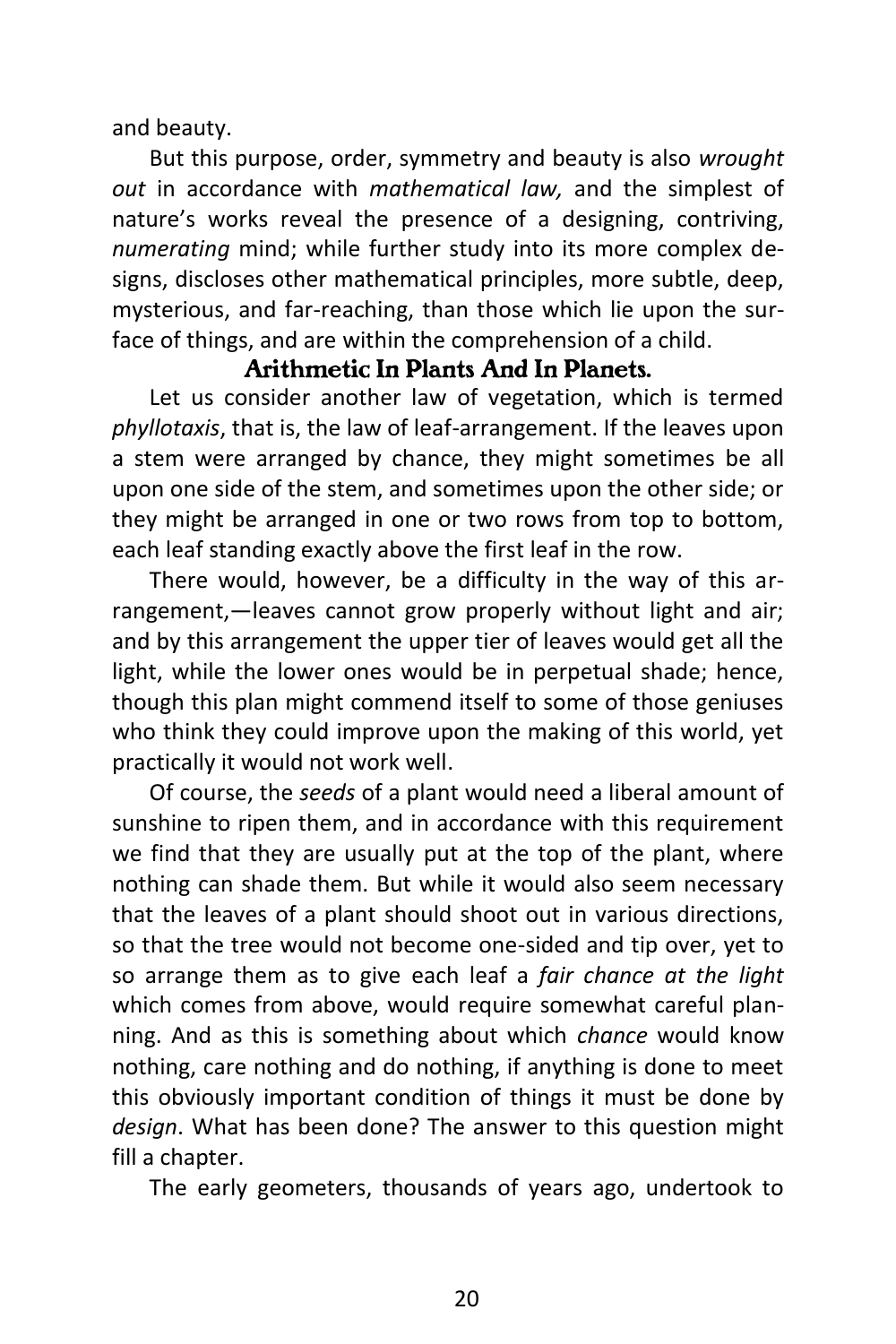and beauty.

But this purpose, order, symmetry and beauty is also *wrought out* in accordance with *mathematical law,* and the simplest of nature's works reveal the presence of a designing, contriving, *numerating* mind; while further study into its more complex designs, discloses other mathematical principles, more subtle, deep, mysterious, and far-reaching, than those which lie upon the surface of things, and are within the comprehension of a child.

#### *Arithmetic In Plants And In Planets.*

Let us consider another law of vegetation, which is termed *phyllotaxis*, that is, the law of leaf-arrangement. If the leaves upon a stem were arranged by chance, they might sometimes be all upon one side of the stem, and sometimes upon the other side; or they might be arranged in one or two rows from top to bottom, each leaf standing exactly above the first leaf in the row.

There would, however, be a difficulty in the way of this arrangement,—leaves cannot grow properly without light and air; and by this arrangement the upper tier of leaves would get all the light, while the lower ones would be in perpetual shade; hence, though this plan might commend itself to some of those geniuses who think they could improve upon the making of this world, yet practically it would not work well.

Of course, the *seeds* of a plant would need a liberal amount of sunshine to ripen them, and in accordance with this requirement we find that they are usually put at the top of the plant, where nothing can shade them. But while it would also seem necessary that the leaves of a plant should shoot out in various directions, so that the tree would not become one-sided and tip over, yet to so arrange them as to give each leaf a *fair chance at the light* which comes from above, would require somewhat careful planning. And as this is something about which *chance* would know nothing, care nothing and do nothing, if anything is done to meet this obviously important condition of things it must be done by *design*. What has been done? The answer to this question might fill a chapter.

The early geometers, thousands of years ago, undertook to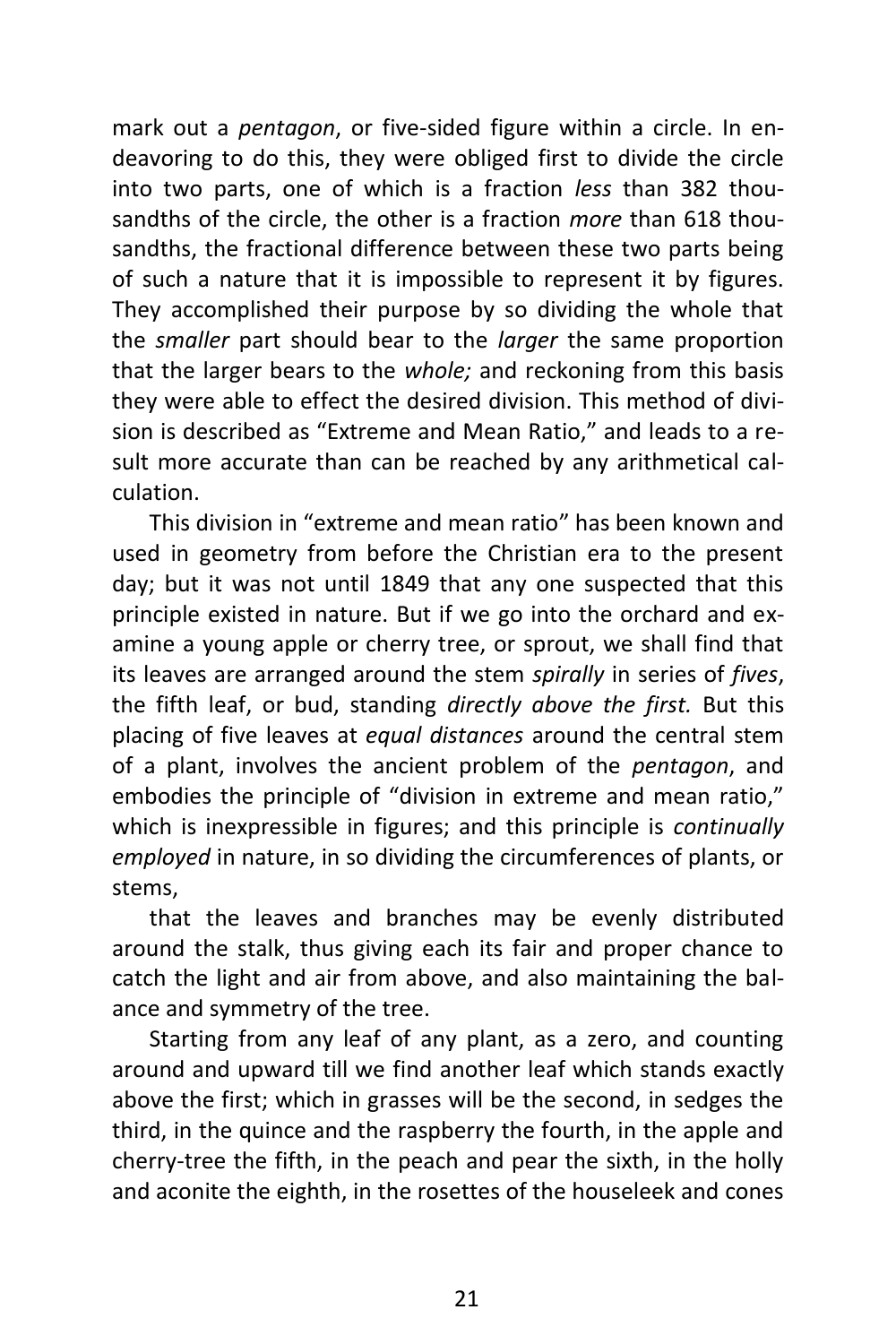mark out a *pentagon*, or five-sided figure within a circle. In endeavoring to do this, they were obliged first to divide the circle into two parts, one of which is a fraction *less* than 382 thousandths of the circle, the other is a fraction *more* than 618 thousandths, the fractional difference between these two parts being of such a nature that it is impossible to represent it by figures. They accomplished their purpose by so dividing the whole that the *smaller* part should bear to the *larger* the same proportion that the larger bears to the *whole;* and reckoning from this basis they were able to effect the desired division. This method of division is described as "Extreme and Mean Ratio," and leads to a result more accurate than can be reached by any arithmetical calculation.

This division in "extreme and mean ratio" has been known and used in geometry from before the Christian era to the present day; but it was not until 1849 that any one suspected that this principle existed in nature. But if we go into the orchard and examine a young apple or cherry tree, or sprout, we shall find that its leaves are arranged around the stem *spirally* in series of *fives*, the fifth leaf, or bud, standing *directly above the first.* But this placing of five leaves at *equal distances* around the central stem of a plant, involves the ancient problem of the *pentagon*, and embodies the principle of "division in extreme and mean ratio," which is inexpressible in figures; and this principle is *continually employed* in nature, in so dividing the circumferences of plants, or stems,

that the leaves and branches may be evenly distributed around the stalk, thus giving each its fair and proper chance to catch the light and air from above, and also maintaining the balance and symmetry of the tree.

Starting from any leaf of any plant, as a zero, and counting around and upward till we find another leaf which stands exactly above the first; which in grasses will be the second, in sedges the third, in the quince and the raspberry the fourth, in the apple and cherry-tree the fifth, in the peach and pear the sixth, in the holly and aconite the eighth, in the rosettes of the houseleek and cones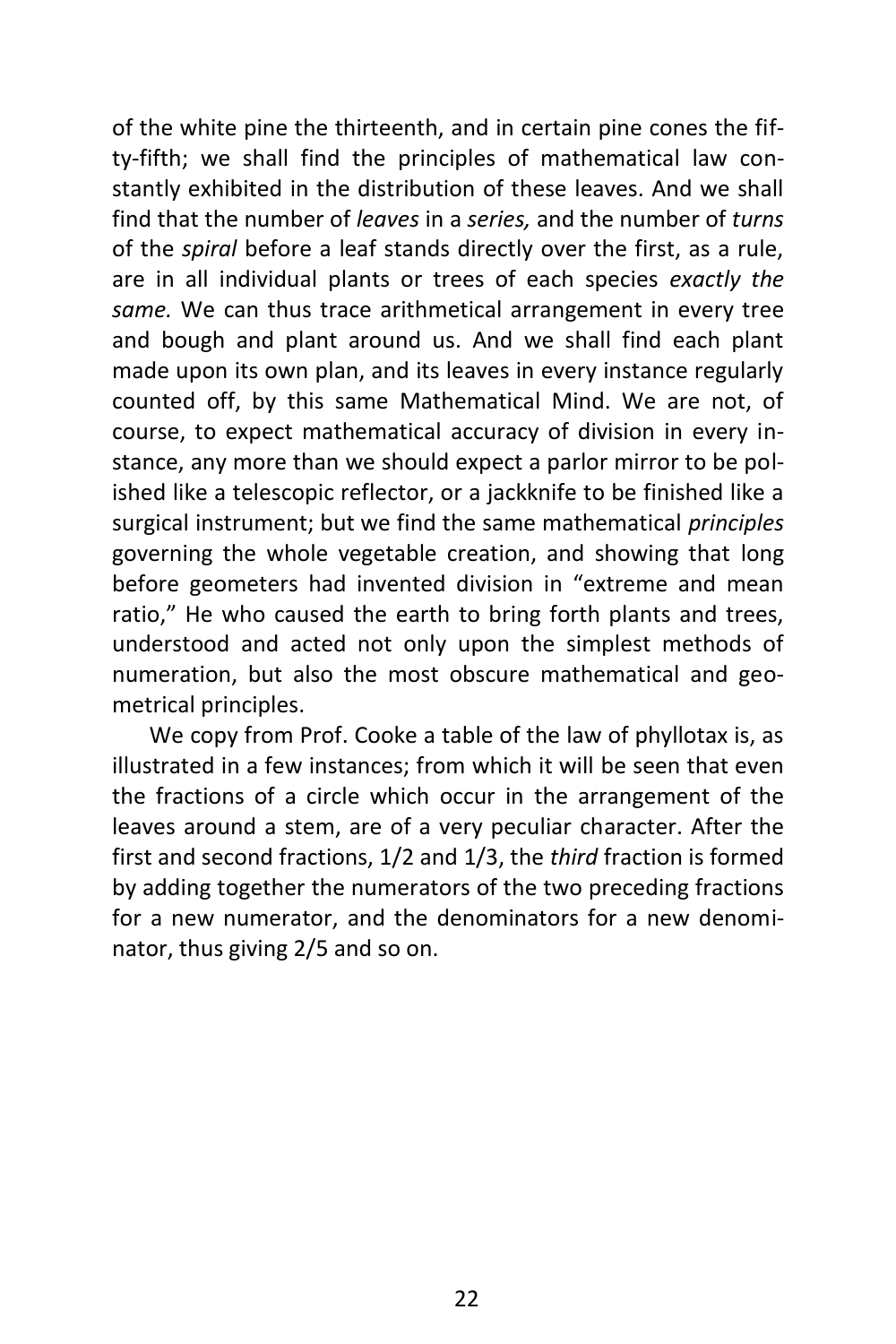of the white pine the thirteenth, and in certain pine cones the fifty-fifth; we shall find the principles of mathematical law constantly exhibited in the distribution of these leaves. And we shall find that the number of *leaves* in a *series,* and the number of *turns* of the *spiral* before a leaf stands directly over the first, as a rule, are in all individual plants or trees of each species *exactly the same.* We can thus trace arithmetical arrangement in every tree and bough and plant around us. And we shall find each plant made upon its own plan, and its leaves in every instance regularly counted off, by this same Mathematical Mind. We are not, of course, to expect mathematical accuracy of division in every instance, any more than we should expect a parlor mirror to be polished like a telescopic reflector, or a jackknife to be finished like a surgical instrument; but we find the same mathematical *principles* governing the whole vegetable creation, and showing that long before geometers had invented division in "extreme and mean ratio," He who caused the earth to bring forth plants and trees, understood and acted not only upon the simplest methods of numeration, but also the most obscure mathematical and geometrical principles.

We copy from Prof. Cooke a table of the law of phyllotax is, as illustrated in a few instances; from which it will be seen that even the fractions of a circle which occur in the arrangement of the leaves around a stem, are of a very peculiar character. After the first and second fractions, 1/2 and 1/3, the *third* fraction is formed by adding together the numerators of the two preceding fractions for a new numerator, and the denominators for a new denominator, thus giving 2/5 and so on.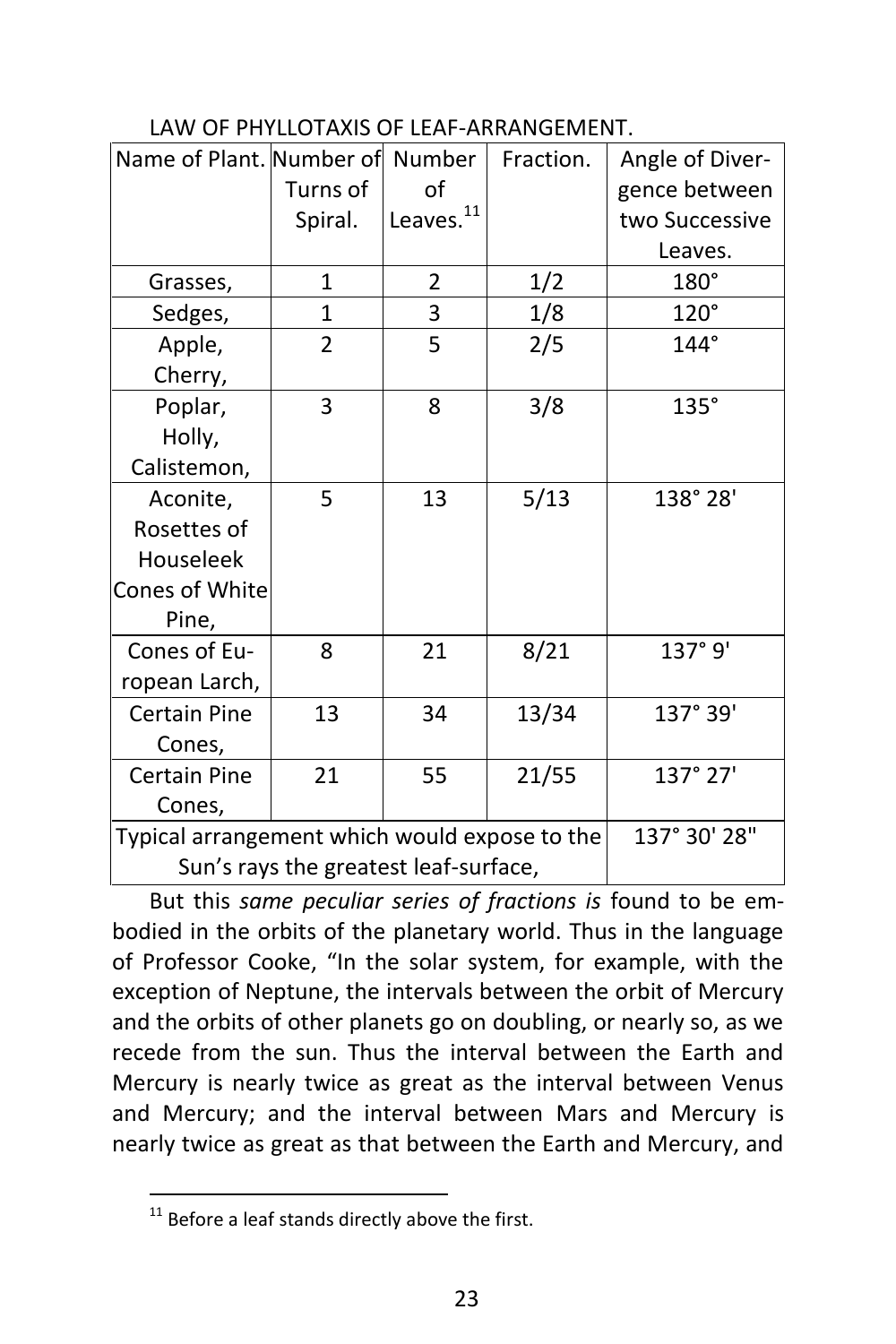#### LAW OF PHYLLOTAXIS OF LEAF-ARRANGEMENT.

| Name of Plant. Number of Number               |                |                       | Fraction. | Angle of Diver- |
|-----------------------------------------------|----------------|-----------------------|-----------|-----------------|
|                                               | Turns of       | οf                    |           | gence between   |
|                                               | Spiral.        | Leaves. <sup>11</sup> |           | two Successive  |
|                                               |                |                       |           | Leaves.         |
| Grasses,                                      | $\mathbf{1}$   | 2                     | 1/2       | 180°            |
| Sedges,                                       | 1              | 3                     | 1/8       | $120^\circ$     |
| Apple,                                        | $\overline{2}$ | 5                     | 2/5       | $144^\circ$     |
| Cherry,                                       |                |                       |           |                 |
| Poplar,                                       | 3              | 8                     | 3/8       | $135^\circ$     |
| Holly,                                        |                |                       |           |                 |
| Calistemon,                                   |                |                       |           |                 |
| Aconite,                                      | 5              | 13                    | 5/13      | 138°28'         |
| Rosettes of                                   |                |                       |           |                 |
| Houseleek                                     |                |                       |           |                 |
| Cones of White                                |                |                       |           |                 |
| Pine,                                         |                |                       |           |                 |
| Cones of Eu-                                  | 8              | 21                    | 8/21      | 137°9'          |
| ropean Larch,                                 |                |                       |           |                 |
| <b>Certain Pine</b>                           | 13             | 34                    | 13/34     | 137° 39'        |
| Cones,                                        |                |                       |           |                 |
| <b>Certain Pine</b>                           | 21             | 55                    | 21/55     | 137° 27'        |
| Cones,                                        |                |                       |           |                 |
| Typical arrangement which would expose to the | 137° 30' 28"   |                       |           |                 |
| Sun's rays the greatest leaf-surface,         |                |                       |           |                 |

But this *same peculiar series of fractions is* found to be embodied in the orbits of the planetary world. Thus in the language of Professor Cooke, "In the solar system, for example, with the exception of Neptune, the intervals between the orbit of Mercury and the orbits of other planets go on doubling, or nearly so, as we recede from the sun. Thus the interval between the Earth and Mercury is nearly twice as great as the interval between Venus and Mercury; and the interval between Mars and Mercury is nearly twice as great as that between the Earth and Mercury, and

 $\overline{a}$  $11$  Before a leaf stands directly above the first.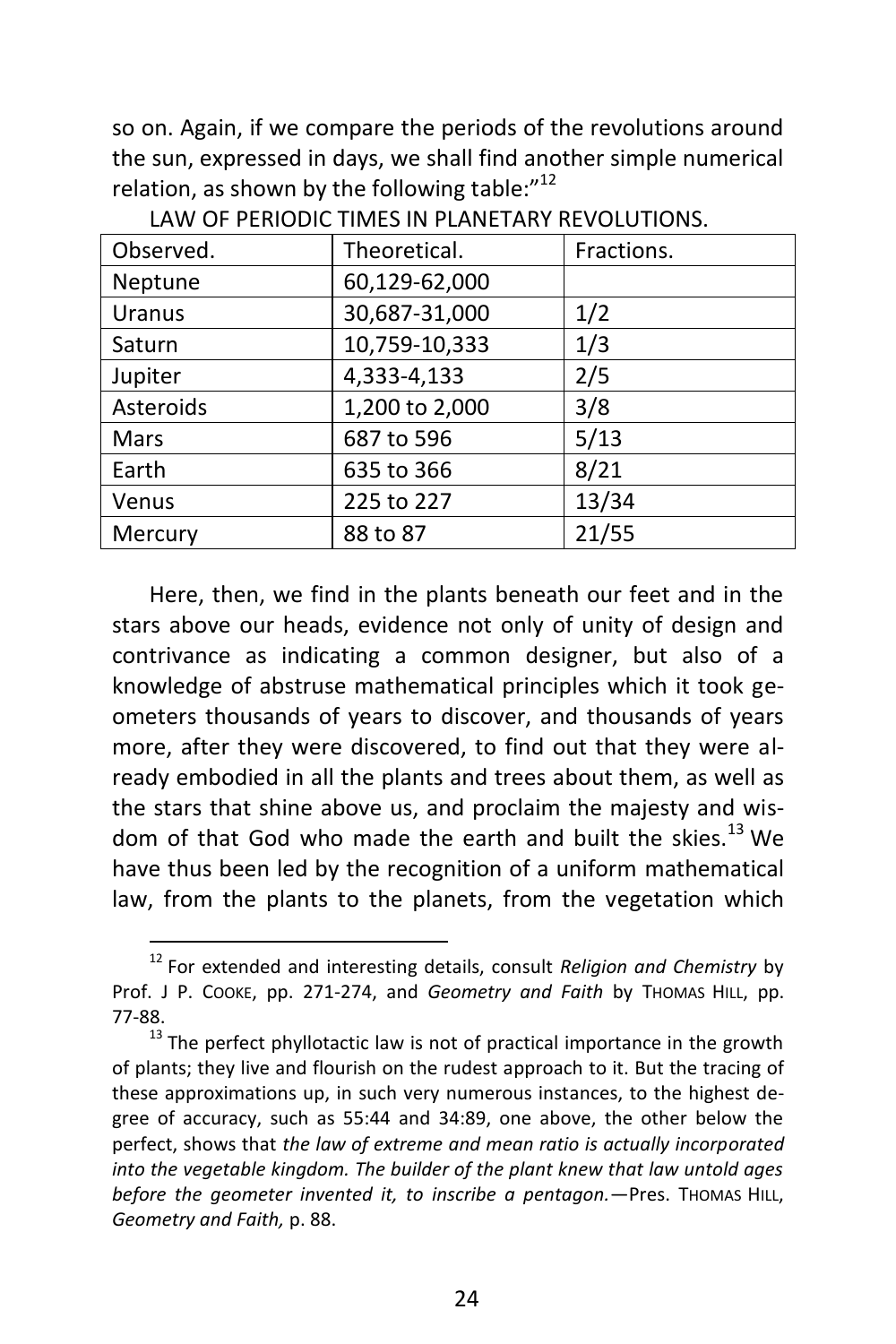so on. Again, if we compare the periods of the revolutions around the sun, expressed in days, we shall find another simple numerical relation, as shown by the following table:" $^{12}$ 

| Observed.     | Theoretical.   | Fractions. |
|---------------|----------------|------------|
| Neptune       | 60,129-62,000  |            |
| <b>Uranus</b> | 30,687-31,000  | 1/2        |
| Saturn        | 10,759-10,333  | 1/3        |
| Jupiter       | 4,333-4,133    | 2/5        |
| Asteroids     | 1,200 to 2,000 | 3/8        |
| Mars          | 687 to 596     | 5/13       |
| Earth         | 635 to 366     | 8/21       |
| Venus         | 225 to 227     | 13/34      |
| Mercury       | 88 to 87       | 21/55      |

LAW OF PERIODIC TIMES IN PLANETARY REVOLUTIONS.

Here, then, we find in the plants beneath our feet and in the stars above our heads, evidence not only of unity of design and contrivance as indicating a common designer, but also of a knowledge of abstruse mathematical principles which it took geometers thousands of years to discover, and thousands of years more, after they were discovered, to find out that they were already embodied in all the plants and trees about them, as well as the stars that shine above us, and proclaim the majesty and wisdom of that God who made the earth and built the skies.<sup>13</sup> We have thus been led by the recognition of a uniform mathematical law, from the plants to the planets, from the vegetation which

<sup>12</sup> For extended and interesting details, consult *Religion and Chemistry* by Prof. J P. COOKE, pp. 271-274, and *Geometry and Faith* by THOMAS HILL, pp. 77-88.

 $13$  The perfect phyllotactic law is not of practical importance in the growth of plants; they live and flourish on the rudest approach to it. But the tracing of these approximations up, in such very numerous instances, to the highest degree of accuracy, such as 55:44 and 34:89, one above, the other below the perfect, shows that *the law of extreme and mean ratio is actually incorporated into the vegetable kingdom. The builder of the plant knew that law untold ages before the geometer invented it, to inscribe a pentagon.*—Pres. THOMAS HILL, *Geometry and Faith,* p. 88.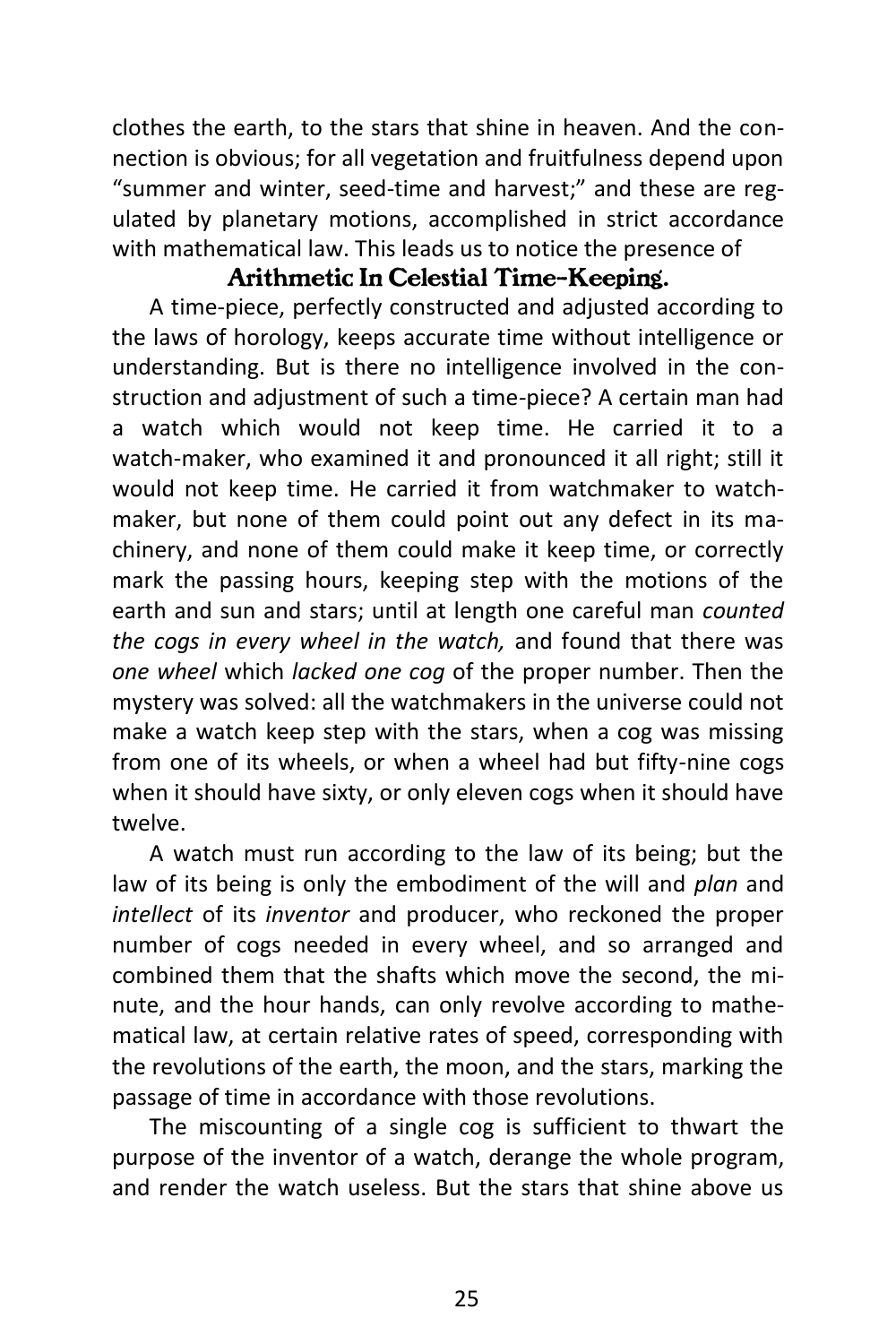clothes the earth, to the stars that shine in heaven. And the connection is obvious; for all vegetation and fruitfulness depend upon "summer and winter, seed-time and harvest;" and these are regulated by planetary motions, accomplished in strict accordance with mathematical law. This leads us to notice the presence of

#### *Arithmetic In Celestial Time-Keeping.*

A time-piece, perfectly constructed and adjusted according to the laws of horology, keeps accurate time without intelligence or understanding. But is there no intelligence involved in the construction and adjustment of such a time-piece? A certain man had a watch which would not keep time. He carried it to a watch-maker, who examined it and pronounced it all right; still it would not keep time. He carried it from watchmaker to watchmaker, but none of them could point out any defect in its machinery, and none of them could make it keep time, or correctly mark the passing hours, keeping step with the motions of the earth and sun and stars; until at length one careful man *counted the cogs in every wheel in the watch,* and found that there was *one wheel* which *lacked one cog* of the proper number. Then the mystery was solved: all the watchmakers in the universe could not make a watch keep step with the stars, when a cog was missing from one of its wheels, or when a wheel had but fifty-nine cogs when it should have sixty, or only eleven cogs when it should have twelve.

A watch must run according to the law of its being; but the law of its being is only the embodiment of the will and *plan* and *intellect* of its *inventor* and producer, who reckoned the proper number of cogs needed in every wheel, and so arranged and combined them that the shafts which move the second, the minute, and the hour hands, can only revolve according to mathematical law, at certain relative rates of speed, corresponding with the revolutions of the earth, the moon, and the stars, marking the passage of time in accordance with those revolutions.

The miscounting of a single cog is sufficient to thwart the purpose of the inventor of a watch, derange the whole program, and render the watch useless. But the stars that shine above us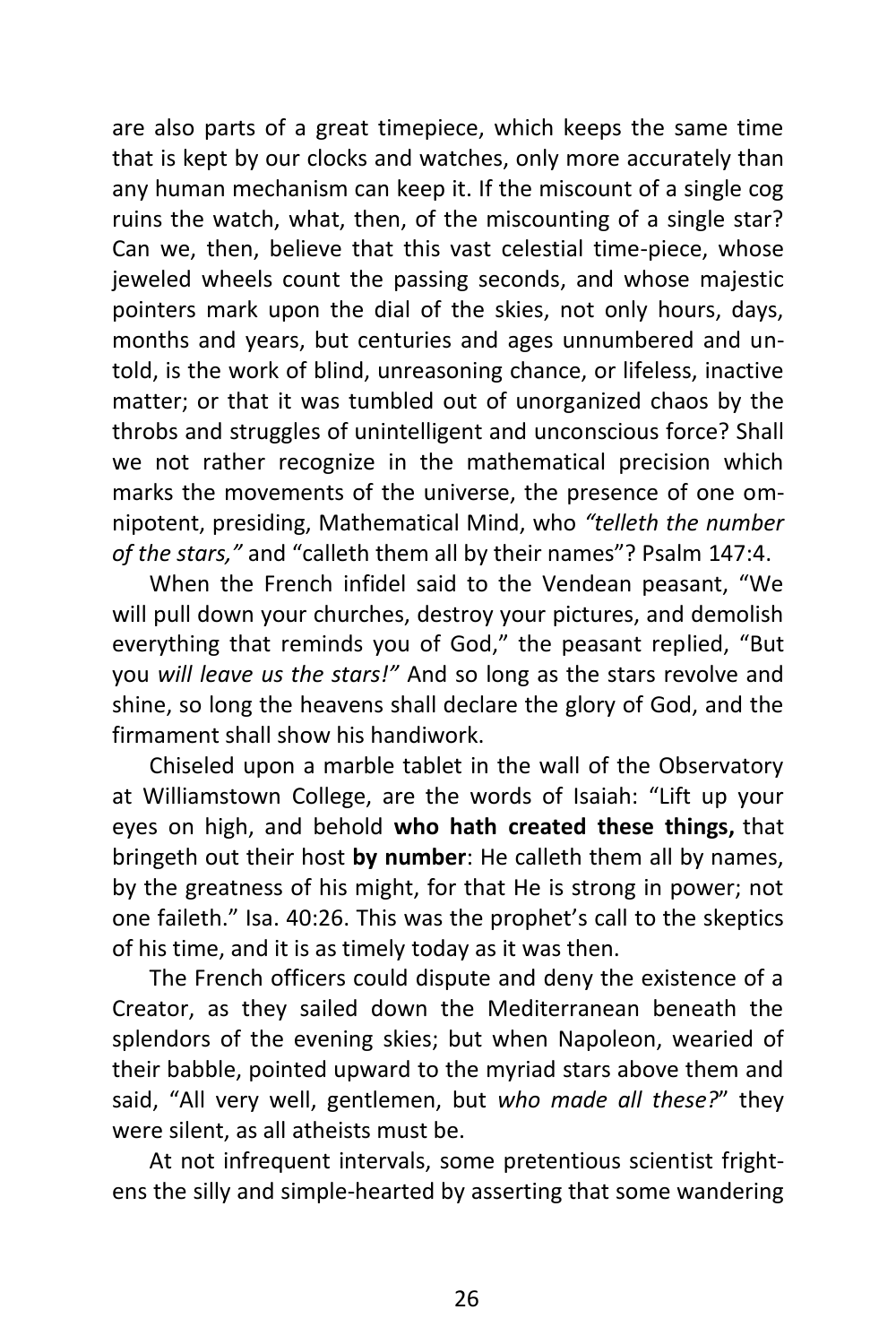are also parts of a great timepiece, which keeps the same time that is kept by our clocks and watches, only more accurately than any human mechanism can keep it. If the miscount of a single cog ruins the watch, what, then, of the miscounting of a single star? Can we, then, believe that this vast celestial time-piece, whose jeweled wheels count the passing seconds, and whose majestic pointers mark upon the dial of the skies, not only hours, days, months and years, but centuries and ages unnumbered and untold, is the work of blind, unreasoning chance, or lifeless, inactive matter; or that it was tumbled out of unorganized chaos by the throbs and struggles of unintelligent and unconscious force? Shall we not rather recognize in the mathematical precision which marks the movements of the universe, the presence of one omnipotent, presiding, Mathematical Mind, who *"telleth the number of the stars,"* and "calleth them all by their names"? Psalm 147:4.

When the French infidel said to the Vendean peasant, "We will pull down your churches, destroy your pictures, and demolish everything that reminds you of God," the peasant replied, "But you *will leave us the stars!"* And so long as the stars revolve and shine, so long the heavens shall declare the glory of God, and the firmament shall show his handiwork.

Chiseled upon a marble tablet in the wall of the Observatory at Williamstown College, are the words of Isaiah: "Lift up your eyes on high, and behold **who hath created these things,** that bringeth out their host **by number**: He calleth them all by names, by the greatness of his might, for that He is strong in power; not one faileth." Isa. 40:26. This was the prophet's call to the skeptics of his time, and it is as timely today as it was then.

The French officers could dispute and deny the existence of a Creator, as they sailed down the Mediterranean beneath the splendors of the evening skies; but when Napoleon, wearied of their babble, pointed upward to the myriad stars above them and said, "All very well, gentlemen, but *who made all these?*" they were silent, as all atheists must be.

At not infrequent intervals, some pretentious scientist frightens the silly and simple-hearted by asserting that some wandering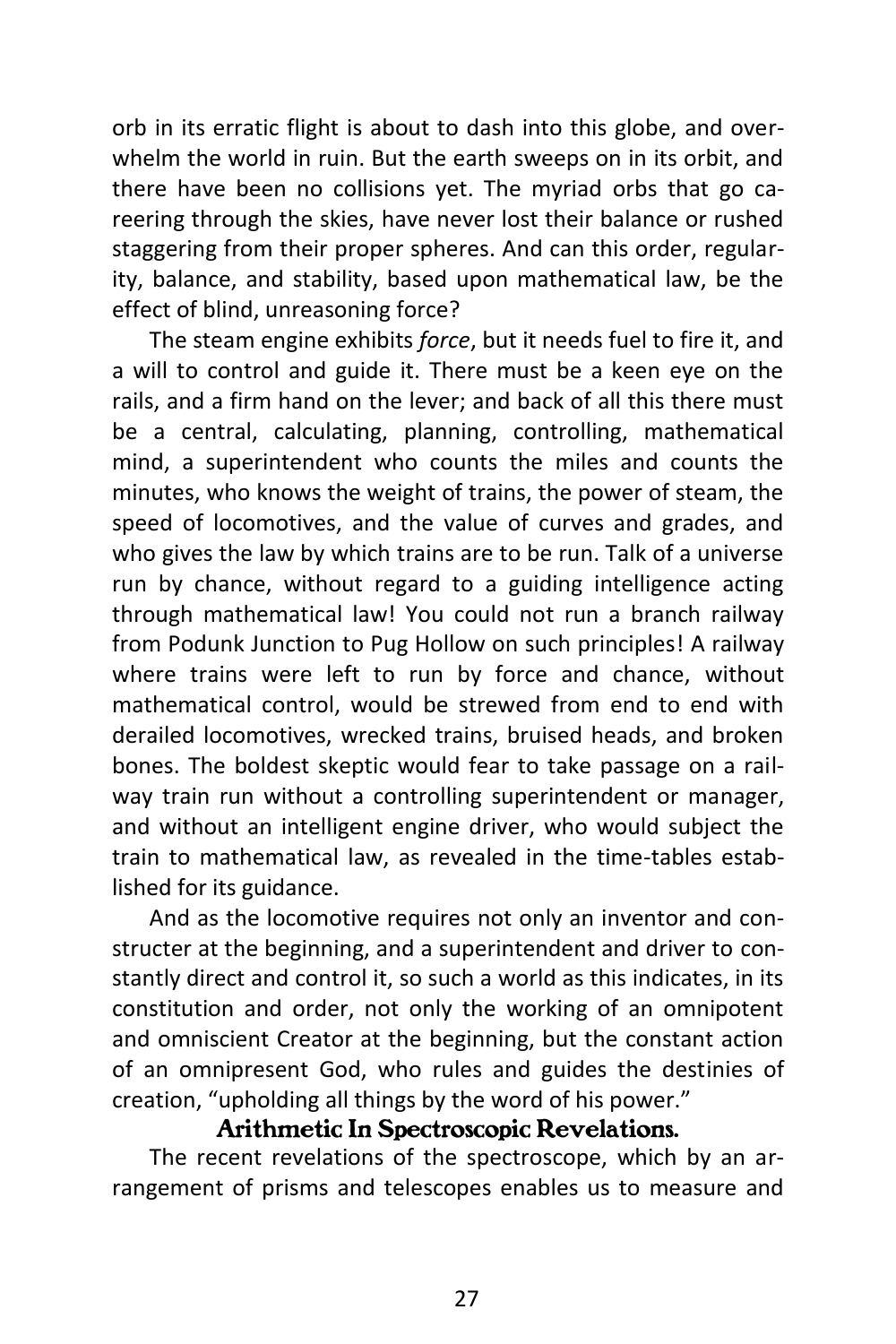orb in its erratic flight is about to dash into this globe, and overwhelm the world in ruin. But the earth sweeps on in its orbit, and there have been no collisions yet. The myriad orbs that go careering through the skies, have never lost their balance or rushed staggering from their proper spheres. And can this order, regularity, balance, and stability, based upon mathematical law, be the effect of blind, unreasoning force?

The steam engine exhibits *force*, but it needs fuel to fire it, and a will to control and guide it. There must be a keen eye on the rails, and a firm hand on the lever; and back of all this there must be a central, calculating, planning, controlling, mathematical mind, a superintendent who counts the miles and counts the minutes, who knows the weight of trains, the power of steam, the speed of locomotives, and the value of curves and grades, and who gives the law by which trains are to be run. Talk of a universe run by chance, without regard to a guiding intelligence acting through mathematical law! You could not run a branch railway from Podunk Junction to Pug Hollow on such principles! A railway where trains were left to run by force and chance, without mathematical control, would be strewed from end to end with derailed locomotives, wrecked trains, bruised heads, and broken bones. The boldest skeptic would fear to take passage on a railway train run without a controlling superintendent or manager, and without an intelligent engine driver, who would subject the train to mathematical law, as revealed in the time-tables established for its guidance.

And as the locomotive requires not only an inventor and constructer at the beginning, and a superintendent and driver to constantly direct and control it, so such a world as this indicates, in its constitution and order, not only the working of an omnipotent and omniscient Creator at the beginning, but the constant action of an omnipresent God, who rules and guides the destinies of creation, "upholding all things by the word of his power."

#### *Arithmetic In Spectroscopic Revelations.*

The recent revelations of the spectroscope, which by an arrangement of prisms and telescopes enables us to measure and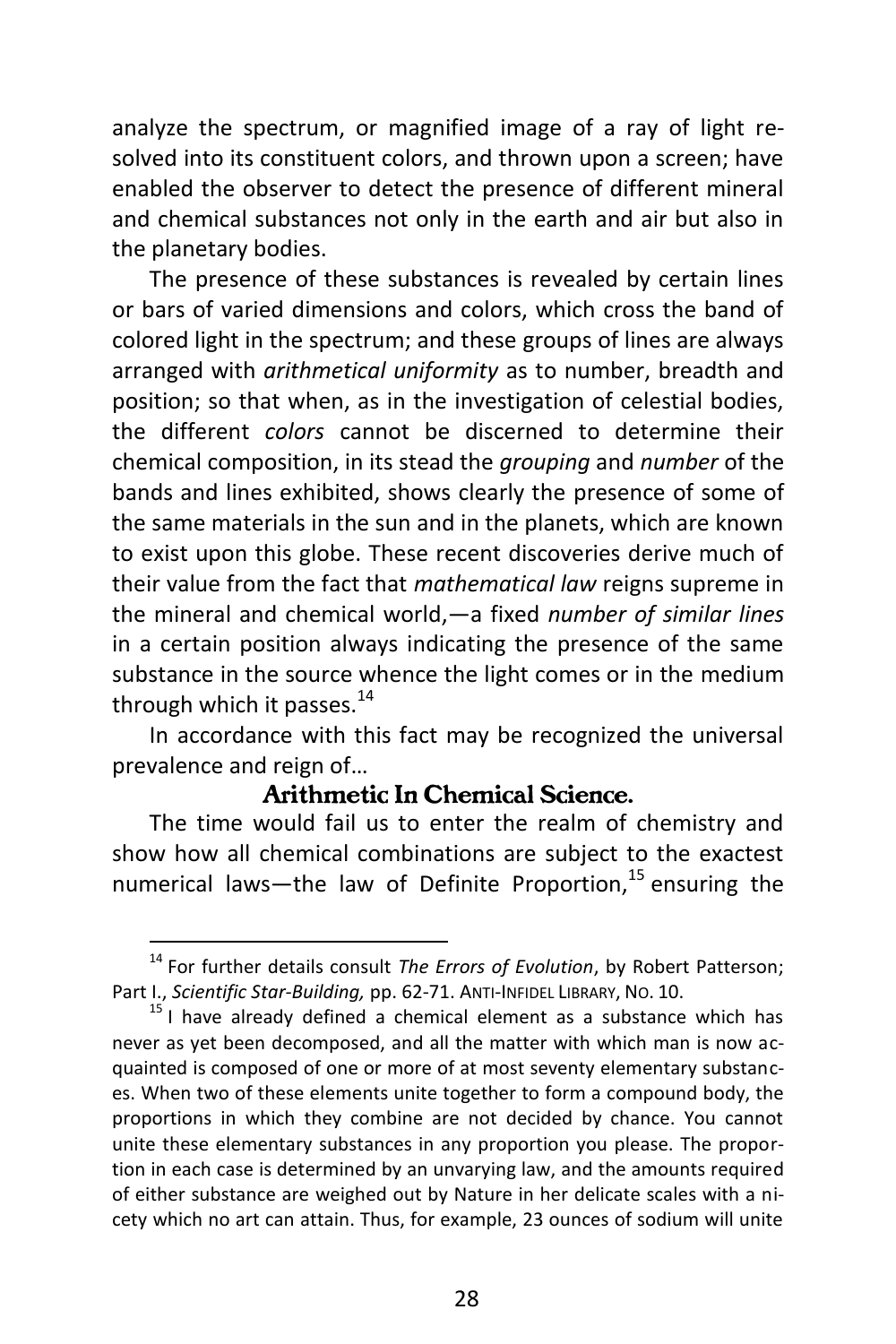analyze the spectrum, or magnified image of a ray of light resolved into its constituent colors, and thrown upon a screen; have enabled the observer to detect the presence of different mineral and chemical substances not only in the earth and air but also in the planetary bodies.

The presence of these substances is revealed by certain lines or bars of varied dimensions and colors, which cross the band of colored light in the spectrum; and these groups of lines are always arranged with *arithmetical uniformity* as to number, breadth and position; so that when, as in the investigation of celestial bodies, the different *colors* cannot be discerned to determine their chemical composition, in its stead the *grouping* and *number* of the bands and lines exhibited, shows clearly the presence of some of the same materials in the sun and in the planets, which are known to exist upon this globe. These recent discoveries derive much of their value from the fact that *mathematical law* reigns supreme in the mineral and chemical world,—a fixed *number of similar lines* in a certain position always indicating the presence of the same substance in the source whence the light comes or in the medium through which it passes. $^{14}$ 

In accordance with this fact may be recognized the universal prevalence and reign of…

#### *Arithmetic In Chemical Science.*

The time would fail us to enter the realm of chemistry and show how all chemical combinations are subject to the exactest numerical laws—the law of Definite Proportion,  $15$  ensuring the

<sup>14</sup> For further details consult *The Errors of Evolution*, by Robert Patterson; Part I., *Scientific Star-Building,* pp. 62-71. ANTI-INFIDEL LIBRARY, NO. 10.

 $15$  I have already defined a chemical element as a substance which has never as yet been decomposed, and all the matter with which man is now acquainted is composed of one or more of at most seventy elementary substances. When two of these elements unite together to form a compound body, the proportions in which they combine are not decided by chance. You cannot unite these elementary substances in any proportion you please. The proportion in each case is determined by an unvarying law, and the amounts required of either substance are weighed out by Nature in her delicate scales with a nicety which no art can attain. Thus, for example, 23 ounces of sodium will unite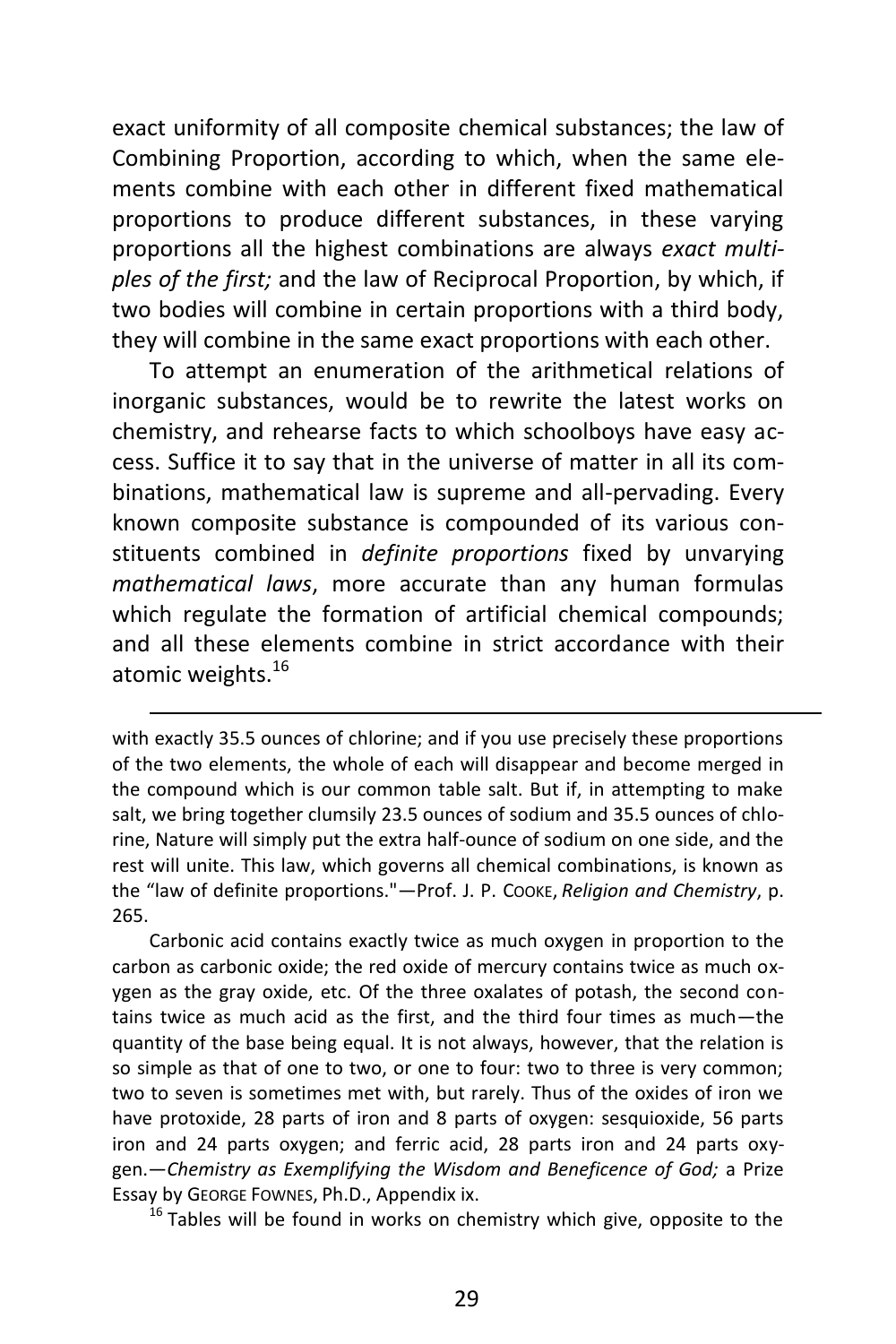exact uniformity of all composite chemical substances; the law of Combining Proportion, according to which, when the same elements combine with each other in different fixed mathematical proportions to produce different substances, in these varying proportions all the highest combinations are always *exact multiples of the first;* and the law of Reciprocal Proportion, by which, if two bodies will combine in certain proportions with a third body, they will combine in the same exact proportions with each other.

To attempt an enumeration of the arithmetical relations of inorganic substances, would be to rewrite the latest works on chemistry, and rehearse facts to which schoolboys have easy access. Suffice it to say that in the universe of matter in all its combinations, mathematical law is supreme and all-pervading. Every known composite substance is compounded of its various constituents combined in *definite proportions* fixed by unvarying *mathematical laws*, more accurate than any human formulas which regulate the formation of artificial chemical compounds; and all these elements combine in strict accordance with their atomic weights.<sup>16</sup>

 $\overline{a}$ 

Carbonic acid contains exactly twice as much oxygen in proportion to the carbon as carbonic oxide; the red oxide of mercury contains twice as much oxygen as the gray oxide, etc. Of the three oxalates of potash, the second contains twice as much acid as the first, and the third four times as much—the quantity of the base being equal. It is not always, however, that the relation is so simple as that of one to two, or one to four: two to three is very common; two to seven is sometimes met with, but rarely. Thus of the oxides of iron we have protoxide, 28 parts of iron and 8 parts of oxygen: sesquioxide, 56 parts iron and 24 parts oxygen; and ferric acid, 28 parts iron and 24 parts oxygen.—*Chemistry as Exemplifying the Wisdom and Beneficence of God;* a Prize Essay by GEORGE FOWNES, Ph.D., Appendix ix.

 $16$  Tables will be found in works on chemistry which give, opposite to the

with exactly 35.5 ounces of chlorine; and if you use precisely these proportions of the two elements, the whole of each will disappear and become merged in the compound which is our common table salt. But if, in attempting to make salt, we bring together clumsily 23.5 ounces of sodium and 35.5 ounces of chlorine, Nature will simply put the extra half-ounce of sodium on one side, and the rest will unite. This law, which governs all chemical combinations, is known as the "law of definite proportions."—Prof. J. P. COOKE, *Religion and Chemistry*, p. 265.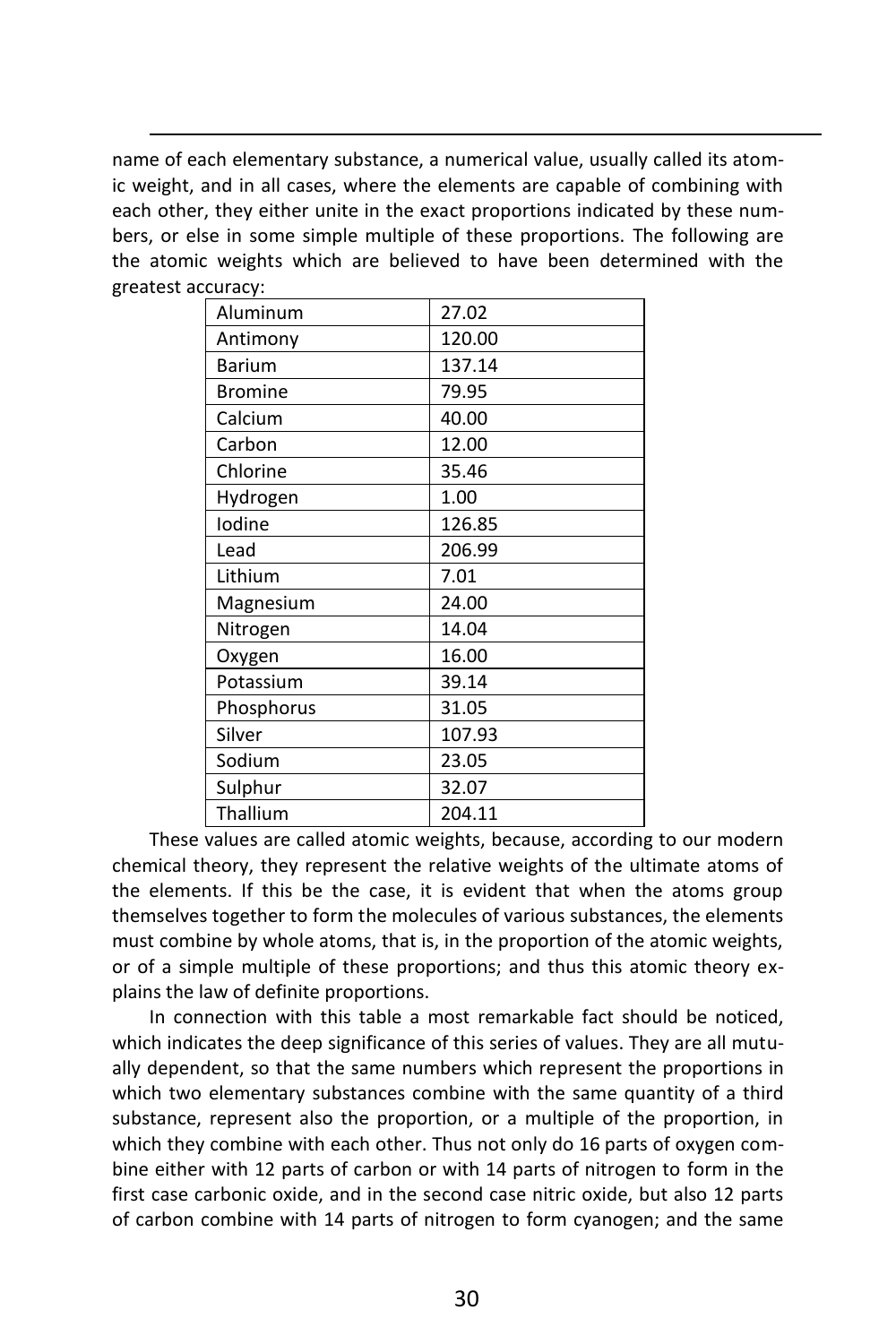name of each elementary substance, a numerical value, usually called its atomic weight, and in all cases, where the elements are capable of combining with each other, they either unite in the exact proportions indicated by these numbers, or else in some simple multiple of these proportions. The following are the atomic weights which are believed to have been determined with the greatest accuracy:

 $\overline{a}$ 

| Aluminum       | 27.02  |
|----------------|--------|
| Antimony       | 120.00 |
| <b>Barium</b>  | 137.14 |
| <b>Bromine</b> | 79.95  |
| Calcium        | 40.00  |
| Carbon         | 12.00  |
| Chlorine       | 35.46  |
| Hydrogen       | 1.00   |
| Iodine         | 126.85 |
| Lead           | 206.99 |
| Lithium        | 7.01   |
| Magnesium      | 24.00  |
| Nitrogen       | 14.04  |
| Oxygen         | 16.00  |
| Potassium      | 39.14  |
| Phosphorus     | 31.05  |
| Silver         | 107.93 |
| Sodium         | 23.05  |
| Sulphur        | 32.07  |
| Thallium       | 204.11 |

These values are called atomic weights, because, according to our modern chemical theory, they represent the relative weights of the ultimate atoms of the elements. If this be the case, it is evident that when the atoms group themselves together to form the molecules of various substances, the elements must combine by whole atoms, that is, in the proportion of the atomic weights, or of a simple multiple of these proportions; and thus this atomic theory explains the law of definite proportions.

In connection with this table a most remarkable fact should be noticed, which indicates the deep significance of this series of values. They are all mutually dependent, so that the same numbers which represent the proportions in which two elementary substances combine with the same quantity of a third substance, represent also the proportion, or a multiple of the proportion, in which they combine with each other. Thus not only do 16 parts of oxygen combine either with 12 parts of carbon or with 14 parts of nitrogen to form in the first case carbonic oxide, and in the second case nitric oxide, but also 12 parts of carbon combine with 14 parts of nitrogen to form cyanogen; and the same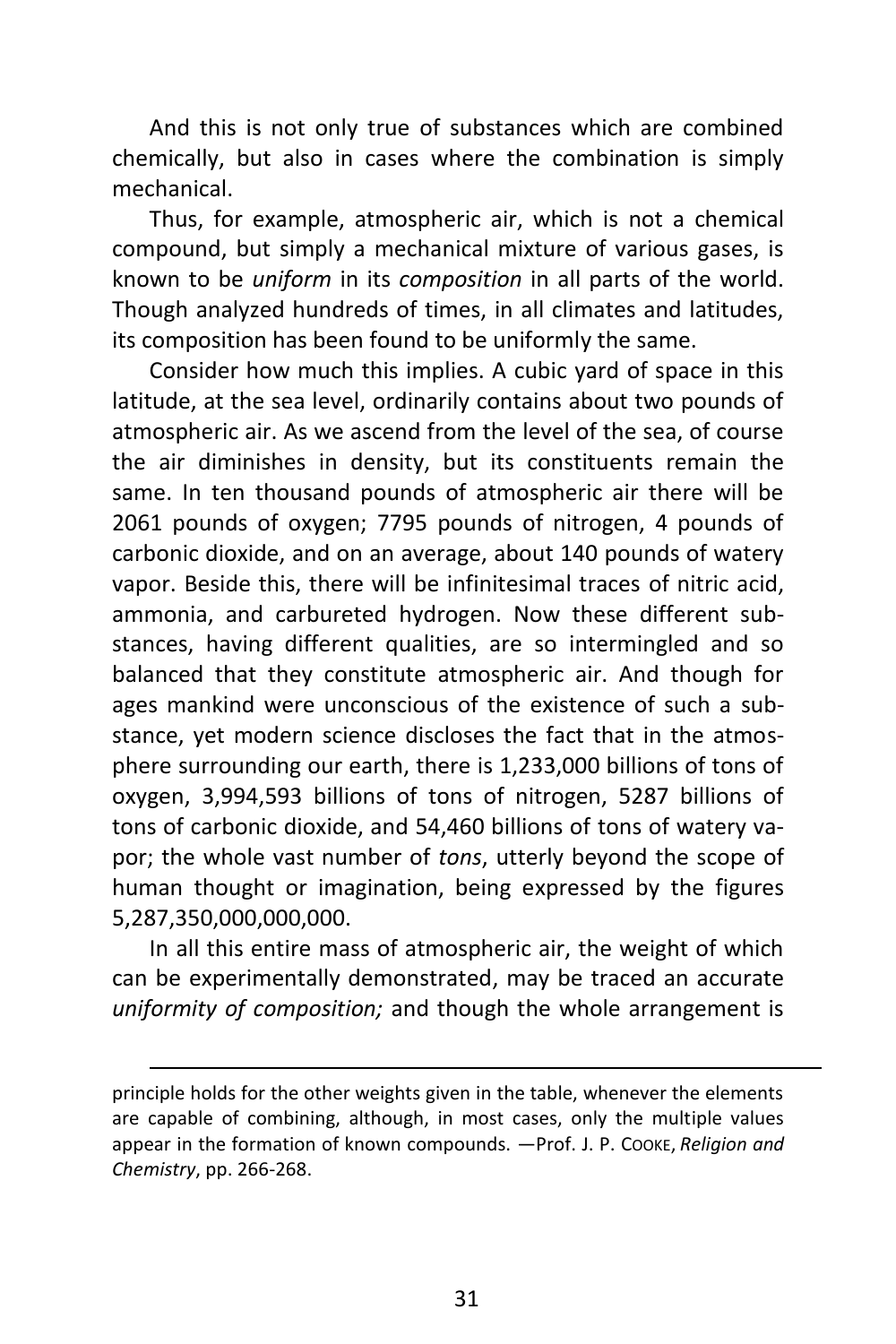And this is not only true of substances which are combined chemically, but also in cases where the combination is simply mechanical.

Thus, for example, atmospheric air, which is not a chemical compound, but simply a mechanical mixture of various gases, is known to be *uniform* in its *composition* in all parts of the world. Though analyzed hundreds of times, in all climates and latitudes, its composition has been found to be uniformly the same.

Consider how much this implies. A cubic yard of space in this latitude, at the sea level, ordinarily contains about two pounds of atmospheric air. As we ascend from the level of the sea, of course the air diminishes in density, but its constituents remain the same. In ten thousand pounds of atmospheric air there will be 2061 pounds of oxygen; 7795 pounds of nitrogen, 4 pounds of carbonic dioxide, and on an average, about 140 pounds of watery vapor. Beside this, there will be infinitesimal traces of nitric acid, ammonia, and carbureted hydrogen. Now these different substances, having different qualities, are so intermingled and so balanced that they constitute atmospheric air. And though for ages mankind were unconscious of the existence of such a substance, yet modern science discloses the fact that in the atmosphere surrounding our earth, there is 1,233,000 billions of tons of oxygen, 3,994,593 billions of tons of nitrogen, 5287 billions of tons of carbonic dioxide, and 54,460 billions of tons of watery vapor; the whole vast number of *tons*, utterly beyond the scope of human thought or imagination, being expressed by the figures 5,287,350,000,000,000.

In all this entire mass of atmospheric air, the weight of which can be experimentally demonstrated, may be traced an accurate *uniformity of composition;* and though the whole arrangement is

principle holds for the other weights given in the table, whenever the elements are capable of combining, although, in most cases, only the multiple values appear in the formation of known compounds. —Prof. J. P. COOKE, *Religion and Chemistry*, pp. 266-268.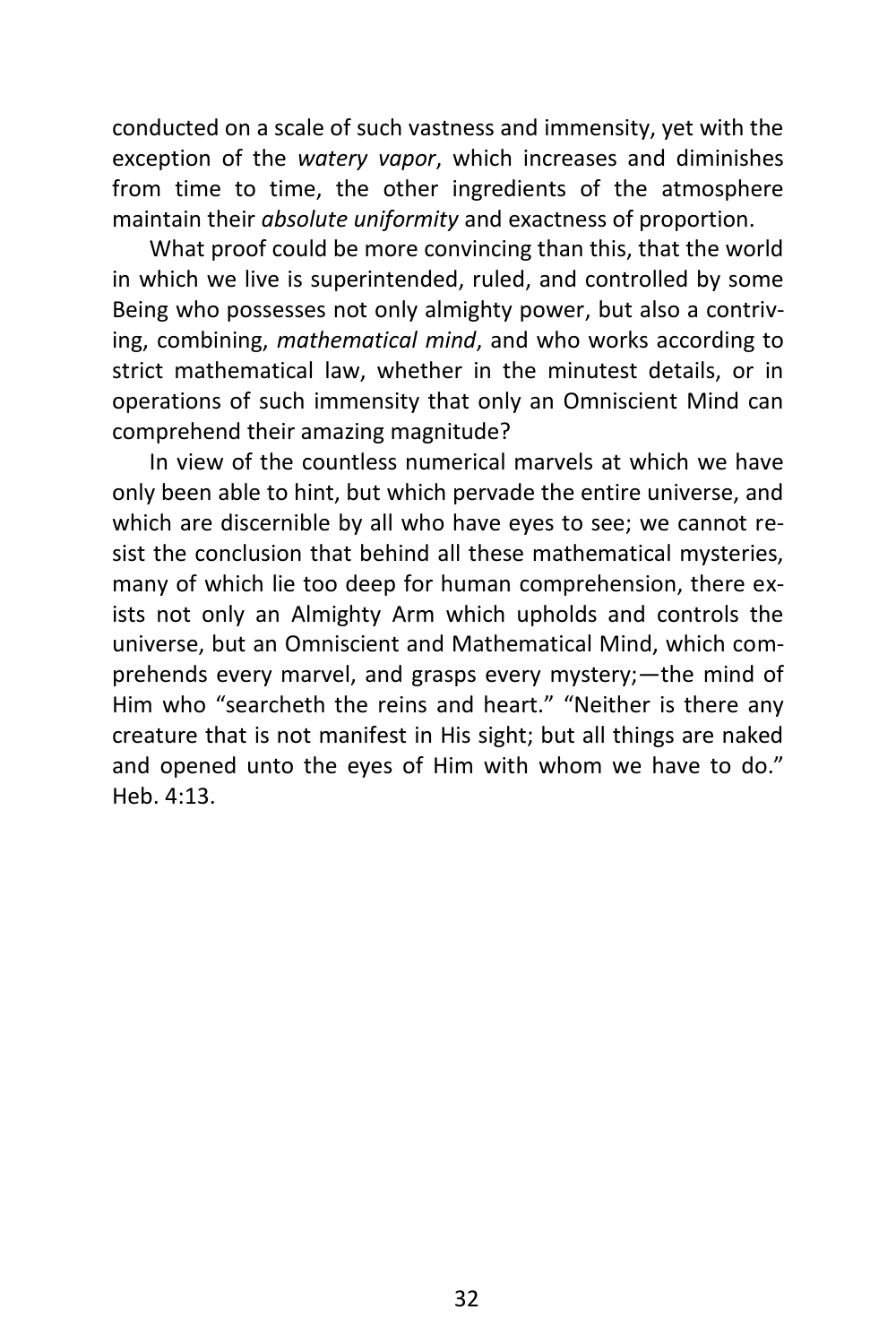conducted on a scale of such vastness and immensity, yet with the exception of the *watery vapor*, which increases and diminishes from time to time, the other ingredients of the atmosphere maintain their *absolute uniformity* and exactness of proportion.

What proof could be more convincing than this, that the world in which we live is superintended, ruled, and controlled by some Being who possesses not only almighty power, but also a contriving, combining, *mathematical mind*, and who works according to strict mathematical law, whether in the minutest details, or in operations of such immensity that only an Omniscient Mind can comprehend their amazing magnitude?

In view of the countless numerical marvels at which we have only been able to hint, but which pervade the entire universe, and which are discernible by all who have eyes to see; we cannot resist the conclusion that behind all these mathematical mysteries, many of which lie too deep for human comprehension, there exists not only an Almighty Arm which upholds and controls the universe, but an Omniscient and Mathematical Mind, which comprehends every marvel, and grasps every mystery;—the mind of Him who "searcheth the reins and heart." "Neither is there any creature that is not manifest in His sight; but all things are naked and opened unto the eyes of Him with whom we have to do." Heb. 4:13.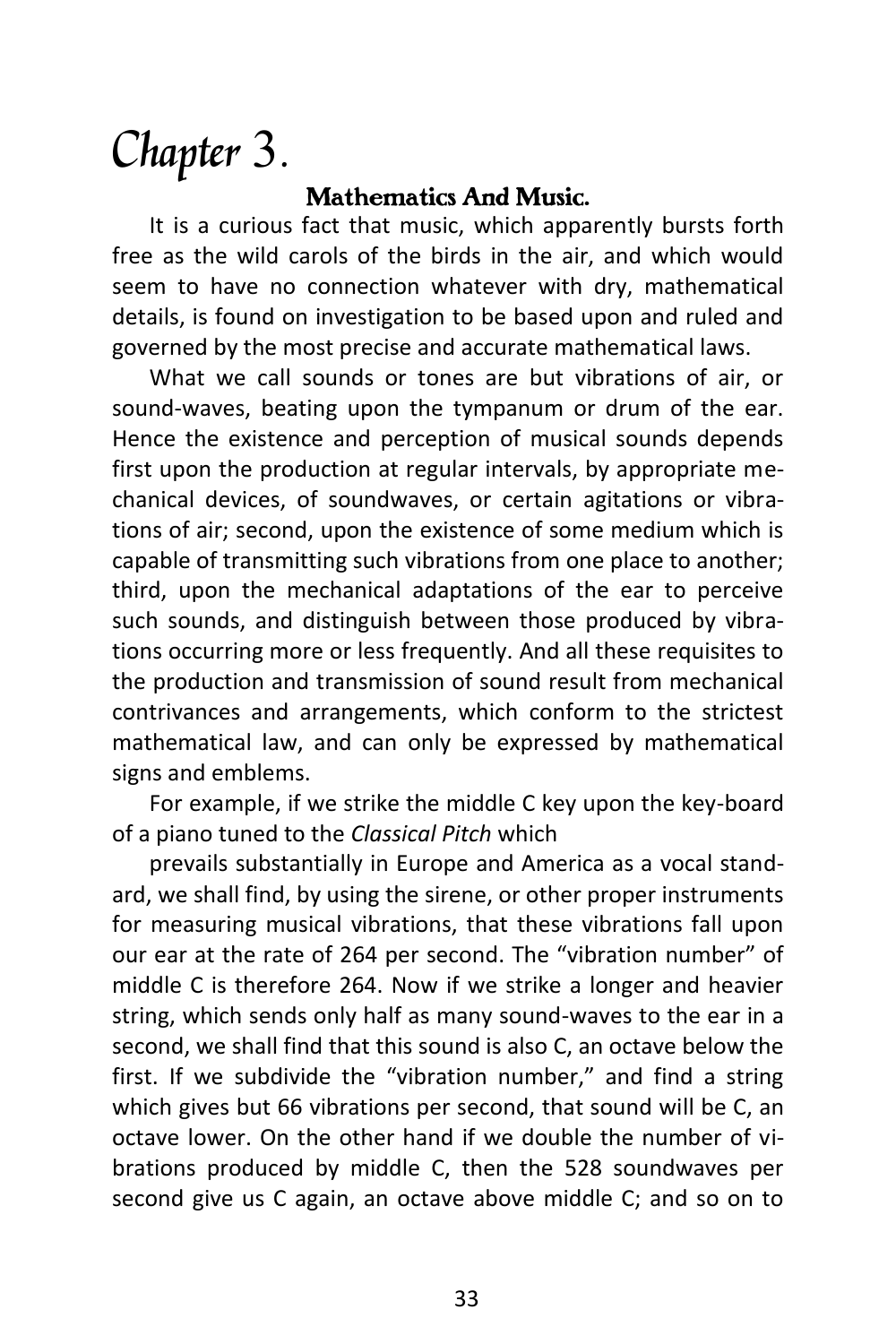# Chapter 3.

#### *Mathematics And Music.*

It is a curious fact that music, which apparently bursts forth free as the wild carols of the birds in the air, and which would seem to have no connection whatever with dry, mathematical details, is found on investigation to be based upon and ruled and governed by the most precise and accurate mathematical laws.

What we call sounds or tones are but vibrations of air, or sound-waves, beating upon the tympanum or drum of the ear. Hence the existence and perception of musical sounds depends first upon the production at regular intervals, by appropriate mechanical devices, of soundwaves, or certain agitations or vibrations of air; second, upon the existence of some medium which is capable of transmitting such vibrations from one place to another; third, upon the mechanical adaptations of the ear to perceive such sounds, and distinguish between those produced by vibrations occurring more or less frequently. And all these requisites to the production and transmission of sound result from mechanical contrivances and arrangements, which conform to the strictest mathematical law, and can only be expressed by mathematical signs and emblems.

For example, if we strike the middle C key upon the key-board of a piano tuned to the *Classical Pitch* which

prevails substantially in Europe and America as a vocal standard, we shall find, by using the sirene, or other proper instruments for measuring musical vibrations, that these vibrations fall upon our ear at the rate of 264 per second. The "vibration number" of middle C is therefore 264. Now if we strike a longer and heavier string, which sends only half as many sound-waves to the ear in a second, we shall find that this sound is also C, an octave below the first. If we subdivide the "vibration number," and find a string which gives but 66 vibrations per second, that sound will be C, an octave lower. On the other hand if we double the number of vibrations produced by middle C, then the 528 soundwaves per second give us C again, an octave above middle C; and so on to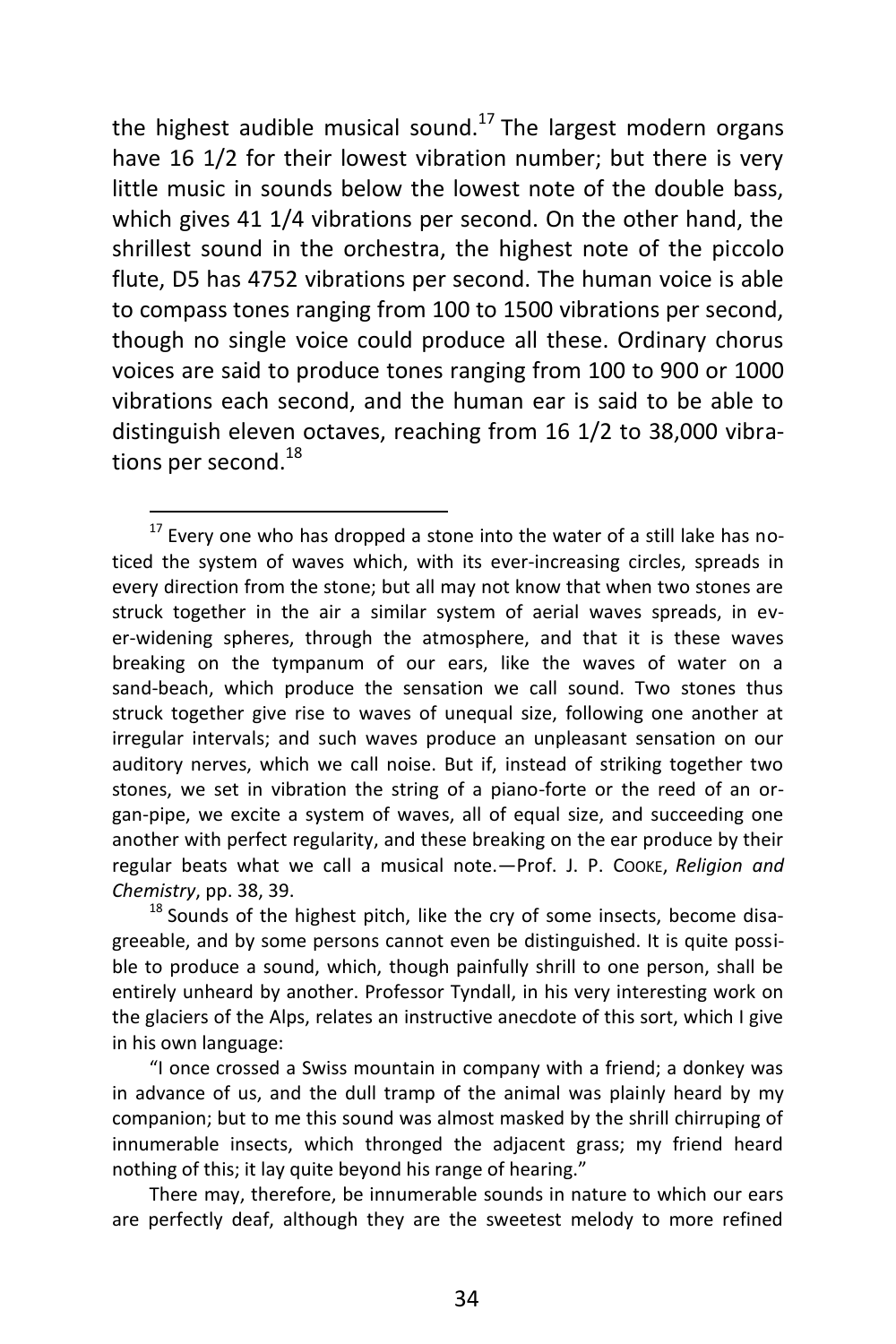the highest audible musical sound.<sup>17</sup> The largest modern organs have 16 1/2 for their lowest vibration number; but there is very little music in sounds below the lowest note of the double bass, which gives 41 1/4 vibrations per second. On the other hand, the shrillest sound in the orchestra, the highest note of the piccolo flute, D5 has 4752 vibrations per second. The human voice is able to compass tones ranging from 100 to 1500 vibrations per second, though no single voice could produce all these. Ordinary chorus voices are said to produce tones ranging from 100 to 900 or 1000 vibrations each second, and the human ear is said to be able to distinguish eleven octaves, reaching from 16 1/2 to 38,000 vibrations per second.<sup>18</sup>

 $17$  Every one who has dropped a stone into the water of a still lake has noticed the system of waves which, with its ever-increasing circles, spreads in every direction from the stone; but all may not know that when two stones are struck together in the air a similar system of aerial waves spreads, in ever-widening spheres, through the atmosphere, and that it is these waves breaking on the tympanum of our ears, like the waves of water on a sand-beach, which produce the sensation we call sound. Two stones thus struck together give rise to waves of unequal size, following one another at irregular intervals; and such waves produce an unpleasant sensation on our auditory nerves, which we call noise. But if, instead of striking together two stones, we set in vibration the string of a piano-forte or the reed of an organ-pipe, we excite a system of waves, all of equal size, and succeeding one another with perfect regularity, and these breaking on the ear produce by their regular beats what we call a musical note.—Prof. J. P. COOKE, *Religion and Chemistry*, pp. 38, 39.

 $18$  Sounds of the highest pitch, like the cry of some insects, become disagreeable, and by some persons cannot even be distinguished. It is quite possible to produce a sound, which, though painfully shrill to one person, shall be entirely unheard by another. Professor Tyndall, in his very interesting work on the glaciers of the Alps, relates an instructive anecdote of this sort, which I give in his own language:

<sup>&</sup>quot;I once crossed a Swiss mountain in company with a friend; a donkey was in advance of us, and the dull tramp of the animal was plainly heard by my companion; but to me this sound was almost masked by the shrill chirruping of innumerable insects, which thronged the adjacent grass; my friend heard nothing of this; it lay quite beyond his range of hearing."

There may, therefore, be innumerable sounds in nature to which our ears are perfectly deaf, although they are the sweetest melody to more refined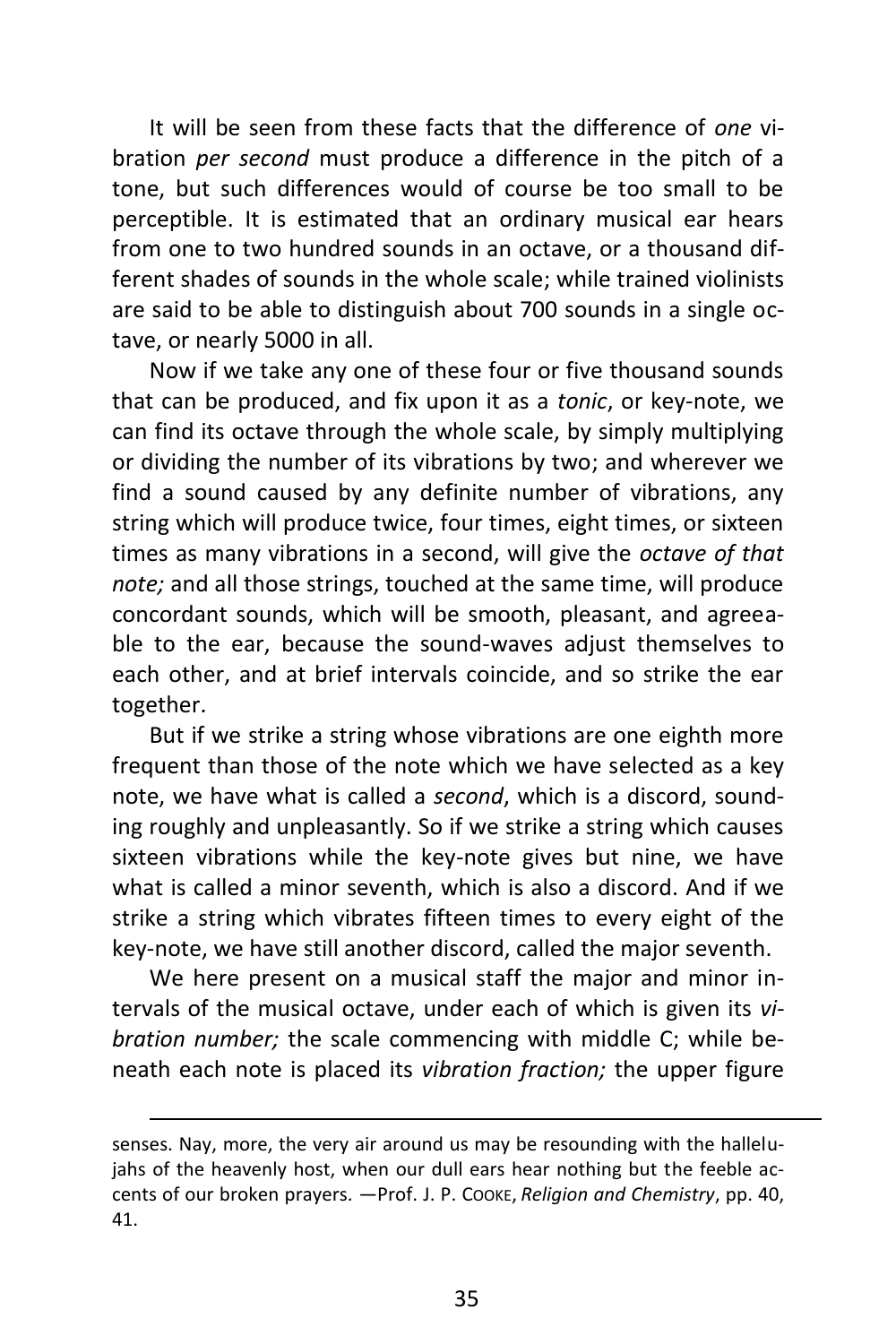It will be seen from these facts that the difference of *one* vibration *per second* must produce a difference in the pitch of a tone, but such differences would of course be too small to be perceptible. It is estimated that an ordinary musical ear hears from one to two hundred sounds in an octave, or a thousand different shades of sounds in the whole scale; while trained violinists are said to be able to distinguish about 700 sounds in a single octave, or nearly 5000 in all.

Now if we take any one of these four or five thousand sounds that can be produced, and fix upon it as a *tonic*, or key-note, we can find its octave through the whole scale, by simply multiplying or dividing the number of its vibrations by two; and wherever we find a sound caused by any definite number of vibrations, any string which will produce twice, four times, eight times, or sixteen times as many vibrations in a second, will give the *octave of that note;* and all those strings, touched at the same time, will produce concordant sounds, which will be smooth, pleasant, and agreeable to the ear, because the sound-waves adjust themselves to each other, and at brief intervals coincide, and so strike the ear together.

But if we strike a string whose vibrations are one eighth more frequent than those of the note which we have selected as a key note, we have what is called a *second*, which is a discord, sounding roughly and unpleasantly. So if we strike a string which causes sixteen vibrations while the key-note gives but nine, we have what is called a minor seventh, which is also a discord. And if we strike a string which vibrates fifteen times to every eight of the key-note, we have still another discord, called the major seventh.

We here present on a musical staff the major and minor intervals of the musical octave, under each of which is given its *vibration number;* the scale commencing with middle C; while beneath each note is placed its *vibration fraction;* the upper figure

senses. Nay, more, the very air around us may be resounding with the hallelujahs of the heavenly host, when our dull ears hear nothing but the feeble accents of our broken prayers. —Prof. J. P. COOKE, *Religion and Chemistry*, pp. 40, 41.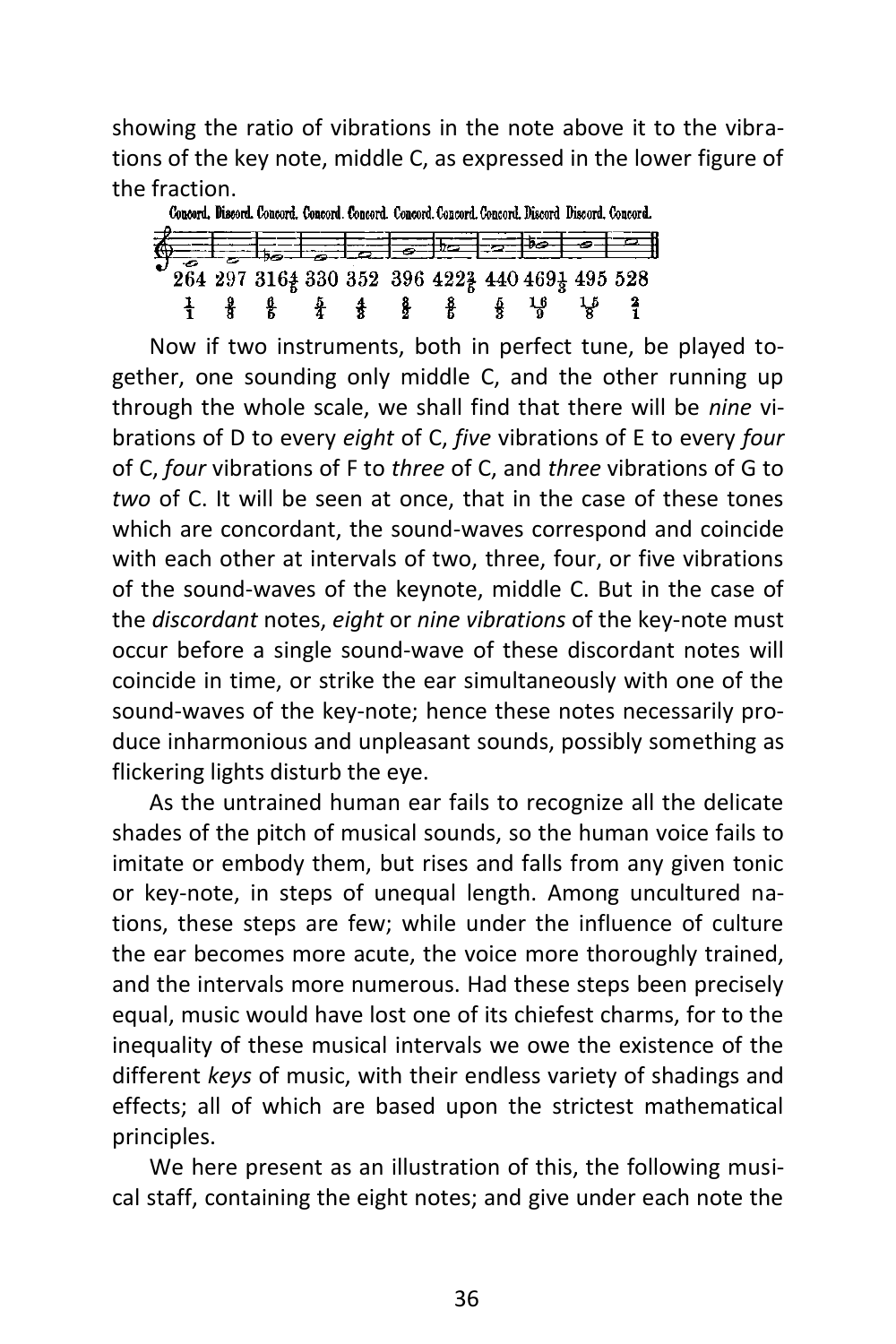showing the ratio of vibrations in the note above it to the vibrations of the key note, middle C, as expressed in the lower figure of the fraction.



Now if two instruments, both in perfect tune, be played together, one sounding only middle C, and the other running up through the whole scale, we shall find that there will be *nine* vibrations of D to every *eight* of C, *five* vibrations of E to every *four* of C, *four* vibrations of F to *three* of C, and *three* vibrations of G to *two* of C. It will be seen at once, that in the case of these tones which are concordant, the sound-waves correspond and coincide with each other at intervals of two, three, four, or five vibrations of the sound-waves of the keynote, middle C. But in the case of the *discordant* notes, *eight* or *nine vibrations* of the key-note must occur before a single sound-wave of these discordant notes will coincide in time, or strike the ear simultaneously with one of the sound-waves of the key-note; hence these notes necessarily produce inharmonious and unpleasant sounds, possibly something as flickering lights disturb the eye.

As the untrained human ear fails to recognize all the delicate shades of the pitch of musical sounds, so the human voice fails to imitate or embody them, but rises and falls from any given tonic or key-note, in steps of unequal length. Among uncultured nations, these steps are few; while under the influence of culture the ear becomes more acute, the voice more thoroughly trained, and the intervals more numerous. Had these steps been precisely equal, music would have lost one of its chiefest charms, for to the inequality of these musical intervals we owe the existence of the different *keys* of music, with their endless variety of shadings and effects; all of which are based upon the strictest mathematical principles.

We here present as an illustration of this, the following musical staff, containing the eight notes; and give under each note the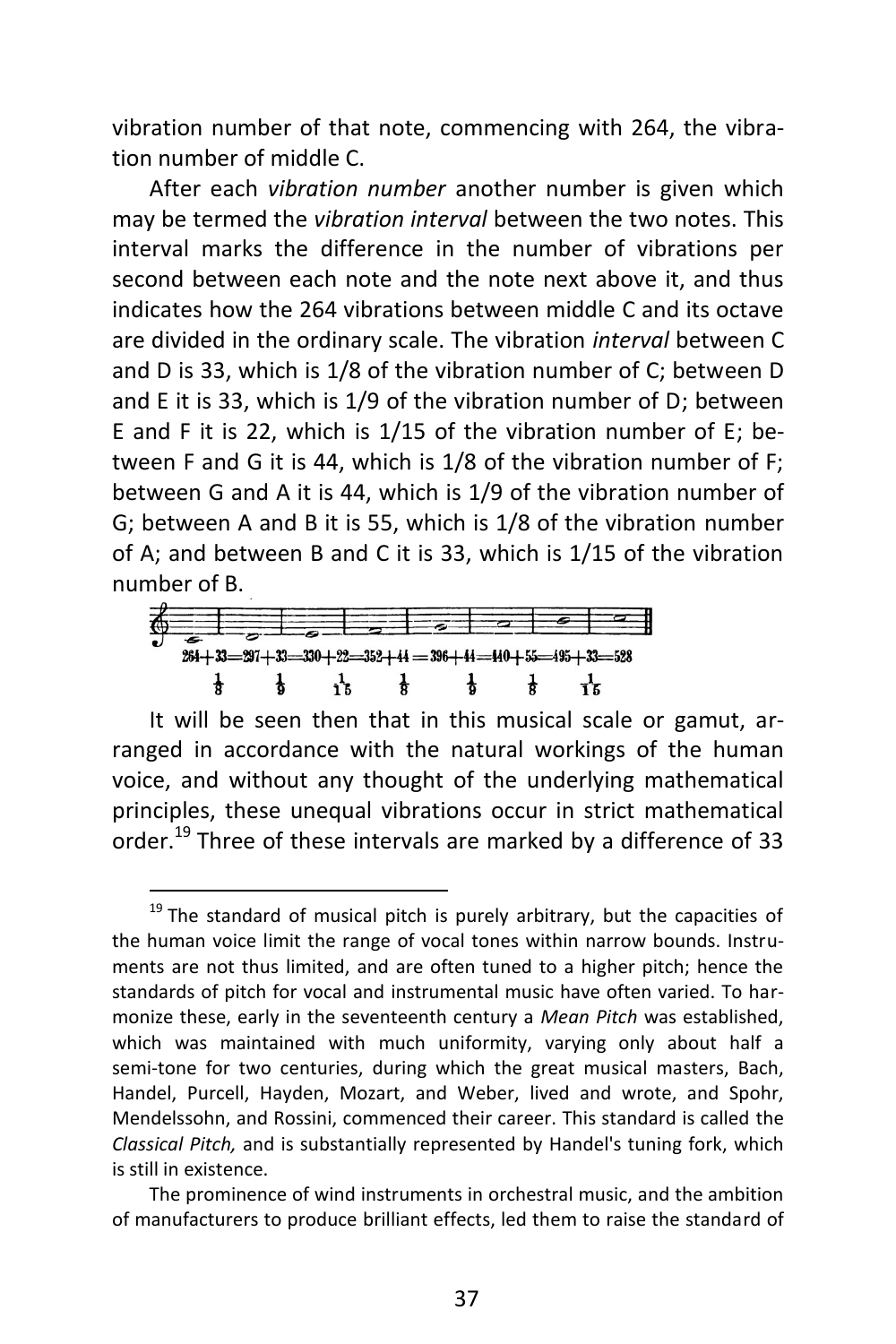vibration number of that note, commencing with 264, the vibration number of middle C.

After each *vibration number* another number is given which may be termed the *vibration interval* between the two notes. This interval marks the difference in the number of vibrations per second between each note and the note next above it, and thus indicates how the 264 vibrations between middle C and its octave are divided in the ordinary scale. The vibration *interval* between C and D is 33, which is 1/8 of the vibration number of C; between D and E it is 33, which is 1/9 of the vibration number of D; between E and F it is 22, which is  $1/15$  of the vibration number of E; between F and G it is 44, which is 1/8 of the vibration number of F; between G and A it is 44, which is 1/9 of the vibration number of G; between A and B it is 55, which is 1/8 of the vibration number of A; and between B and C it is 33, which is 1/15 of the vibration number of B.



 $\overline{a}$ 

It will be seen then that in this musical scale or gamut, arranged in accordance with the natural workings of the human voice, and without any thought of the underlying mathematical principles, these unequal vibrations occur in strict mathematical order.<sup>19</sup> Three of these intervals are marked by a difference of 33

 $19$  The standard of musical pitch is purely arbitrary, but the capacities of the human voice limit the range of vocal tones within narrow bounds. Instruments are not thus limited, and are often tuned to a higher pitch; hence the standards of pitch for vocal and instrumental music have often varied. To harmonize these, early in the seventeenth century a *Mean Pitch* was established, which was maintained with much uniformity, varying only about half a semi-tone for two centuries, during which the great musical masters, Bach, Handel, Purcell, Hayden, Mozart, and Weber, lived and wrote, and Spohr, Mendelssohn, and Rossini, commenced their career. This standard is called the *Classical Pitch,* and is substantially represented by Handel's tuning fork, which is still in existence.

The prominence of wind instruments in orchestral music, and the ambition of manufacturers to produce brilliant effects, led them to raise the standard of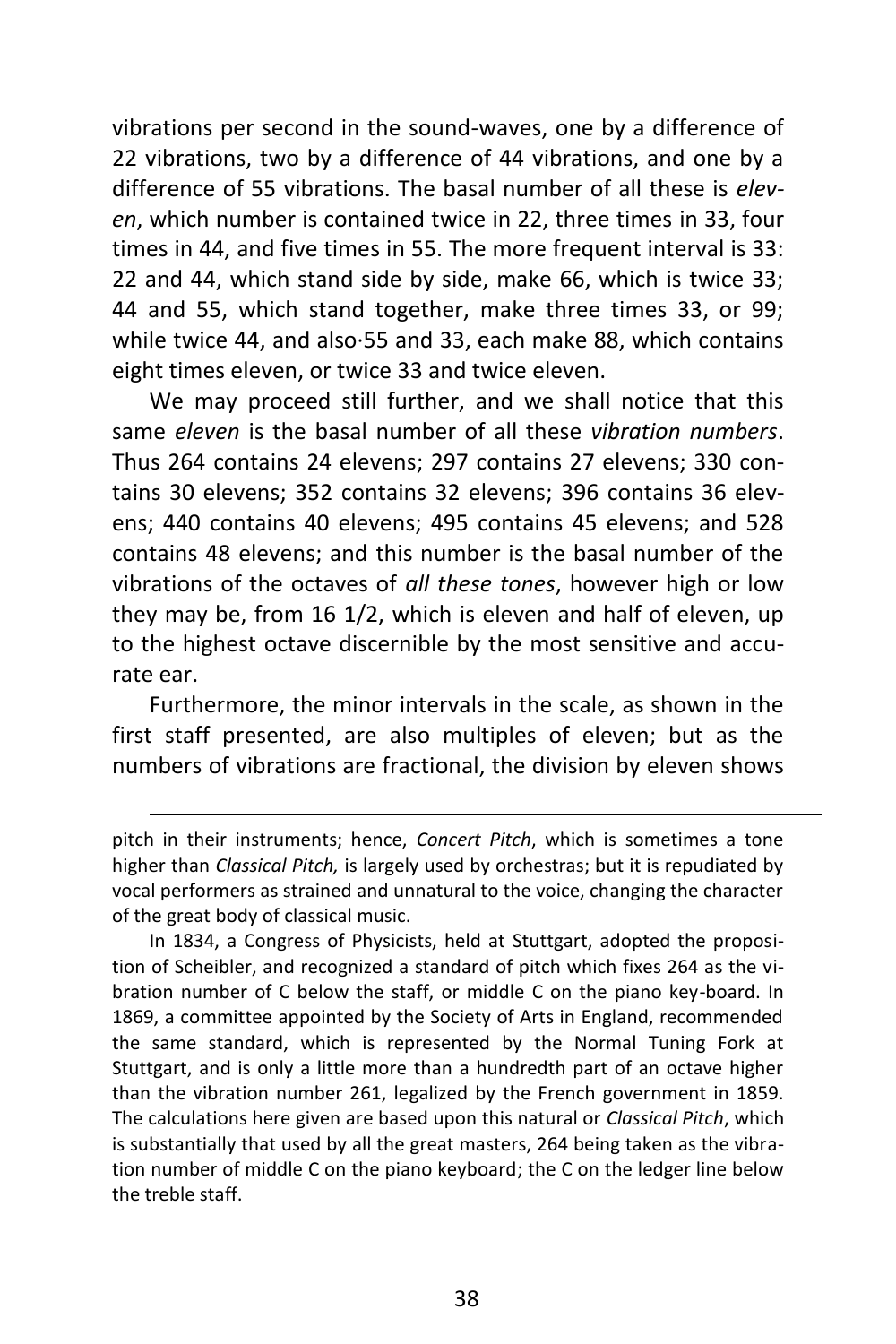vibrations per second in the sound-waves, one by a difference of 22 vibrations, two by a difference of 44 vibrations, and one by a difference of 55 vibrations. The basal number of all these is *eleven*, which number is contained twice in 22, three times in 33, four times in 44, and five times in 55. The more frequent interval is 33: 22 and 44, which stand side by side, make 66, which is twice 33; 44 and 55, which stand together, make three times 33, or 99; while twice 44, and also·55 and 33, each make 88, which contains eight times eleven, or twice 33 and twice eleven.

We may proceed still further, and we shall notice that this same *eleven* is the basal number of all these *vibration numbers*. Thus 264 contains 24 elevens; 297 contains 27 elevens; 330 contains 30 elevens; 352 contains 32 elevens; 396 contains 36 elevens; 440 contains 40 elevens; 495 contains 45 elevens; and 528 contains 48 elevens; and this number is the basal number of the vibrations of the octaves of *all these tones*, however high or low they may be, from 16 1/2, which is eleven and half of eleven, up to the highest octave discernible by the most sensitive and accurate ear.

Furthermore, the minor intervals in the scale, as shown in the first staff presented, are also multiples of eleven; but as the numbers of vibrations are fractional, the division by eleven shows

 $\overline{a}$ 

In 1834, a Congress of Physicists, held at Stuttgart, adopted the proposition of Scheibler, and recognized a standard of pitch which fixes 264 as the vibration number of C below the staff, or middle C on the piano key-board. In 1869, a committee appointed by the Society of Arts in England, recommended the same standard, which is represented by the Normal Tuning Fork at Stuttgart, and is only a little more than a hundredth part of an octave higher than the vibration number 261, legalized by the French government in 1859. The calculations here given are based upon this natural or *Classical Pitch*, which is substantially that used by all the great masters, 264 being taken as the vibration number of middle C on the piano keyboard; the C on the ledger line below the treble staff.

pitch in their instruments; hence, *Concert Pitch*, which is sometimes a tone higher than *Classical Pitch,* is largely used by orchestras; but it is repudiated by vocal performers as strained and unnatural to the voice, changing the character of the great body of classical music.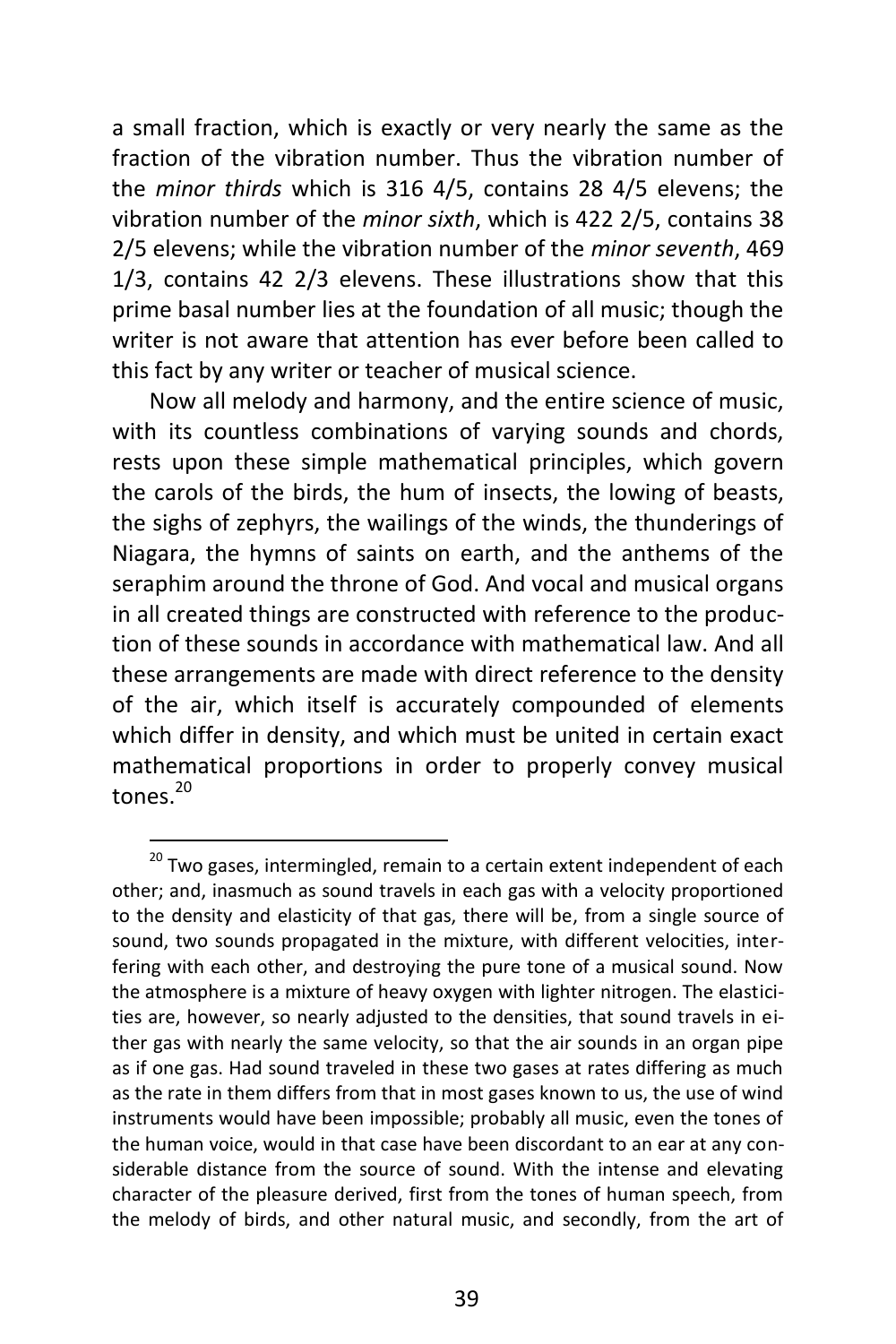a small fraction, which is exactly or very nearly the same as the fraction of the vibration number. Thus the vibration number of the *minor thirds* which is 316 4/5, contains 28 4/5 elevens; the vibration number of the *minor sixth*, which is 422 2/5, contains 38 2/5 elevens; while the vibration number of the *minor seventh*, 469 1/3, contains 42 2/3 elevens. These illustrations show that this prime basal number lies at the foundation of all music; though the writer is not aware that attention has ever before been called to this fact by any writer or teacher of musical science.

Now all melody and harmony, and the entire science of music, with its countless combinations of varying sounds and chords, rests upon these simple mathematical principles, which govern the carols of the birds, the hum of insects, the lowing of beasts, the sighs of zephyrs, the wailings of the winds, the thunderings of Niagara, the hymns of saints on earth, and the anthems of the seraphim around the throne of God. And vocal and musical organs in all created things are constructed with reference to the production of these sounds in accordance with mathematical law. And all these arrangements are made with direct reference to the density of the air, which itself is accurately compounded of elements which differ in density, and which must be united in certain exact mathematical proportions in order to properly convey musical tones.<sup>20</sup>

 $^{20}$  Two gases, intermingled, remain to a certain extent independent of each other; and, inasmuch as sound travels in each gas with a velocity proportioned to the density and elasticity of that gas, there will be, from a single source of sound, two sounds propagated in the mixture, with different velocities, interfering with each other, and destroying the pure tone of a musical sound. Now the atmosphere is a mixture of heavy oxygen with lighter nitrogen. The elasticities are, however, so nearly adjusted to the densities, that sound travels in either gas with nearly the same velocity, so that the air sounds in an organ pipe as if one gas. Had sound traveled in these two gases at rates differing as much as the rate in them differs from that in most gases known to us, the use of wind instruments would have been impossible; probably all music, even the tones of the human voice, would in that case have been discordant to an ear at any considerable distance from the source of sound. With the intense and elevating character of the pleasure derived, first from the tones of human speech, from the melody of birds, and other natural music, and secondly, from the art of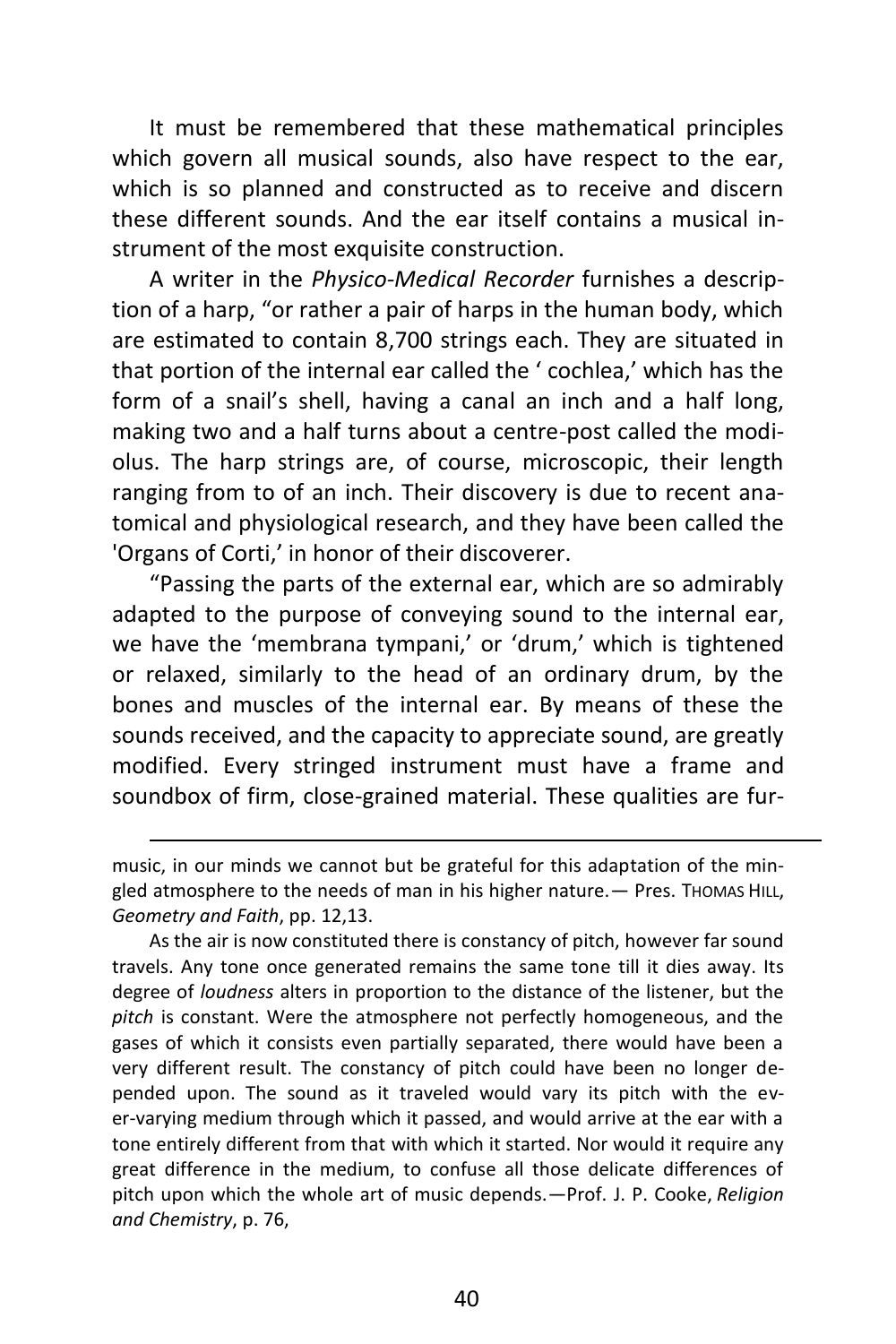It must be remembered that these mathematical principles which govern all musical sounds, also have respect to the ear, which is so planned and constructed as to receive and discern these different sounds. And the ear itself contains a musical instrument of the most exquisite construction.

A writer in the *Physico-Medical Recorder* furnishes a description of a harp, "or rather a pair of harps in the human body, which are estimated to contain 8,700 strings each. They are situated in that portion of the internal ear called the ' cochlea,' which has the form of a snail's shell, having a canal an inch and a half long, making two and a half turns about a centre-post called the modiolus. The harp strings are, of course, microscopic, their length ranging from to of an inch. Their discovery is due to recent anatomical and physiological research, and they have been called the 'Organs of Corti,' in honor of their discoverer.

"Passing the parts of the external ear, which are so admirably adapted to the purpose of conveying sound to the internal ear, we have the 'membrana tympani,' or 'drum,' which is tightened or relaxed, similarly to the head of an ordinary drum, by the bones and muscles of the internal ear. By means of these the sounds received, and the capacity to appreciate sound, are greatly modified. Every stringed instrument must have a frame and soundbox of firm, close-grained material. These qualities are fur-

 $\overline{a}$ 

As the air is now constituted there is constancy of pitch, however far sound travels. Any tone once generated remains the same tone till it dies away. Its degree of *loudness* alters in proportion to the distance of the listener, but the *pitch* is constant. Were the atmosphere not perfectly homogeneous, and the gases of which it consists even partially separated, there would have been a very different result. The constancy of pitch could have been no longer depended upon. The sound as it traveled would vary its pitch with the ever-varying medium through which it passed, and would arrive at the ear with a tone entirely different from that with which it started. Nor would it require any great difference in the medium, to confuse all those delicate differences of pitch upon which the whole art of music depends.—Prof. J. P. Cooke, *Religion and Chemistry*, p. 76,

music, in our minds we cannot but be grateful for this adaptation of the mingled atmosphere to the needs of man in his higher nature. - Pres. Thomas HILL, *Geometry and Faith*, pp. 12,13.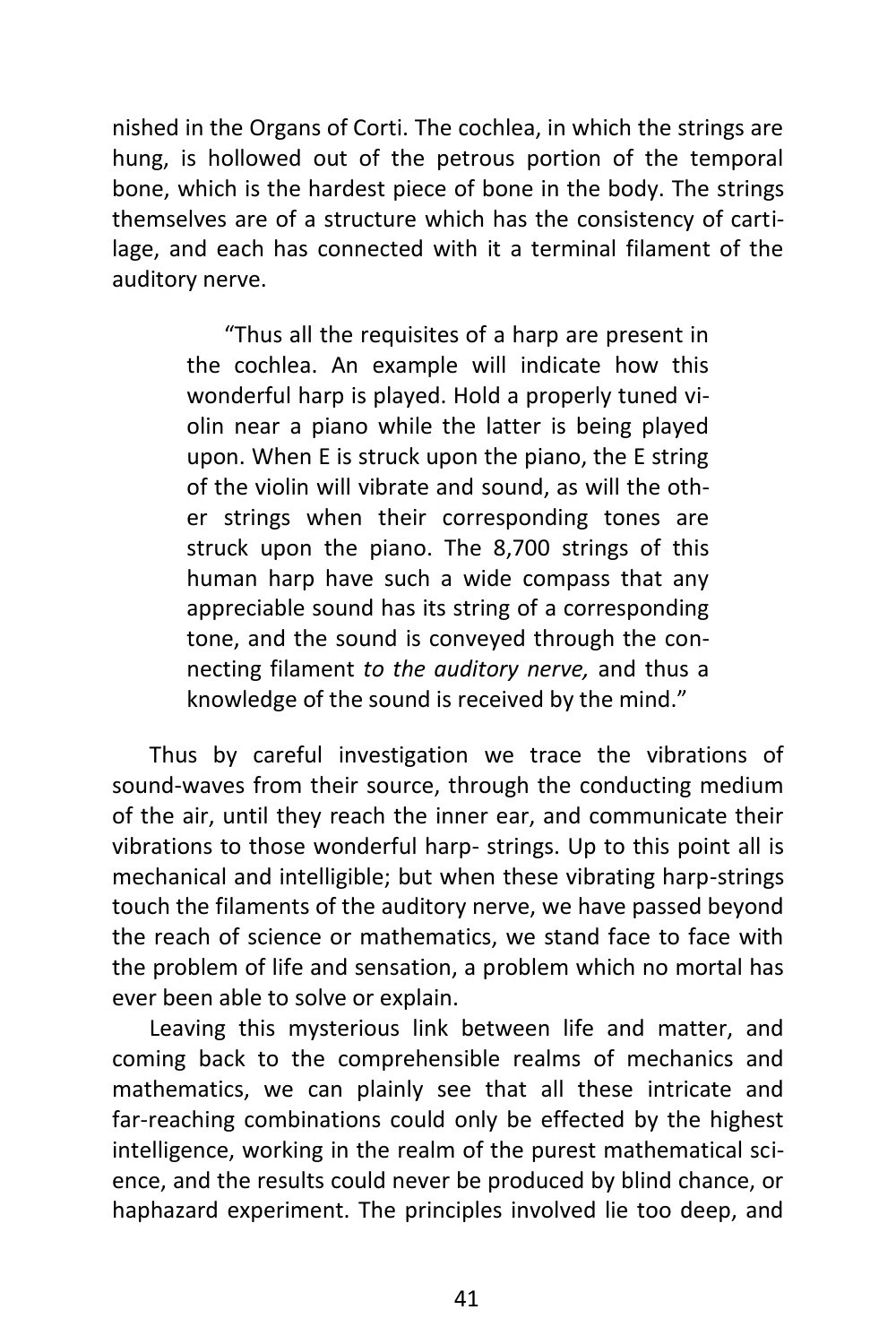nished in the Organs of Corti. The cochlea, in which the strings are hung, is hollowed out of the petrous portion of the temporal bone, which is the hardest piece of bone in the body. The strings themselves are of a structure which has the consistency of cartilage, and each has connected with it a terminal filament of the auditory nerve.

> "Thus all the requisites of a harp are present in the cochlea. An example will indicate how this wonderful harp is played. Hold a properly tuned violin near a piano while the latter is being played upon. When E is struck upon the piano, the E string of the violin will vibrate and sound, as will the other strings when their corresponding tones are struck upon the piano. The 8,700 strings of this human harp have such a wide compass that any appreciable sound has its string of a corresponding tone, and the sound is conveyed through the connecting filament *to the auditory nerve,* and thus a knowledge of the sound is received by the mind."

Thus by careful investigation we trace the vibrations of sound-waves from their source, through the conducting medium of the air, until they reach the inner ear, and communicate their vibrations to those wonderful harp- strings. Up to this point all is mechanical and intelligible; but when these vibrating harp-strings touch the filaments of the auditory nerve, we have passed beyond the reach of science or mathematics, we stand face to face with the problem of life and sensation, a problem which no mortal has ever been able to solve or explain.

Leaving this mysterious link between life and matter, and coming back to the comprehensible realms of mechanics and mathematics, we can plainly see that all these intricate and far-reaching combinations could only be effected by the highest intelligence, working in the realm of the purest mathematical science, and the results could never be produced by blind chance, or haphazard experiment. The principles involved lie too deep, and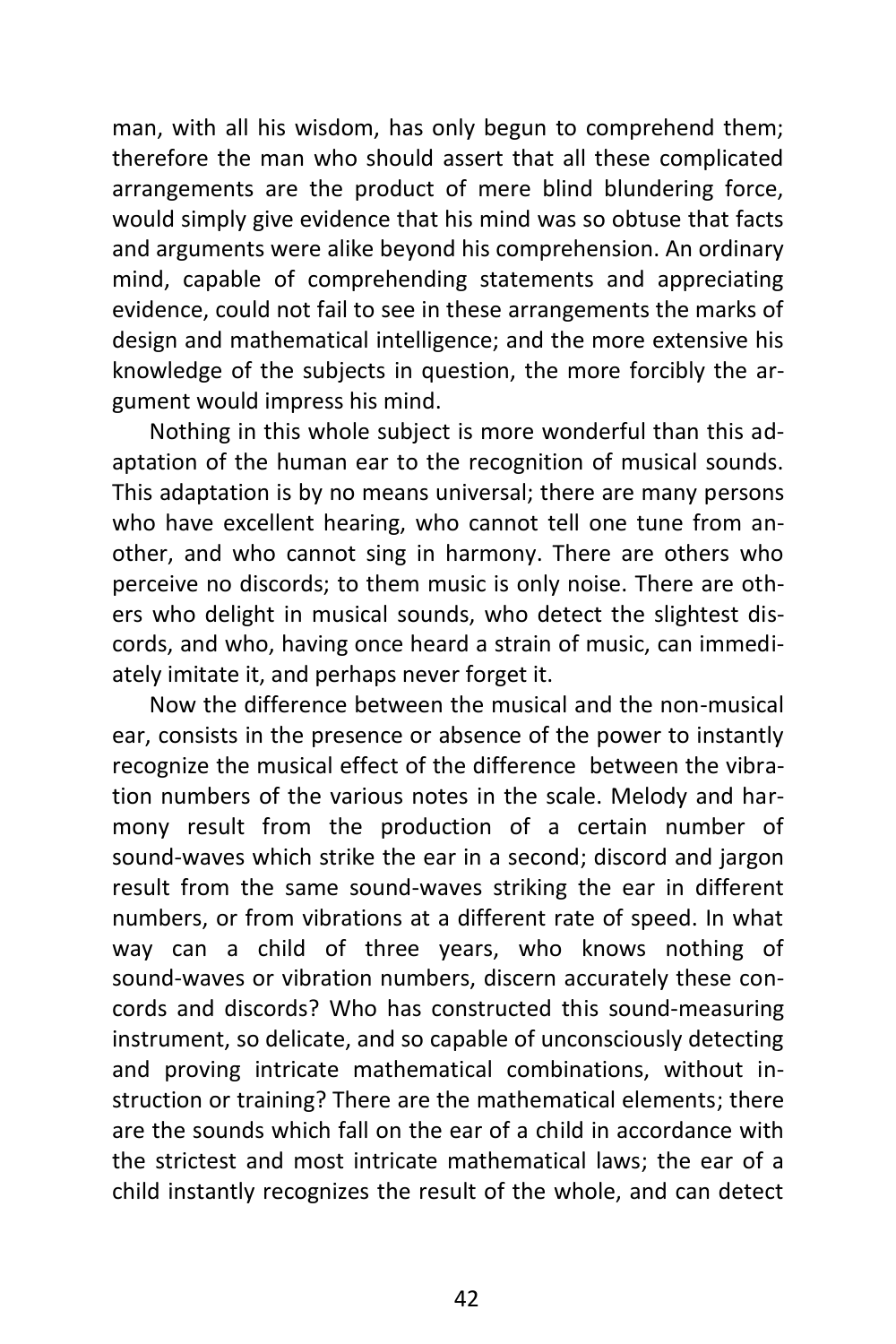man, with all his wisdom, has only begun to comprehend them; therefore the man who should assert that all these complicated arrangements are the product of mere blind blundering force, would simply give evidence that his mind was so obtuse that facts and arguments were alike beyond his comprehension. An ordinary mind, capable of comprehending statements and appreciating evidence, could not fail to see in these arrangements the marks of design and mathematical intelligence; and the more extensive his knowledge of the subjects in question, the more forcibly the argument would impress his mind.

Nothing in this whole subject is more wonderful than this adaptation of the human ear to the recognition of musical sounds. This adaptation is by no means universal; there are many persons who have excellent hearing, who cannot tell one tune from another, and who cannot sing in harmony. There are others who perceive no discords; to them music is only noise. There are others who delight in musical sounds, who detect the slightest discords, and who, having once heard a strain of music, can immediately imitate it, and perhaps never forget it.

Now the difference between the musical and the non-musical ear, consists in the presence or absence of the power to instantly recognize the musical effect of the difference between the vibration numbers of the various notes in the scale. Melody and harmony result from the production of a certain number of sound-waves which strike the ear in a second; discord and jargon result from the same sound-waves striking the ear in different numbers, or from vibrations at a different rate of speed. In what way can a child of three years, who knows nothing of sound-waves or vibration numbers, discern accurately these concords and discords? Who has constructed this sound-measuring instrument, so delicate, and so capable of unconsciously detecting and proving intricate mathematical combinations, without instruction or training? There are the mathematical elements; there are the sounds which fall on the ear of a child in accordance with the strictest and most intricate mathematical laws; the ear of a child instantly recognizes the result of the whole, and can detect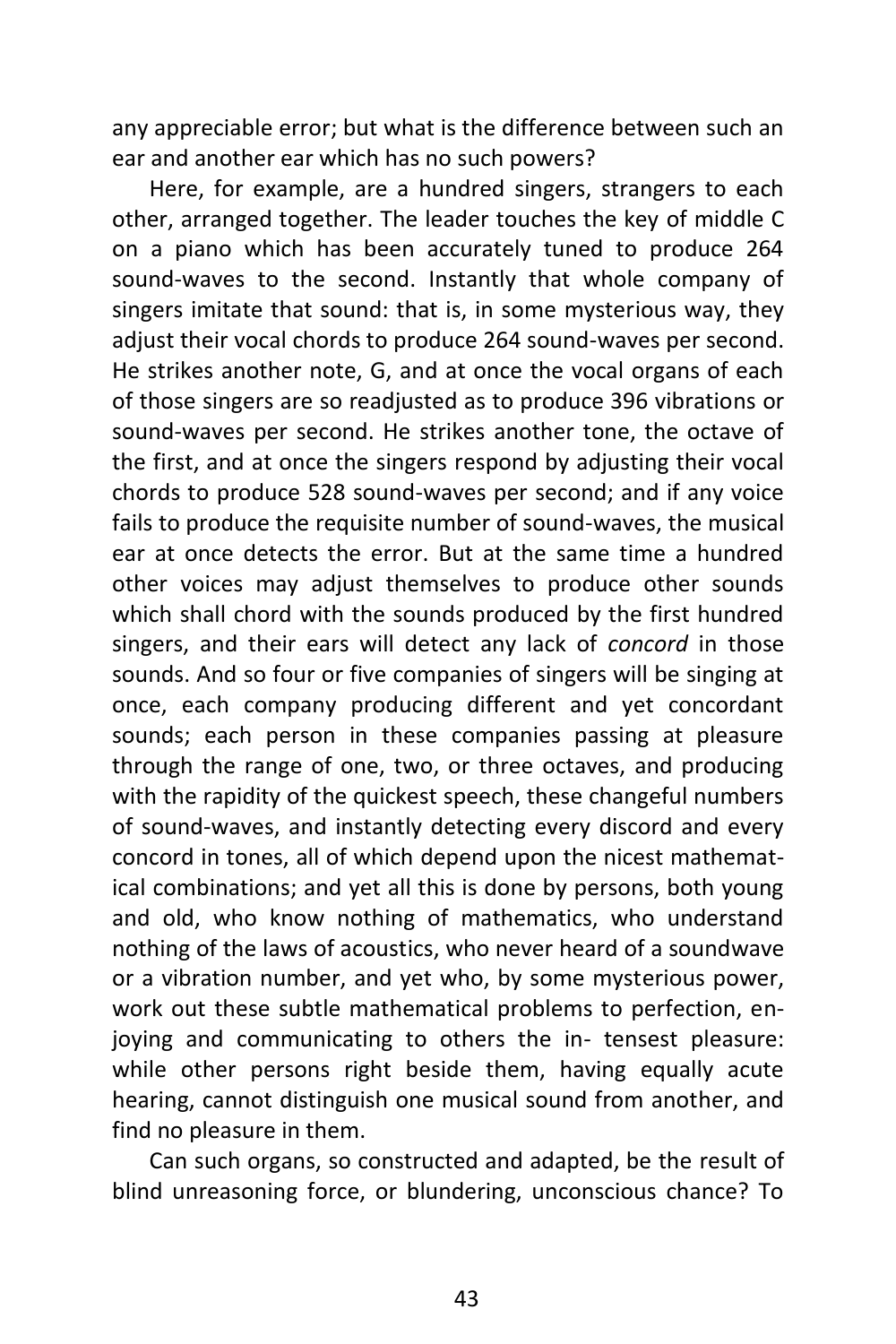any appreciable error; but what is the difference between such an ear and another ear which has no such powers?

Here, for example, are a hundred singers, strangers to each other, arranged together. The leader touches the key of middle C on a piano which has been accurately tuned to produce 264 sound-waves to the second. Instantly that whole company of singers imitate that sound: that is, in some mysterious way, they adjust their vocal chords to produce 264 sound-waves per second. He strikes another note, G, and at once the vocal organs of each of those singers are so readjusted as to produce 396 vibrations or sound-waves per second. He strikes another tone, the octave of the first, and at once the singers respond by adjusting their vocal chords to produce 528 sound-waves per second; and if any voice fails to produce the requisite number of sound-waves, the musical ear at once detects the error. But at the same time a hundred other voices may adjust themselves to produce other sounds which shall chord with the sounds produced by the first hundred singers, and their ears will detect any lack of *concord* in those sounds. And so four or five companies of singers will be singing at once, each company producing different and yet concordant sounds; each person in these companies passing at pleasure through the range of one, two, or three octaves, and producing with the rapidity of the quickest speech, these changeful numbers of sound-waves, and instantly detecting every discord and every concord in tones, all of which depend upon the nicest mathematical combinations; and yet all this is done by persons, both young and old, who know nothing of mathematics, who understand nothing of the laws of acoustics, who never heard of a soundwave or a vibration number, and yet who, by some mysterious power, work out these subtle mathematical problems to perfection, enjoying and communicating to others the in- tensest pleasure: while other persons right beside them, having equally acute hearing, cannot distinguish one musical sound from another, and find no pleasure in them.

Can such organs, so constructed and adapted, be the result of blind unreasoning force, or blundering, unconscious chance? To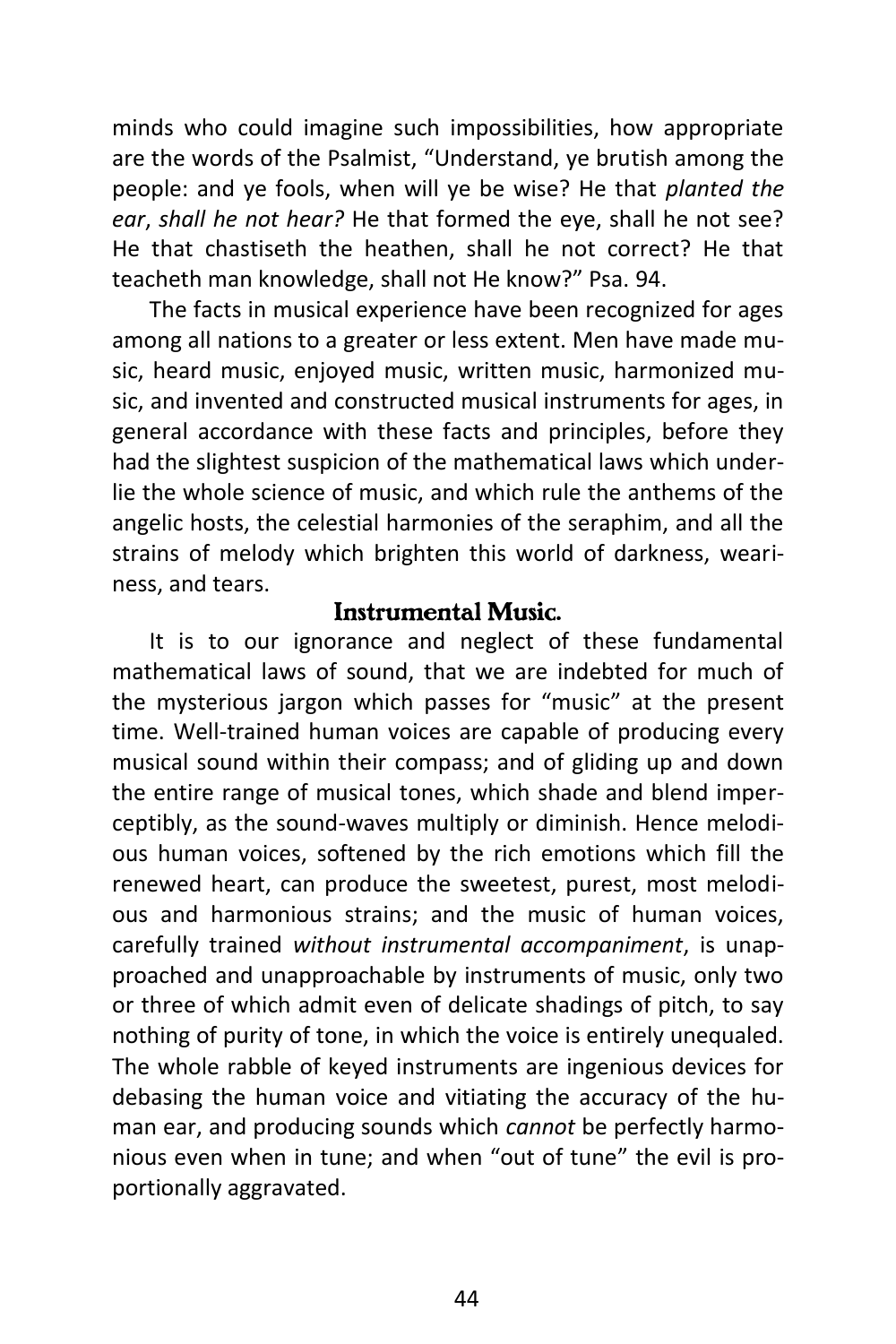minds who could imagine such impossibilities, how appropriate are the words of the Psalmist, "Understand, ye brutish among the people: and ye fools, when will ye be wise? He that *planted the ear*, *shall he not hear?* He that formed the eye, shall he not see? He that chastiseth the heathen, shall he not correct? He that teacheth man knowledge, shall not He know?" Psa. 94.

The facts in musical experience have been recognized for ages among all nations to a greater or less extent. Men have made music, heard music, enjoyed music, written music, harmonized music, and invented and constructed musical instruments for ages, in general accordance with these facts and principles, before they had the slightest suspicion of the mathematical laws which underlie the whole science of music, and which rule the anthems of the angelic hosts, the celestial harmonies of the seraphim, and all the strains of melody which brighten this world of darkness, weariness, and tears.

#### *Instrumental Music.*

It is to our ignorance and neglect of these fundamental mathematical laws of sound, that we are indebted for much of the mysterious jargon which passes for "music" at the present time. Well-trained human voices are capable of producing every musical sound within their compass; and of gliding up and down the entire range of musical tones, which shade and blend imperceptibly, as the sound-waves multiply or diminish. Hence melodious human voices, softened by the rich emotions which fill the renewed heart, can produce the sweetest, purest, most melodious and harmonious strains; and the music of human voices, carefully trained *without instrumental accompaniment*, is unapproached and unapproachable by instruments of music, only two or three of which admit even of delicate shadings of pitch, to say nothing of purity of tone, in which the voice is entirely unequaled. The whole rabble of keyed instruments are ingenious devices for debasing the human voice and vitiating the accuracy of the human ear, and producing sounds which *cannot* be perfectly harmonious even when in tune; and when "out of tune" the evil is proportionally aggravated.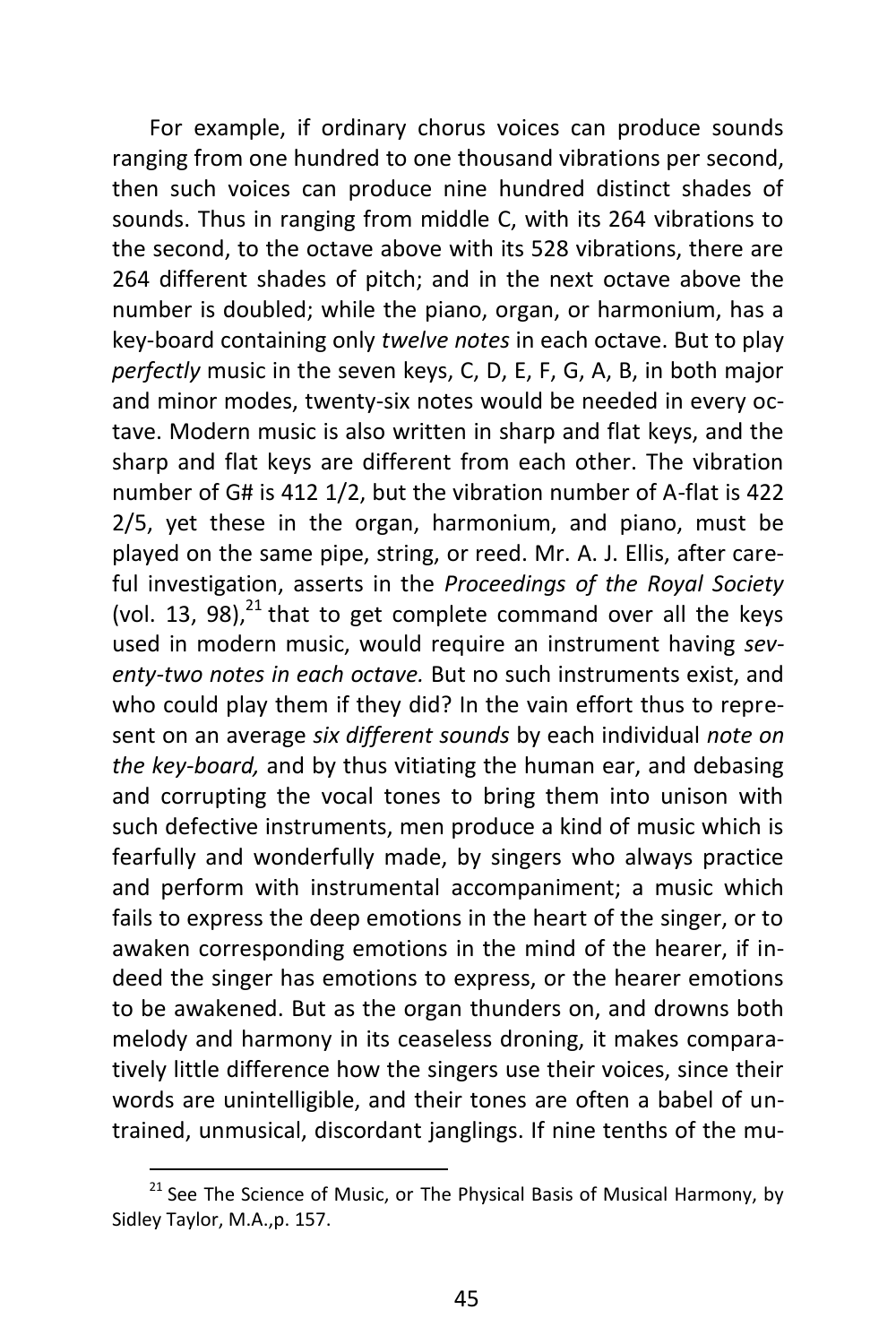For example, if ordinary chorus voices can produce sounds ranging from one hundred to one thousand vibrations per second, then such voices can produce nine hundred distinct shades of sounds. Thus in ranging from middle C, with its 264 vibrations to the second, to the octave above with its 528 vibrations, there are 264 different shades of pitch; and in the next octave above the number is doubled; while the piano, organ, or harmonium, has a key-board containing only *twelve notes* in each octave. But to play *perfectly* music in the seven keys, C, D, E, F, G, A, B, in both major and minor modes, twenty-six notes would be needed in every octave. Modern music is also written in sharp and flat keys, and the sharp and flat keys are different from each other. The vibration number of G# is 412 1/2, but the vibration number of A-flat is 422 2/5, yet these in the organ, harmonium, and piano, must be played on the same pipe, string, or reed. Mr. A. J. Ellis, after careful investigation, asserts in the *Proceedings of the Royal Society* (vol. 13, 98), $^{21}$  that to get complete command over all the keys used in modern music, would require an instrument having *seventy-two notes in each octave.* But no such instruments exist, and who could play them if they did? In the vain effort thus to represent on an average *six different sounds* by each individual *note on the key-board,* and by thus vitiating the human ear, and debasing and corrupting the vocal tones to bring them into unison with such defective instruments, men produce a kind of music which is fearfully and wonderfully made, by singers who always practice and perform with instrumental accompaniment; a music which fails to express the deep emotions in the heart of the singer, or to awaken corresponding emotions in the mind of the hearer, if indeed the singer has emotions to express, or the hearer emotions to be awakened. But as the organ thunders on, and drowns both melody and harmony in its ceaseless droning, it makes comparatively little difference how the singers use their voices, since their words are unintelligible, and their tones are often a babel of untrained, unmusical, discordant janglings. If nine tenths of the mu-

 $21$  See The Science of Music, or The Physical Basis of Musical Harmony, by Sidley Taylor, M.A.,p. 157.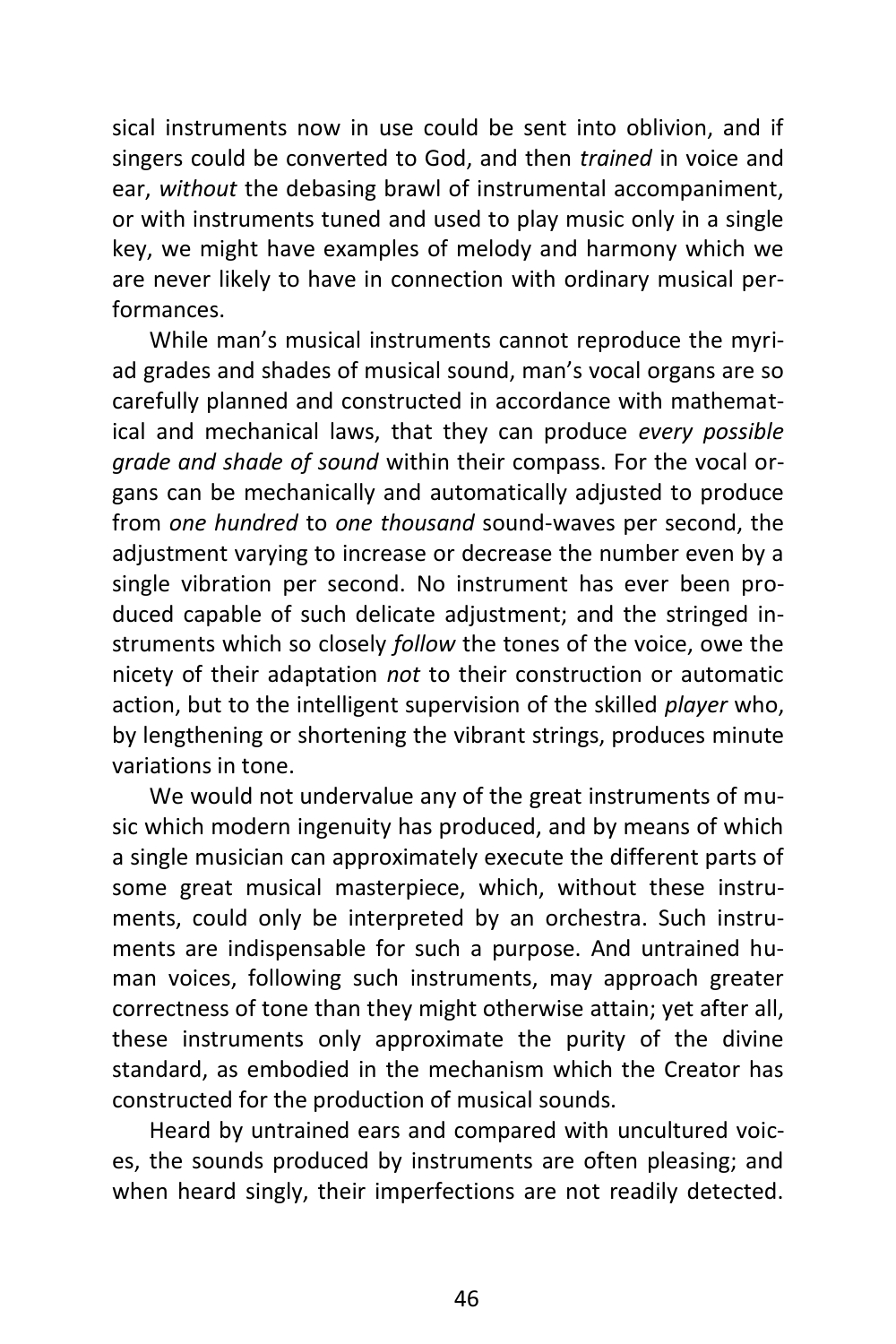sical instruments now in use could be sent into oblivion, and if singers could be converted to God, and then *trained* in voice and ear, *without* the debasing brawl of instrumental accompaniment, or with instruments tuned and used to play music only in a single key, we might have examples of melody and harmony which we are never likely to have in connection with ordinary musical performances.

While man's musical instruments cannot reproduce the myriad grades and shades of musical sound, man's vocal organs are so carefully planned and constructed in accordance with mathematical and mechanical laws, that they can produce *every possible grade and shade of sound* within their compass. For the vocal organs can be mechanically and automatically adjusted to produce from *one hundred* to *one thousand* sound-waves per second, the adjustment varying to increase or decrease the number even by a single vibration per second. No instrument has ever been produced capable of such delicate adjustment; and the stringed instruments which so closely *follow* the tones of the voice, owe the nicety of their adaptation *not* to their construction or automatic action, but to the intelligent supervision of the skilled *player* who, by lengthening or shortening the vibrant strings, produces minute variations in tone.

We would not undervalue any of the great instruments of music which modern ingenuity has produced, and by means of which a single musician can approximately execute the different parts of some great musical masterpiece, which, without these instruments, could only be interpreted by an orchestra. Such instruments are indispensable for such a purpose. And untrained human voices, following such instruments, may approach greater correctness of tone than they might otherwise attain; yet after all, these instruments only approximate the purity of the divine standard, as embodied in the mechanism which the Creator has constructed for the production of musical sounds.

Heard by untrained ears and compared with uncultured voices, the sounds produced by instruments are often pleasing; and when heard singly, their imperfections are not readily detected.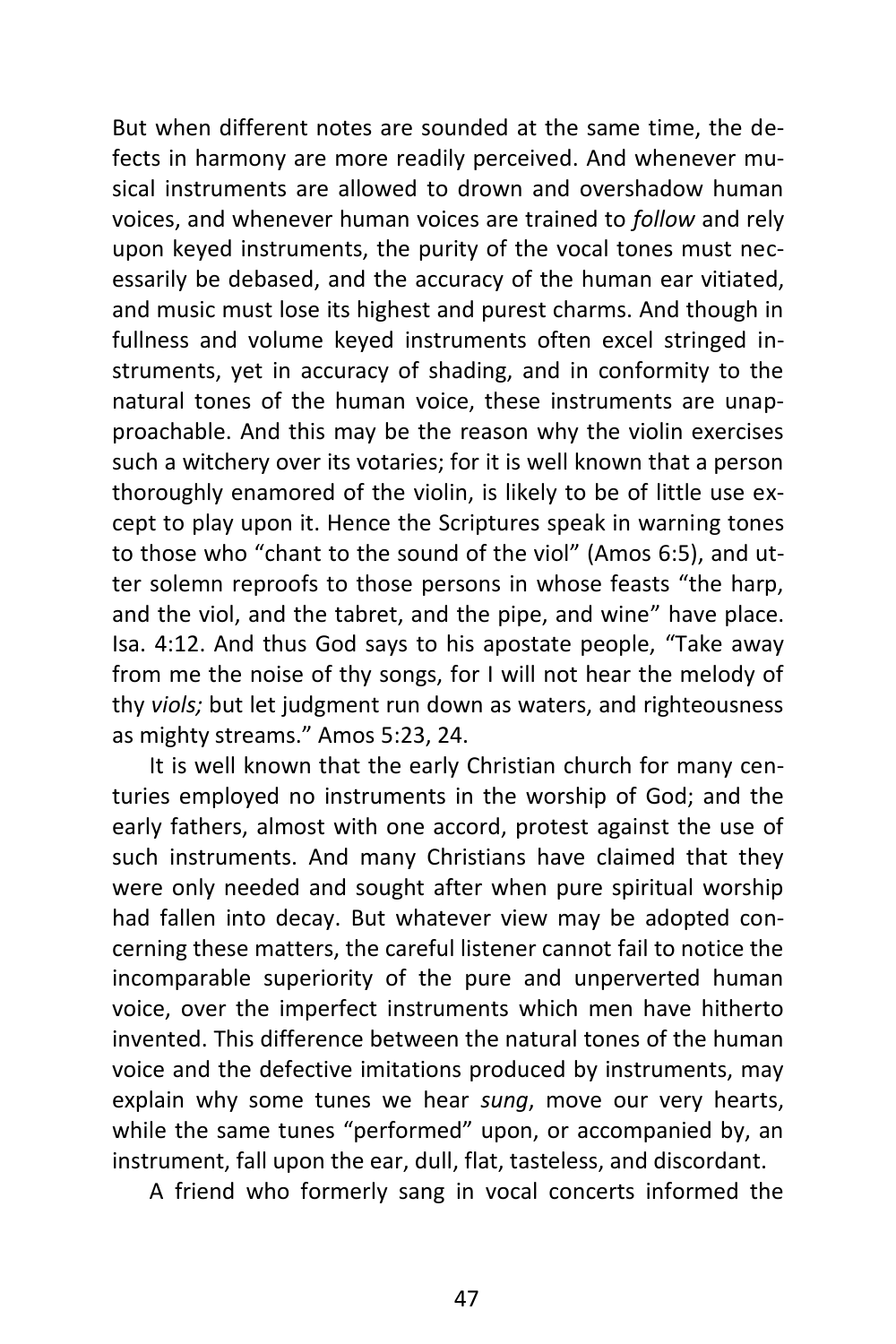But when different notes are sounded at the same time, the defects in harmony are more readily perceived. And whenever musical instruments are allowed to drown and overshadow human voices, and whenever human voices are trained to *follow* and rely upon keyed instruments, the purity of the vocal tones must necessarily be debased, and the accuracy of the human ear vitiated, and music must lose its highest and purest charms. And though in fullness and volume keyed instruments often excel stringed instruments, yet in accuracy of shading, and in conformity to the natural tones of the human voice, these instruments are unapproachable. And this may be the reason why the violin exercises such a witchery over its votaries; for it is well known that a person thoroughly enamored of the violin, is likely to be of little use except to play upon it. Hence the Scriptures speak in warning tones to those who "chant to the sound of the viol" (Amos 6:5), and utter solemn reproofs to those persons in whose feasts "the harp, and the viol, and the tabret, and the pipe, and wine" have place. Isa. 4:12. And thus God says to his apostate people, "Take away from me the noise of thy songs, for I will not hear the melody of thy *viols;* but let judgment run down as waters, and righteousness as mighty streams." Amos 5:23, 24.

It is well known that the early Christian church for many centuries employed no instruments in the worship of God; and the early fathers, almost with one accord, protest against the use of such instruments. And many Christians have claimed that they were only needed and sought after when pure spiritual worship had fallen into decay. But whatever view may be adopted concerning these matters, the careful listener cannot fail to notice the incomparable superiority of the pure and unperverted human voice, over the imperfect instruments which men have hitherto invented. This difference between the natural tones of the human voice and the defective imitations produced by instruments, may explain why some tunes we hear *sung*, move our very hearts, while the same tunes "performed" upon, or accompanied by, an instrument, fall upon the ear, dull, flat, tasteless, and discordant.

A friend who formerly sang in vocal concerts informed the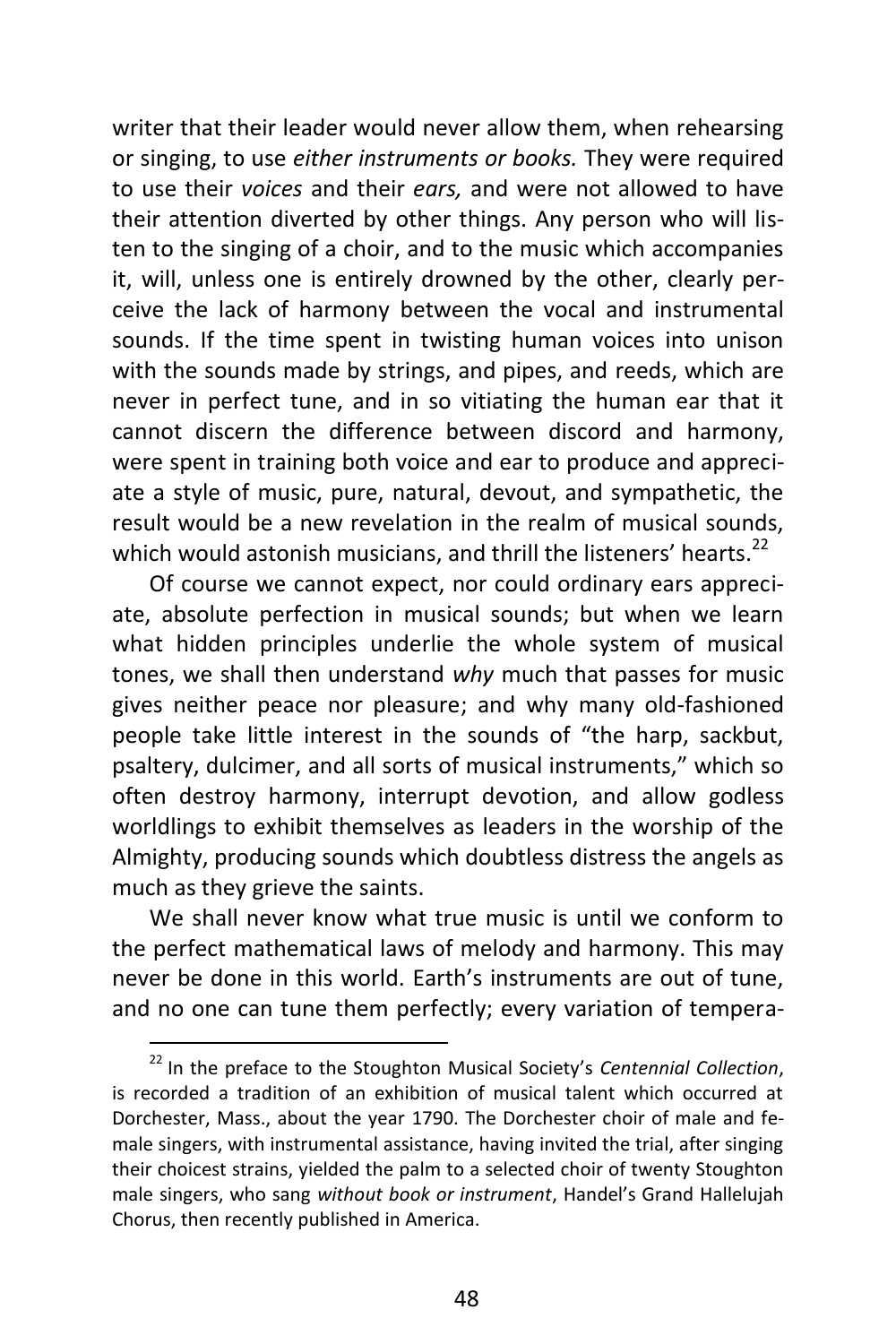writer that their leader would never allow them, when rehearsing or singing, to use *either instruments or books.* They were required to use their *voices* and their *ears,* and were not allowed to have their attention diverted by other things. Any person who will listen to the singing of a choir, and to the music which accompanies it, will, unless one is entirely drowned by the other, clearly perceive the lack of harmony between the vocal and instrumental sounds. If the time spent in twisting human voices into unison with the sounds made by strings, and pipes, and reeds, which are never in perfect tune, and in so vitiating the human ear that it cannot discern the difference between discord and harmony, were spent in training both voice and ear to produce and appreciate a style of music, pure, natural, devout, and sympathetic, the result would be a new revelation in the realm of musical sounds, which would astonish musicians, and thrill the listeners' hearts.<sup>22</sup>

Of course we cannot expect, nor could ordinary ears appreciate, absolute perfection in musical sounds; but when we learn what hidden principles underlie the whole system of musical tones, we shall then understand *why* much that passes for music gives neither peace nor pleasure; and why many old-fashioned people take little interest in the sounds of "the harp, sackbut, psaltery, dulcimer, and all sorts of musical instruments," which so often destroy harmony, interrupt devotion, and allow godless worldlings to exhibit themselves as leaders in the worship of the Almighty, producing sounds which doubtless distress the angels as much as they grieve the saints.

We shall never know what true music is until we conform to the perfect mathematical laws of melody and harmony. This may never be done in this world. Earth's instruments are out of tune, and no one can tune them perfectly; every variation of tempera-

<sup>22</sup> In the preface to the Stoughton Musical Society's *Centennial Collection*, is recorded a tradition of an exhibition of musical talent which occurred at Dorchester, Mass., about the year 1790. The Dorchester choir of male and female singers, with instrumental assistance, having invited the trial, after singing their choicest strains, yielded the palm to a selected choir of twenty Stoughton male singers, who sang *without book or instrument*, Handel's Grand Hallelujah Chorus, then recently published in America.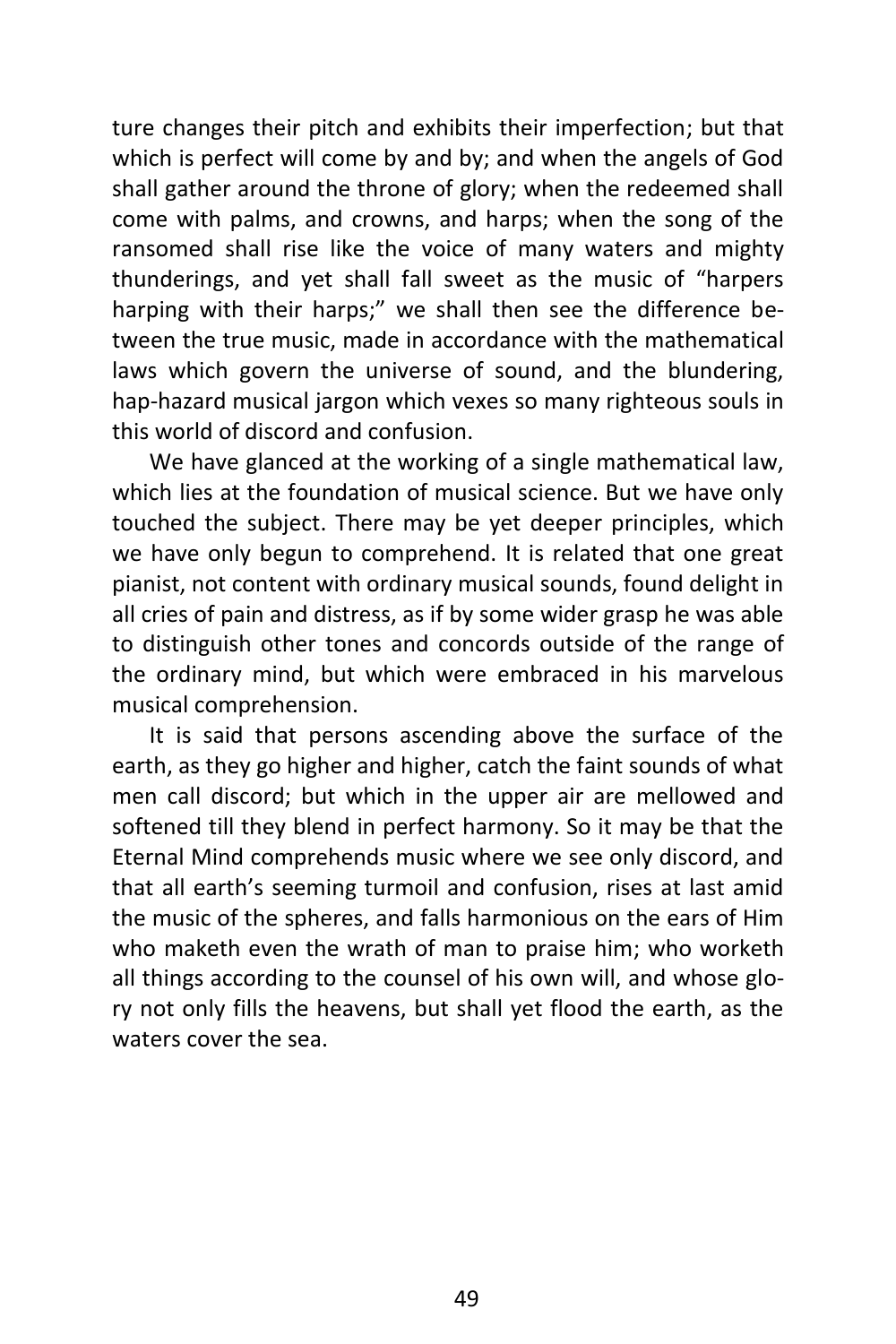ture changes their pitch and exhibits their imperfection; but that which is perfect will come by and by; and when the angels of God shall gather around the throne of glory; when the redeemed shall come with palms, and crowns, and harps; when the song of the ransomed shall rise like the voice of many waters and mighty thunderings, and yet shall fall sweet as the music of "harpers harping with their harps;" we shall then see the difference between the true music, made in accordance with the mathematical laws which govern the universe of sound, and the blundering, hap-hazard musical jargon which vexes so many righteous souls in this world of discord and confusion.

We have glanced at the working of a single mathematical law, which lies at the foundation of musical science. But we have only touched the subject. There may be yet deeper principles, which we have only begun to comprehend. It is related that one great pianist, not content with ordinary musical sounds, found delight in all cries of pain and distress, as if by some wider grasp he was able to distinguish other tones and concords outside of the range of the ordinary mind, but which were embraced in his marvelous musical comprehension.

It is said that persons ascending above the surface of the earth, as they go higher and higher, catch the faint sounds of what men call discord; but which in the upper air are mellowed and softened till they blend in perfect harmony. So it may be that the Eternal Mind comprehends music where we see only discord, and that all earth's seeming turmoil and confusion, rises at last amid the music of the spheres, and falls harmonious on the ears of Him who maketh even the wrath of man to praise him; who worketh all things according to the counsel of his own will, and whose glory not only fills the heavens, but shall yet flood the earth, as the waters cover the sea.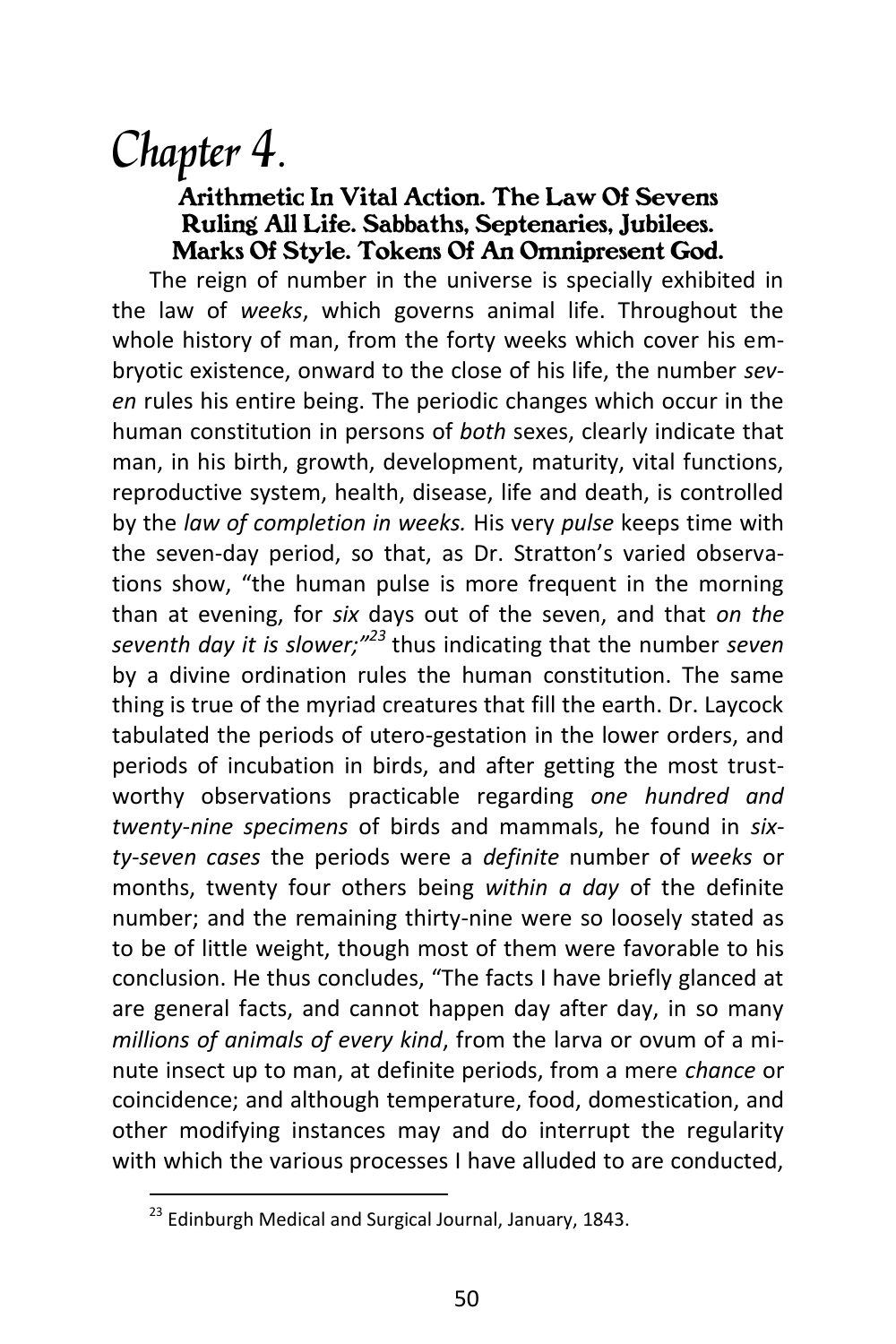### Chapter 4.

#### *Arithmetic In Vital Action. The Law Of Sevens Ruling All Life. Sabbaths, Septenaries, Jubilees. Marks Of Style. Tokens Of An Omnipresent God.*

The reign of number in the universe is specially exhibited in the law of *weeks*, which governs animal life. Throughout the whole history of man, from the forty weeks which cover his embryotic existence, onward to the close of his life, the number *seven* rules his entire being. The periodic changes which occur in the human constitution in persons of *both* sexes, clearly indicate that man, in his birth, growth, development, maturity, vital functions, reproductive system, health, disease, life and death, is controlled by the *law of completion in weeks.* His very *pulse* keeps time with the seven-day period, so that, as Dr. Stratton's varied observations show, "the human pulse is more frequent in the morning than at evening, for *six* days out of the seven, and that *on the seventh day it is slower;"<sup>23</sup>* thus indicating that the number *seven* by a divine ordination rules the human constitution. The same thing is true of the myriad creatures that fill the earth. Dr. Laycock tabulated the periods of utero-gestation in the lower orders, and periods of incubation in birds, and after getting the most trustworthy observations practicable regarding *one hundred and twenty-nine specimens* of birds and mammals, he found in *sixty-seven cases* the periods were a *definite* number of *weeks* or months, twenty four others being *within a day* of the definite number; and the remaining thirty-nine were so loosely stated as to be of little weight, though most of them were favorable to his conclusion. He thus concludes, "The facts I have briefly glanced at are general facts, and cannot happen day after day, in so many *millions of animals of every kind*, from the larva or ovum of a minute insect up to man, at definite periods, from a mere *chance* or coincidence; and although temperature, food, domestication, and other modifying instances may and do interrupt the regularity with which the various processes I have alluded to are conducted,

 $^{23}$  Edinburgh Medical and Surgical Journal, January, 1843.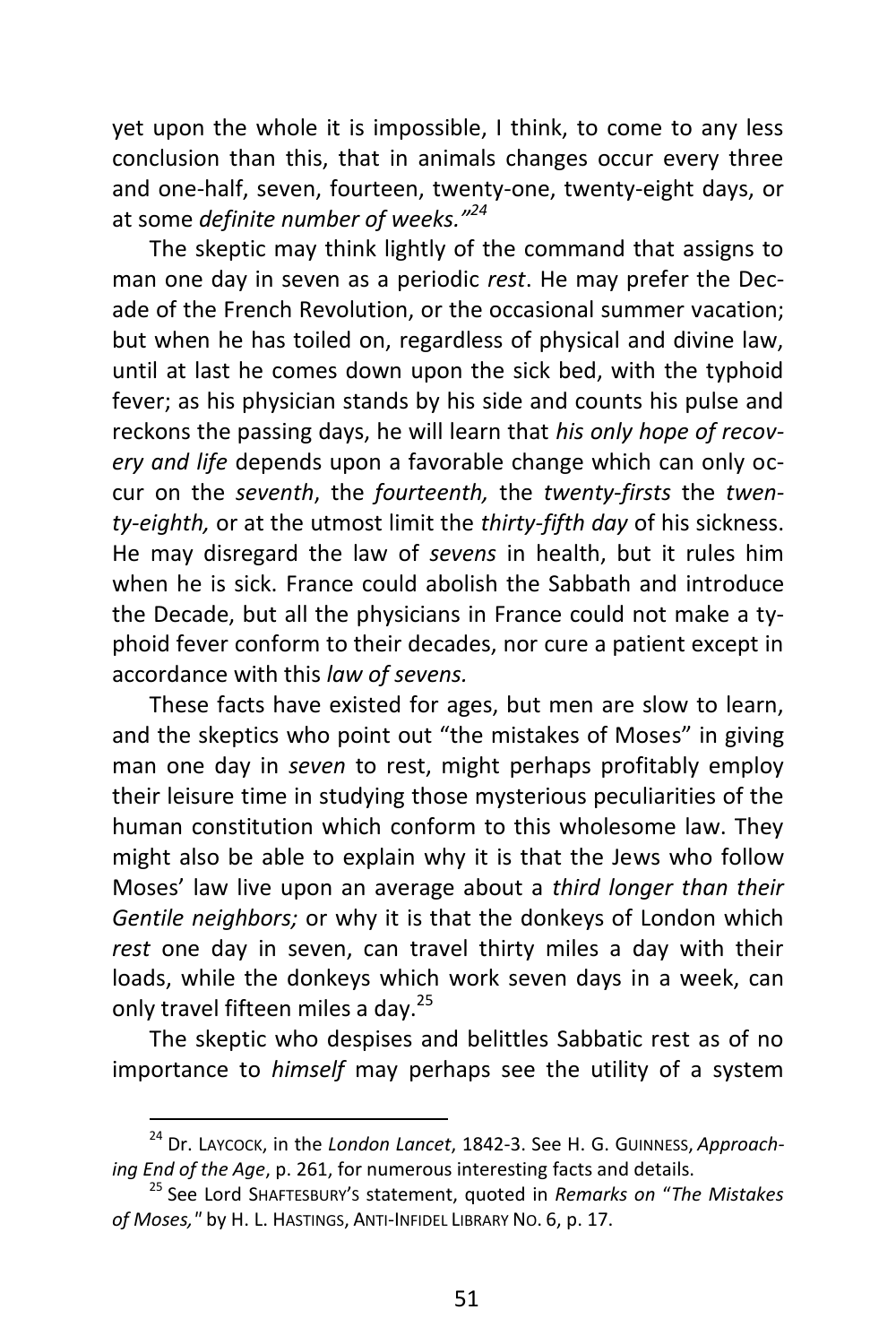yet upon the whole it is impossible, I think, to come to any less conclusion than this, that in animals changes occur every three and one-half, seven, fourteen, twenty-one, twenty-eight days, or at some *definite number of weeks." 24*

The skeptic may think lightly of the command that assigns to man one day in seven as a periodic *rest*. He may prefer the Decade of the French Revolution, or the occasional summer vacation; but when he has toiled on, regardless of physical and divine law, until at last he comes down upon the sick bed, with the typhoid fever; as his physician stands by his side and counts his pulse and reckons the passing days, he will learn that *his only hope of recovery and life* depends upon a favorable change which can only occur on the *seventh*, the *fourteenth,* the *twenty-firsts* the *twenty-eighth,* or at the utmost limit the *thirty-fifth day* of his sickness. He may disregard the law of *sevens* in health, but it rules him when he is sick. France could abolish the Sabbath and introduce the Decade, but all the physicians in France could not make a typhoid fever conform to their decades, nor cure a patient except in accordance with this *law of sevens.*

These facts have existed for ages, but men are slow to learn, and the skeptics who point out "the mistakes of Moses" in giving man one day in *seven* to rest, might perhaps profitably employ their leisure time in studying those mysterious peculiarities of the human constitution which conform to this wholesome law. They might also be able to explain why it is that the Jews who follow Moses' law live upon an average about a *third longer than their Gentile neighbors;* or why it is that the donkeys of London which *rest* one day in seven, can travel thirty miles a day with their loads, while the donkeys which work seven days in a week, can only travel fifteen miles a day.<sup>25</sup>

The skeptic who despises and belittles Sabbatic rest as of no importance to *himself* may perhaps see the utility of a system

<sup>24</sup> Dr. LAYCOCK, in the *London Lancet*, 1842-3. See H. G. GUINNESS, *Approaching End of the Age*, p. 261, for numerous interesting facts and details.

<sup>25</sup> See Lord SHAFTESBURY'<sup>S</sup> statement, quoted in *Remarks on* "*The Mistakes of Moses,"* by H. L. HASTINGS, ANTI-INFIDEL LIBRARY NO. 6, p. 17.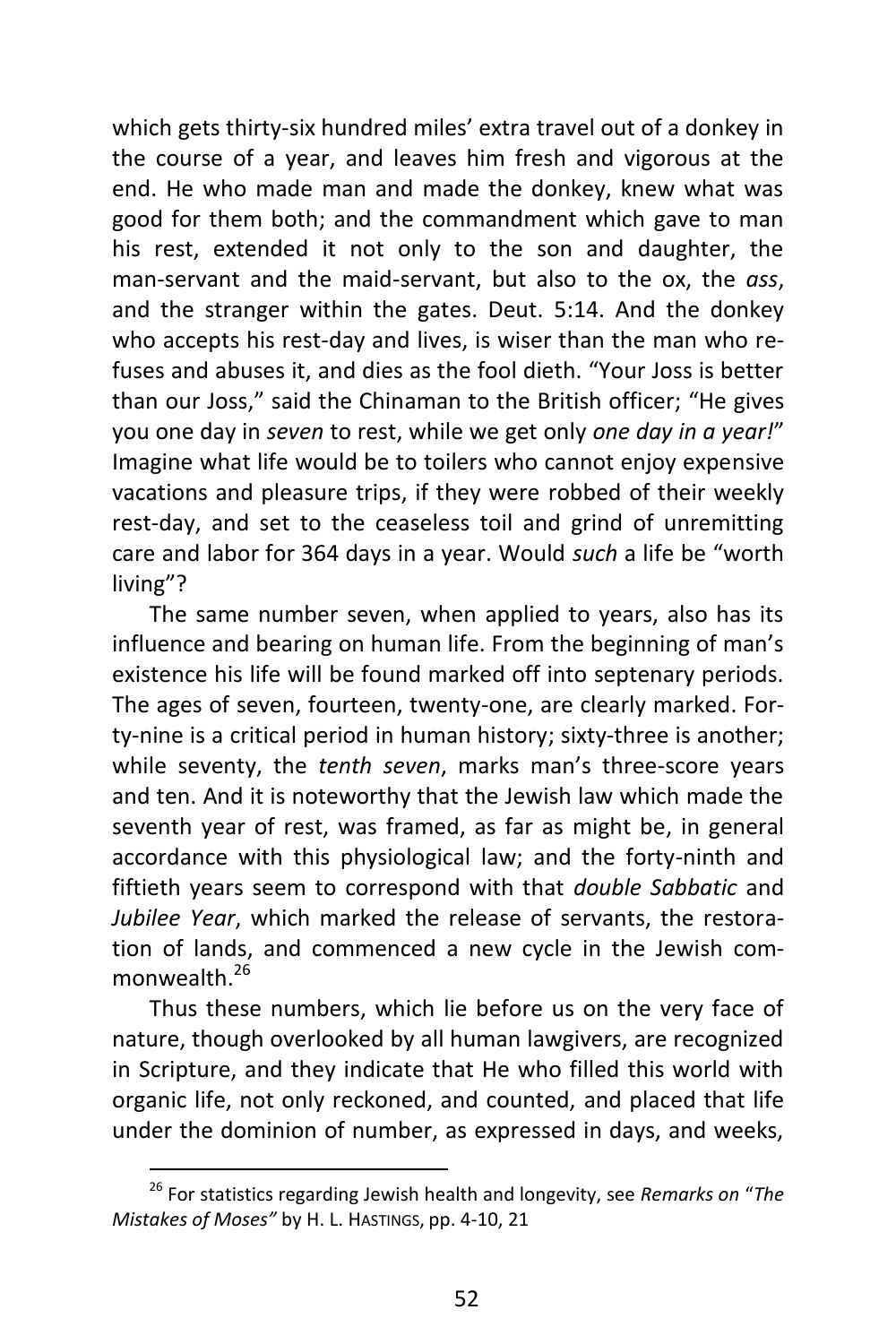which gets thirty-six hundred miles' extra travel out of a donkey in the course of a year, and leaves him fresh and vigorous at the end. He who made man and made the donkey, knew what was good for them both; and the commandment which gave to man his rest, extended it not only to the son and daughter, the man-servant and the maid-servant, but also to the ox, the *ass*, and the stranger within the gates. Deut. 5:14. And the donkey who accepts his rest-day and lives, is wiser than the man who refuses and abuses it, and dies as the fool dieth. "Your Joss is better than our Joss," said the Chinaman to the British officer; "He gives you one day in *seven* to rest, while we get only *one day in a year!*" Imagine what life would be to toilers who cannot enjoy expensive vacations and pleasure trips, if they were robbed of their weekly rest-day, and set to the ceaseless toil and grind of unremitting care and labor for 364 days in a year. Would *such* a life be "worth living"?

The same number seven, when applied to years, also has its influence and bearing on human life. From the beginning of man's existence his life will be found marked off into septenary periods. The ages of seven, fourteen, twenty-one, are clearly marked. Forty-nine is a critical period in human history; sixty-three is another; while seventy, the *tenth seven*, marks man's three-score years and ten. And it is noteworthy that the Jewish law which made the seventh year of rest, was framed, as far as might be, in general accordance with this physiological law; and the forty-ninth and fiftieth years seem to correspond with that *double Sabbatic* and *Jubilee Year*, which marked the release of servants, the restoration of lands, and commenced a new cycle in the Jewish commonwealth  $^{26}$ 

Thus these numbers, which lie before us on the very face of nature, though overlooked by all human lawgivers, are recognized in Scripture, and they indicate that He who filled this world with organic life, not only reckoned, and counted, and placed that life under the dominion of number, as expressed in days, and weeks,

<sup>26</sup> For statistics regarding Jewish health and longevity, see *Remarks on* "*The Mistakes of Moses"* by H. L. HASTINGS, pp. 4-10, 21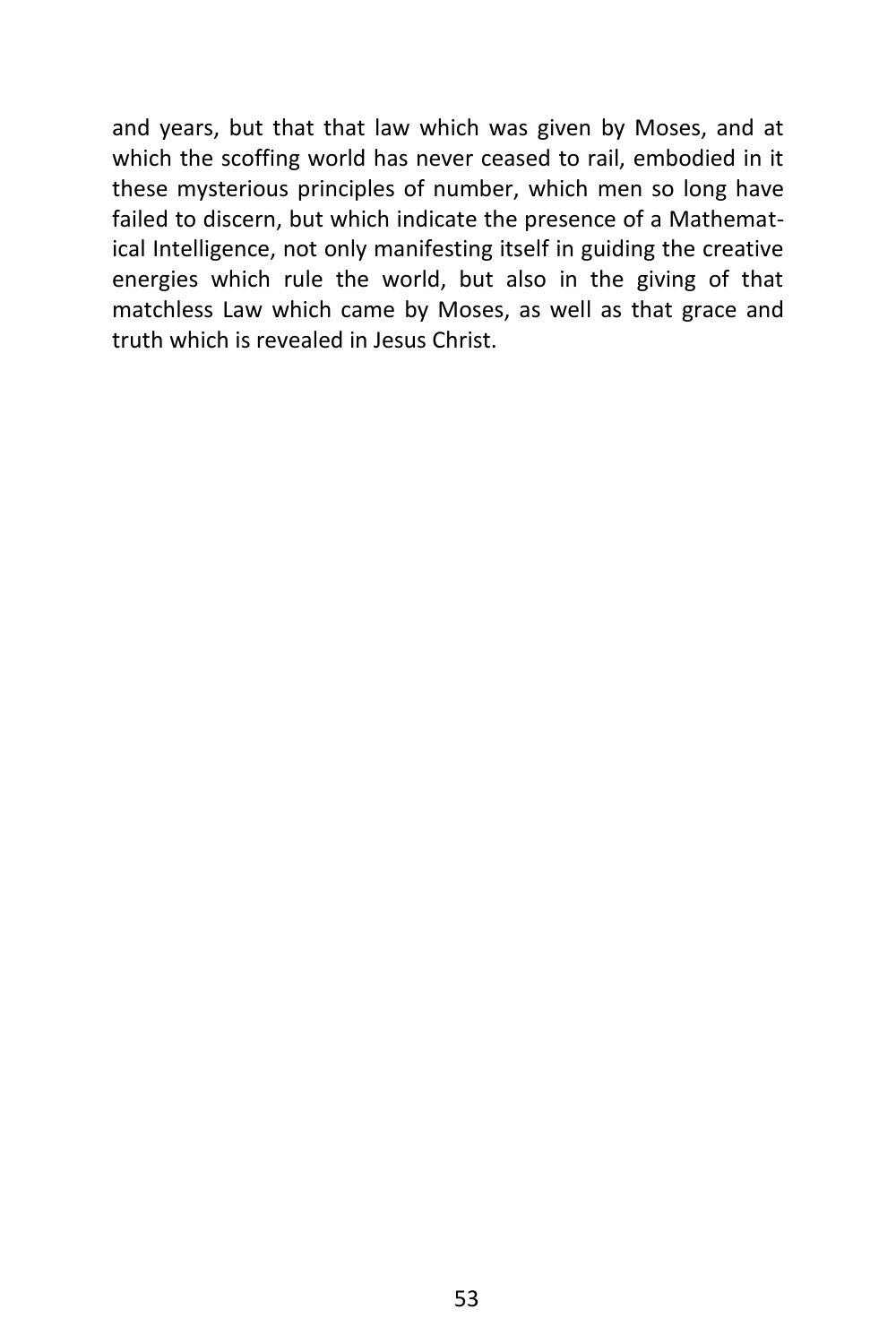and years, but that that law which was given by Moses, and at which the scoffing world has never ceased to rail, embodied in it these mysterious principles of number, which men so long have failed to discern, but which indicate the presence of a Mathematical Intelligence, not only manifesting itself in guiding the creative energies which rule the world, but also in the giving of that matchless Law which came by Moses, as well as that grace and truth which is revealed in Jesus Christ.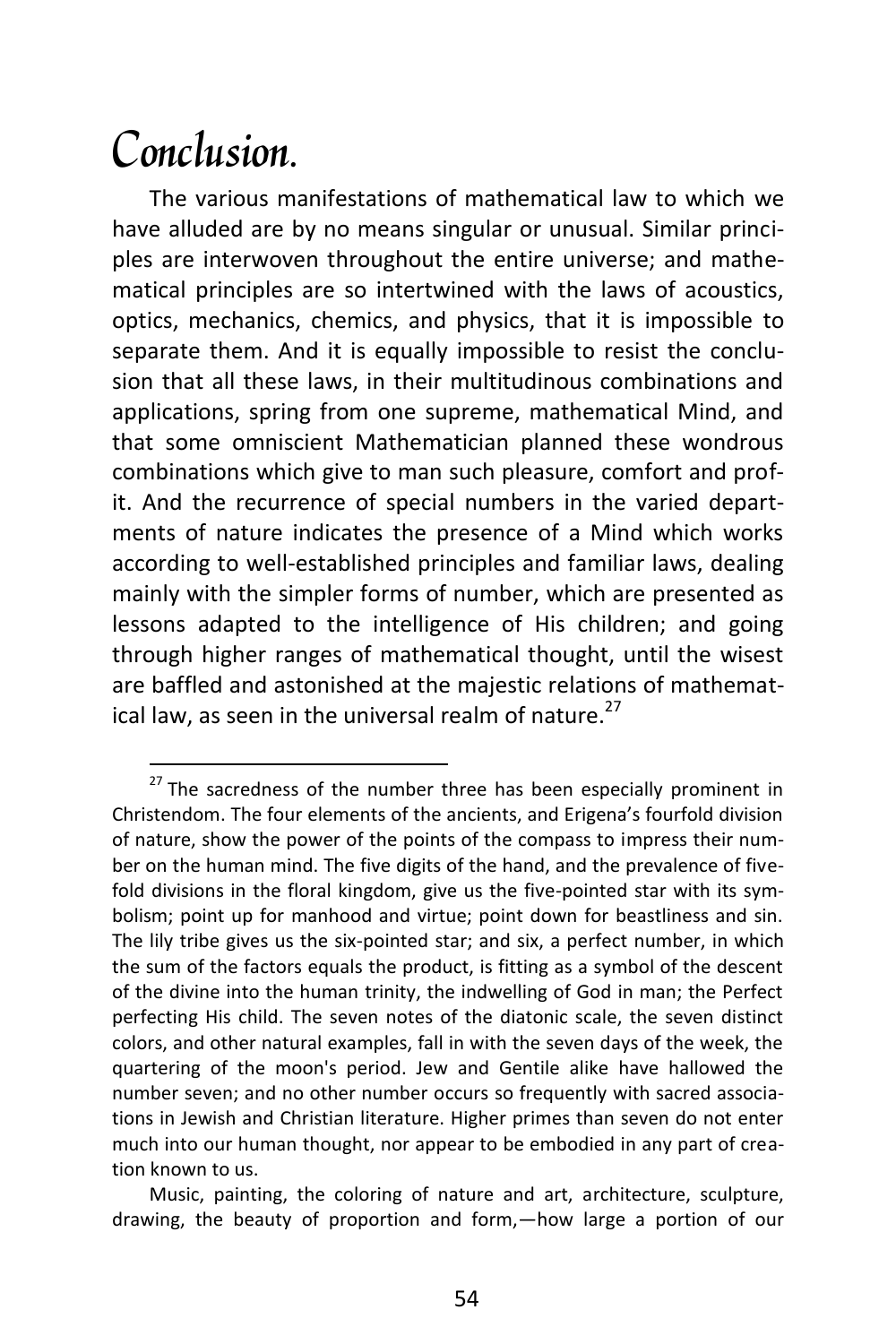### Conclusion.

 $\overline{a}$ 

The various manifestations of mathematical law to which we have alluded are by no means singular or unusual. Similar principles are interwoven throughout the entire universe; and mathematical principles are so intertwined with the laws of acoustics, optics, mechanics, chemics, and physics, that it is impossible to separate them. And it is equally impossible to resist the conclusion that all these laws, in their multitudinous combinations and applications, spring from one supreme, mathematical Mind, and that some omniscient Mathematician planned these wondrous combinations which give to man such pleasure, comfort and profit. And the recurrence of special numbers in the varied departments of nature indicates the presence of a Mind which works according to well-established principles and familiar laws, dealing mainly with the simpler forms of number, which are presented as lessons adapted to the intelligence of His children; and going through higher ranges of mathematical thought, until the wisest are baffled and astonished at the majestic relations of mathematical law, as seen in the universal realm of nature.<sup>27</sup>

 $27$  The sacredness of the number three has been especially prominent in Christendom. The four elements of the ancients, and Erigena's fourfold division of nature, show the power of the points of the compass to impress their number on the human mind. The five digits of the hand, and the prevalence of fivefold divisions in the floral kingdom, give us the five-pointed star with its symbolism; point up for manhood and virtue; point down for beastliness and sin. The lily tribe gives us the six-pointed star; and six, a perfect number, in which the sum of the factors equals the product, is fitting as a symbol of the descent of the divine into the human trinity, the indwelling of God in man; the Perfect perfecting His child. The seven notes of the diatonic scale, the seven distinct colors, and other natural examples, fall in with the seven days of the week, the quartering of the moon's period. Jew and Gentile alike have hallowed the number seven; and no other number occurs so frequently with sacred associations in Jewish and Christian literature. Higher primes than seven do not enter much into our human thought, nor appear to be embodied in any part of creation known to us.

Music, painting, the coloring of nature and art, architecture, sculpture, drawing, the beauty of proportion and form,—how large a portion of our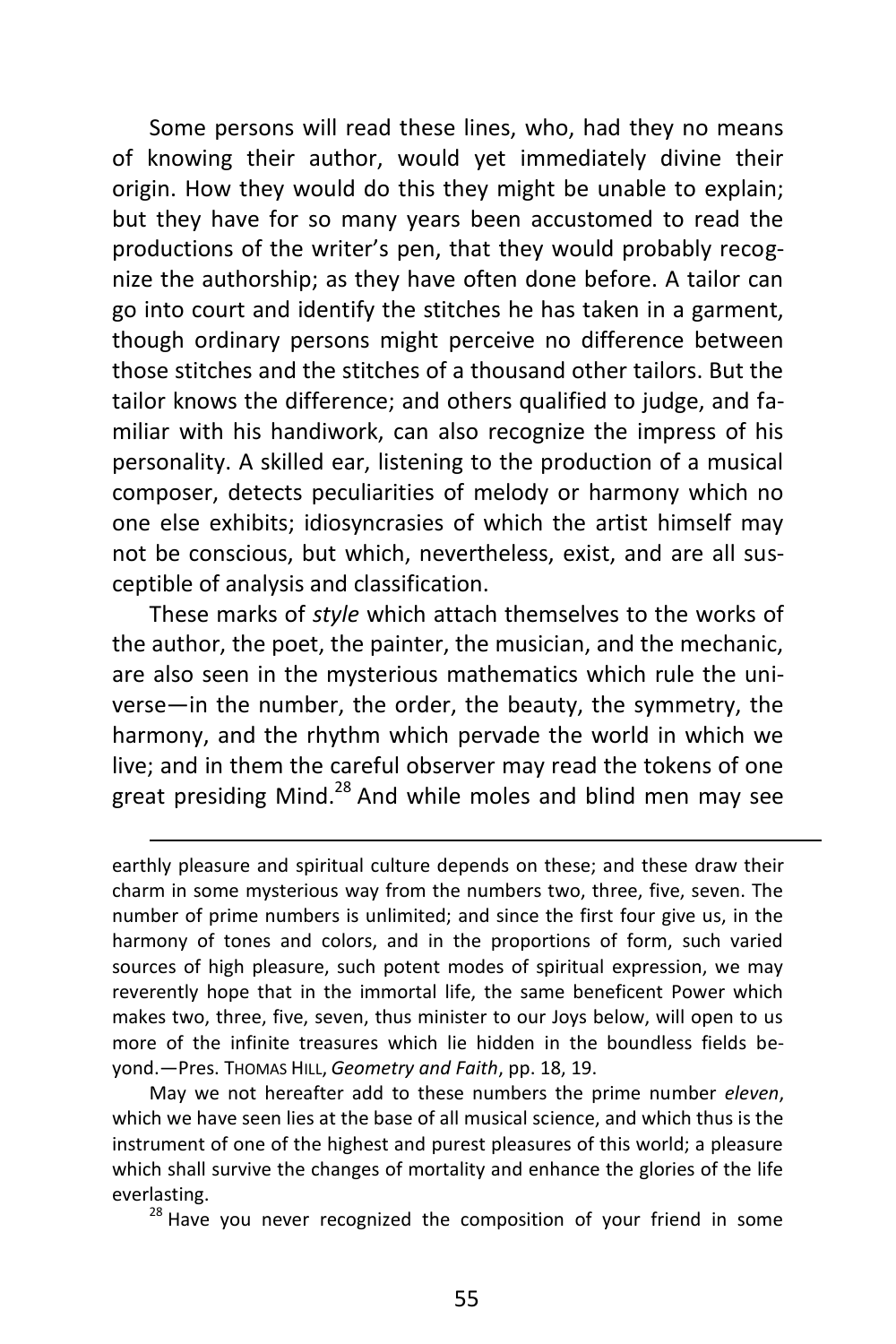Some persons will read these lines, who, had they no means of knowing their author, would yet immediately divine their origin. How they would do this they might be unable to explain; but they have for so many years been accustomed to read the productions of the writer's pen, that they would probably recognize the authorship; as they have often done before. A tailor can go into court and identify the stitches he has taken in a garment, though ordinary persons might perceive no difference between those stitches and the stitches of a thousand other tailors. But the tailor knows the difference; and others qualified to judge, and familiar with his handiwork, can also recognize the impress of his personality. A skilled ear, listening to the production of a musical composer, detects peculiarities of melody or harmony which no one else exhibits; idiosyncrasies of which the artist himself may not be conscious, but which, nevertheless, exist, and are all susceptible of analysis and classification.

These marks of *style* which attach themselves to the works of the author, the poet, the painter, the musician, and the mechanic, are also seen in the mysterious mathematics which rule the universe—in the number, the order, the beauty, the symmetry, the harmony, and the rhythm which pervade the world in which we live; and in them the careful observer may read the tokens of one great presiding Mind.<sup>28</sup> And while moles and blind men may see

earthly pleasure and spiritual culture depends on these; and these draw their charm in some mysterious way from the numbers two, three, five, seven. The number of prime numbers is unlimited; and since the first four give us, in the harmony of tones and colors, and in the proportions of form, such varied sources of high pleasure, such potent modes of spiritual expression, we may reverently hope that in the immortal life, the same beneficent Power which makes two, three, five, seven, thus minister to our Joys below, will open to us more of the infinite treasures which lie hidden in the boundless fields beyond.—Pres. THOMAS HILL, *Geometry and Faith*, pp. 18, 19.

 $\overline{a}$ 

May we not hereafter add to these numbers the prime number *eleven*, which we have seen lies at the base of all musical science, and which thus is the instrument of one of the highest and purest pleasures of this world; a pleasure which shall survive the changes of mortality and enhance the glories of the life everlasting.

 $28$  Have you never recognized the composition of your friend in some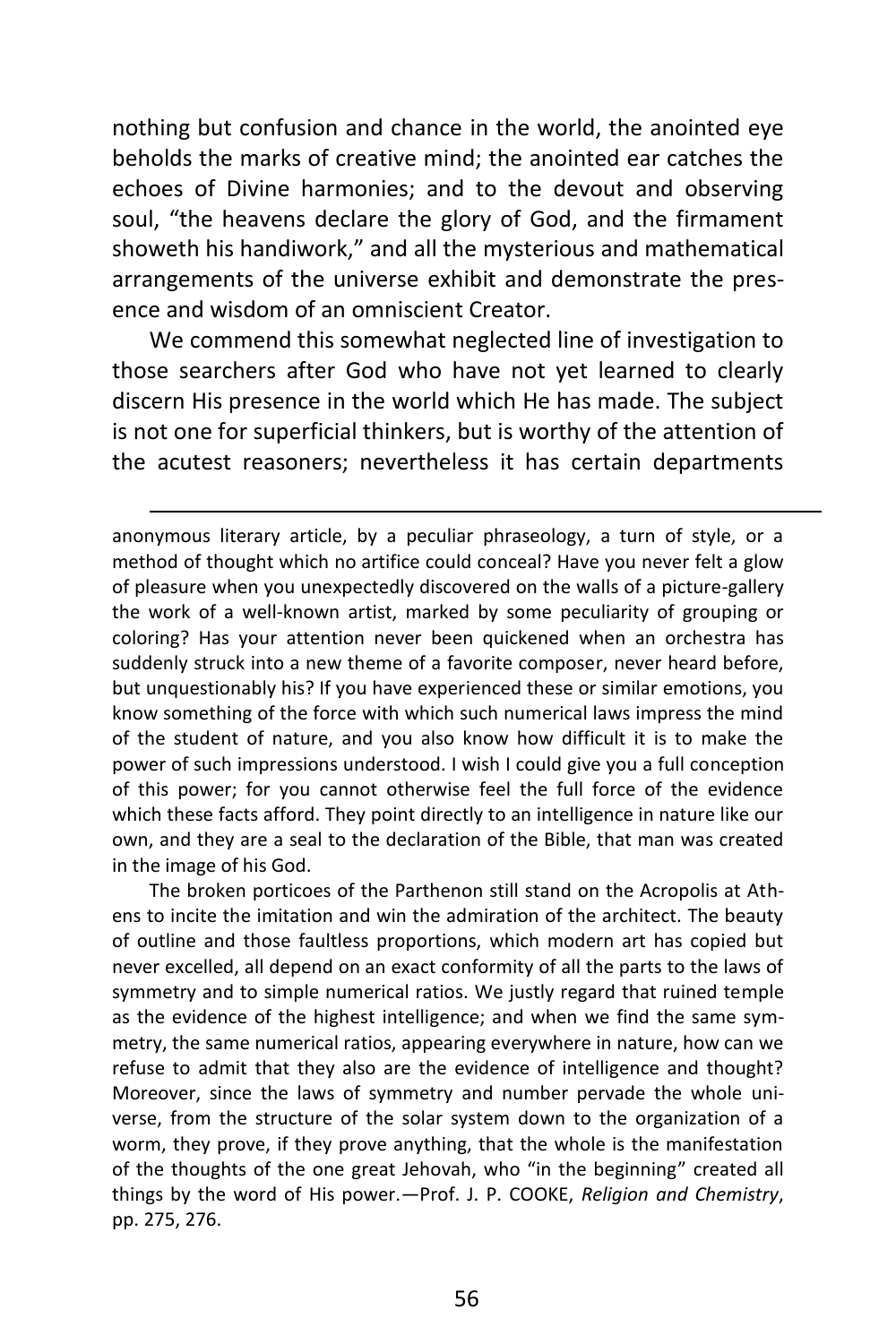nothing but confusion and chance in the world, the anointed eye beholds the marks of creative mind; the anointed ear catches the echoes of Divine harmonies; and to the devout and observing soul, "the heavens declare the glory of God, and the firmament showeth his handiwork," and all the mysterious and mathematical arrangements of the universe exhibit and demonstrate the presence and wisdom of an omniscient Creator.

We commend this somewhat neglected line of investigation to those searchers after God who have not yet learned to clearly discern His presence in the world which He has made. The subject is not one for superficial thinkers, but is worthy of the attention of the acutest reasoners; nevertheless it has certain departments

 $\overline{a}$ 

anonymous literary article, by a peculiar phraseology, a turn of style, or a method of thought which no artifice could conceal? Have you never felt a glow of pleasure when you unexpectedly discovered on the walls of a picture-gallery the work of a well-known artist, marked by some peculiarity of grouping or coloring? Has your attention never been quickened when an orchestra has suddenly struck into a new theme of a favorite composer, never heard before, but unquestionably his? If you have experienced these or similar emotions, you know something of the force with which such numerical laws impress the mind of the student of nature, and you also know how difficult it is to make the power of such impressions understood. I wish I could give you a full conception of this power; for you cannot otherwise feel the full force of the evidence which these facts afford. They point directly to an intelligence in nature like our own, and they are a seal to the declaration of the Bible, that man was created in the image of his God.

The broken porticoes of the Parthenon still stand on the Acropolis at Athens to incite the imitation and win the admiration of the architect. The beauty of outline and those faultless proportions, which modern art has copied but never excelled, all depend on an exact conformity of all the parts to the laws of symmetry and to simple numerical ratios. We justly regard that ruined temple as the evidence of the highest intelligence; and when we find the same symmetry, the same numerical ratios, appearing everywhere in nature, how can we refuse to admit that they also are the evidence of intelligence and thought? Moreover, since the laws of symmetry and number pervade the whole universe, from the structure of the solar system down to the organization of a worm, they prove, if they prove anything, that the whole is the manifestation of the thoughts of the one great Jehovah, who "in the beginning" created all things by the word of His power.—Prof. J. P. COOKE, *Religion and Chemistry*, pp. 275, 276.